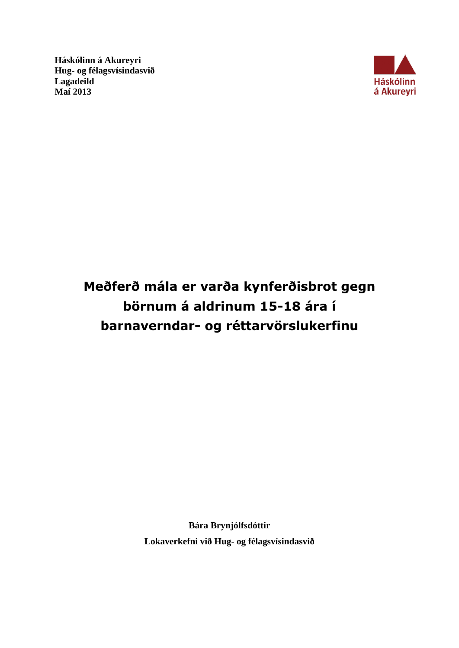**Háskólinn á Akureyri Hug- og félagsvísindasvið Lagadeild Maí 2013**



# **Meðferð mála er varða kynferðisbrot gegn börnum á aldrinum 15-18 ára í barnaverndar- og réttarvörslukerfinu**

**Bára Brynjólfsdóttir Lokaverkefni við Hug- og félagsvísindasvið**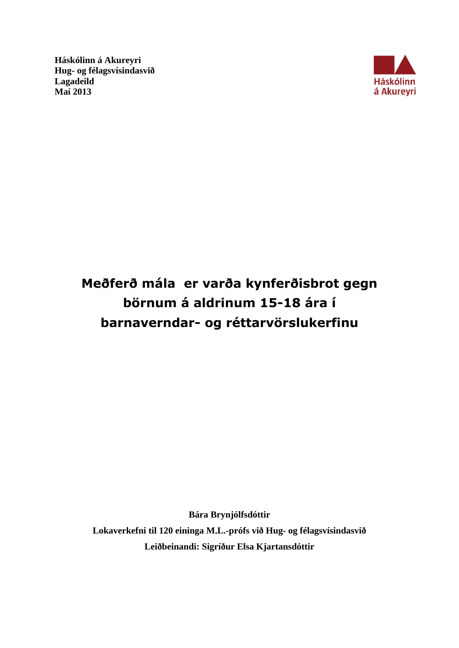**Háskólinn á Akureyri Hug- og félagsvísindasvið Lagadeild Maí 2013**



# **Meðferð mála er varða kynferðisbrot gegn börnum á aldrinum 15-18 ára í barnaverndar- og réttarvörslukerfinu**

**Bára Brynjólfsdóttir Lokaverkefni til 120 eininga M.L.-prófs við Hug- og félagsvísindasvið Leiðbeinandi: Sigríður Elsa Kjartansdóttir**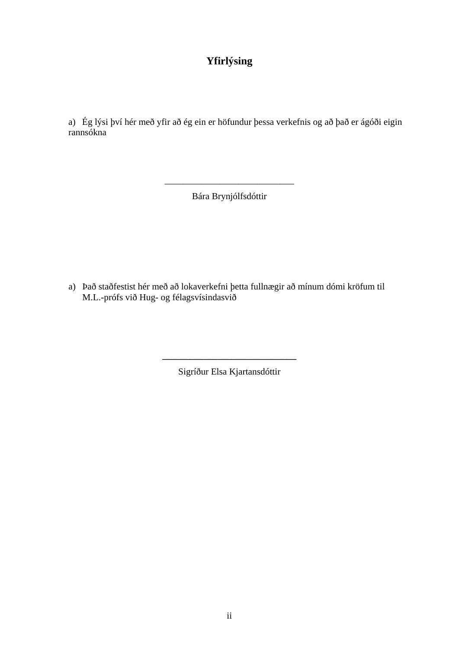# **Yfirlýsing**

a) Ég lýsi því hér með yfir að ég ein er höfundur þessa verkefnis og að það er ágóði eigin rannsókna

Bára Brynjólfsdóttir

\_\_\_\_\_\_\_\_\_\_\_\_\_\_\_\_\_\_\_\_\_\_\_\_\_\_\_\_

a) Það staðfestist hér með að lokaverkefni þetta fullnægir að mínum dómi kröfum til M.L.-prófs við Hug- og félagsvísindasvið

Sigríður Elsa Kjartansdóttir

**\_\_\_\_\_\_\_\_\_\_\_\_\_\_\_\_\_\_\_\_\_\_\_\_\_\_\_\_\_**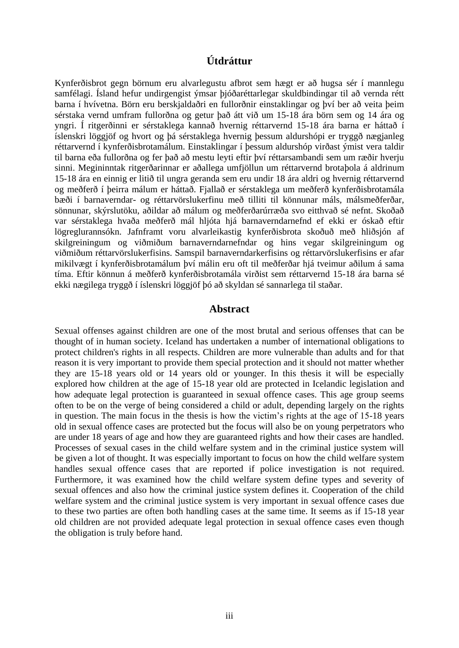# **Útdráttur**

Kynferðisbrot gegn börnum eru alvarlegustu afbrot sem hægt er að hugsa sér í mannlegu samfélagi. Ísland hefur undirgengist ýmsar þjóðaréttarlegar skuldbindingar til að vernda rétt barna í hvívetna. Börn eru berskjaldaðri en fullorðnir einstaklingar og því ber að veita þeim sérstaka vernd umfram fullorðna og getur það átt við um 15-18 ára börn sem og 14 ára og yngri. Í ritgerðinni er sérstaklega kannað hvernig réttarvernd 15-18 ára barna er háttað í íslenskri löggjöf og hvort og þá sérstaklega hvernig þessum aldurshópi er tryggð nægjanleg réttarvernd í kynferðisbrotamálum. Einstaklingar í þessum aldurshóp virðast ýmist vera taldir til barna eða fullorðna og fer það að mestu leyti eftir því réttarsambandi sem um ræðir hverju sinni. Megininntak ritgerðarinnar er aðallega umfjöllun um réttarvernd brotaþola á aldrinum 15-18 ára en einnig er litið til ungra geranda sem eru undir 18 ára aldri og hvernig réttarvernd og meðferð í þeirra málum er háttað. Fjallað er sérstaklega um meðferð kynferðisbrotamála bæði í barnaverndar- og réttarvörslukerfinu með tilliti til könnunar máls, málsmeðferðar, sönnunar, skýrslutöku, aðildar að málum og meðferðarúrræða svo eitthvað sé nefnt. Skoðað var sérstaklega hvaða meðferð mál hljóta hjá barnaverndarnefnd ef ekki er óskað eftir lögreglurannsókn. Jafnframt voru alvarleikastig kynferðisbrota skoðuð með hliðsjón af skilgreiningum og viðmiðum barnaverndarnefndar og hins vegar skilgreiningum og viðmiðum réttarvörslukerfisins. Samspil barnaverndarkerfisins og réttarvörslukerfisins er afar mikilvægt í kynferðisbrotamálum því málin eru oft til meðferðar hjá tveimur aðilum á sama tíma. Eftir könnun á meðferð kynferðisbrotamála virðist sem réttarvernd 15-18 ára barna sé ekki nægilega tryggð í íslenskri löggjöf þó að skyldan sé sannarlega til staðar.

#### **Abstract**

Sexual offenses against children are one of the most brutal and serious offenses that can be thought of in human society. Iceland has undertaken a number of international obligations to protect children's rights in all respects. Children are more vulnerable than adults and for that reason it is very important to provide them special protection and it should not matter whether they are 15-18 years old or 14 years old or younger. In this thesis it will be especially explored how children at the age of 15-18 year old are protected in Icelandic legislation and how adequate legal protection is guaranteed in sexual offence cases. This age group seems often to be on the verge of being considered a child or adult, depending largely on the rights in question. The main focus in the thesis is how the victim's rights at the age of 15-18 years old in sexual offence cases are protected but the focus will also be on young perpetrators who are under 18 years of age and how they are guaranteed rights and how their cases are handled. Processes of sexual cases in the child welfare system and in the criminal justice system will be given a lot of thought. It was especially important to focus on how the child welfare system handles sexual offence cases that are reported if police investigation is not required. Furthermore, it was examined how the child welfare system define types and severity of sexual offences and also how the criminal justice system defines it. Cooperation of the child welfare system and the criminal justice system is very important in sexual offence cases due to these two parties are often both handling cases at the same time. It seems as if 15-18 year old children are not provided adequate legal protection in sexual offence cases even though the obligation is truly before hand.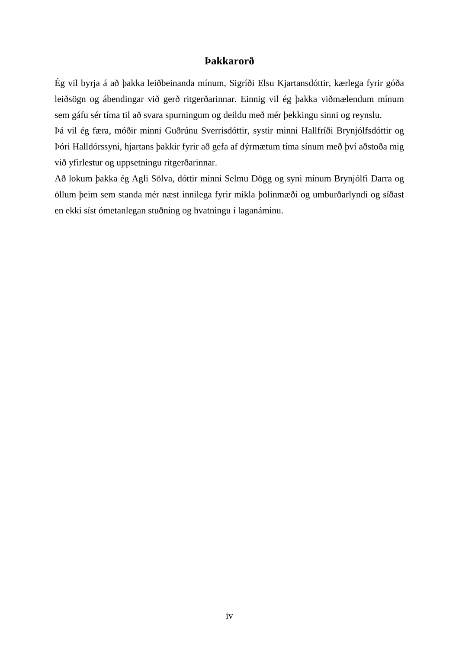#### **Þakkarorð**

Ég vil byrja á að þakka leiðbeinanda mínum, Sigríði Elsu Kjartansdóttir, kærlega fyrir góða leiðsögn og ábendingar við gerð ritgerðarinnar. Einnig vil ég þakka viðmælendum mínum sem gáfu sér tíma til að svara spurningum og deildu með mér þekkingu sinni og reynslu.

Þá vil ég færa, móðir minni Guðrúnu Sverrisdóttir, systir minni Hallfríði Brynjólfsdóttir og Þóri Halldórssyni, hjartans þakkir fyrir að gefa af dýrmætum tíma sínum með því aðstoða mig við yfirlestur og uppsetningu ritgerðarinnar.

Að lokum þakka ég Agli Sölva, dóttir minni Selmu Dögg og syni mínum Brynjólfi Darra og öllum þeim sem standa mér næst innilega fyrir mikla þolinmæði og umburðarlyndi og síðast en ekki síst ómetanlegan stuðning og hvatningu í laganáminu.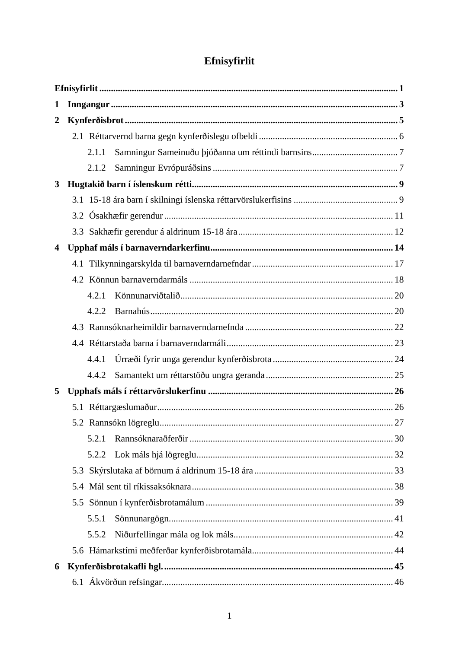# Efnisyfirlit

<span id="page-5-0"></span>

| 1                       |     |       |  |    |  |  |
|-------------------------|-----|-------|--|----|--|--|
| $\overline{2}$          |     |       |  |    |  |  |
|                         |     |       |  |    |  |  |
|                         |     | 2.1.1 |  |    |  |  |
|                         |     | 2.1.2 |  |    |  |  |
| 3                       |     |       |  |    |  |  |
|                         |     |       |  |    |  |  |
|                         |     |       |  |    |  |  |
|                         |     |       |  |    |  |  |
| $\overline{\mathbf{4}}$ |     |       |  |    |  |  |
|                         |     |       |  |    |  |  |
|                         |     |       |  |    |  |  |
|                         |     | 4.2.1 |  |    |  |  |
|                         |     | 4.2.2 |  |    |  |  |
|                         |     |       |  |    |  |  |
|                         |     |       |  |    |  |  |
|                         |     | 4.4.1 |  |    |  |  |
|                         |     | 4.4.2 |  |    |  |  |
| 5                       |     |       |  |    |  |  |
|                         |     |       |  |    |  |  |
|                         |     |       |  |    |  |  |
|                         |     | 5.2.1 |  |    |  |  |
|                         |     | 5.2.2 |  |    |  |  |
|                         | 5.3 |       |  |    |  |  |
|                         | 5.4 |       |  |    |  |  |
|                         |     |       |  |    |  |  |
|                         |     | 5.5.1 |  |    |  |  |
|                         |     | 5.5.2 |  |    |  |  |
|                         |     |       |  |    |  |  |
| 6                       |     |       |  |    |  |  |
|                         |     |       |  | 46 |  |  |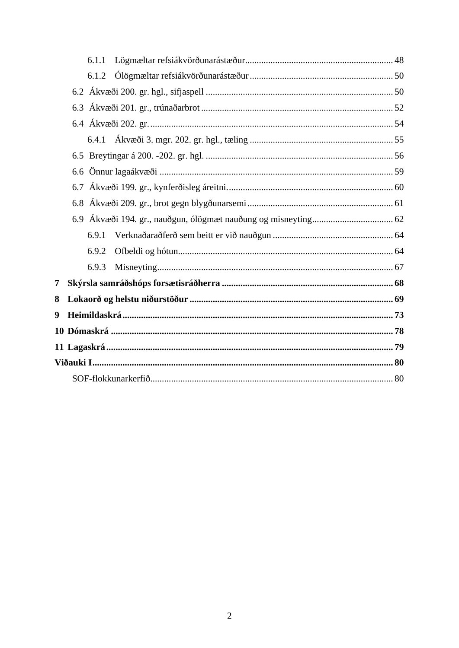|   | 6.1.1 |  |  |  |  |
|---|-------|--|--|--|--|
|   | 6.1.2 |  |  |  |  |
|   |       |  |  |  |  |
|   |       |  |  |  |  |
|   |       |  |  |  |  |
|   |       |  |  |  |  |
|   |       |  |  |  |  |
|   |       |  |  |  |  |
|   |       |  |  |  |  |
|   |       |  |  |  |  |
|   |       |  |  |  |  |
|   | 6.9.1 |  |  |  |  |
|   | 6.9.2 |  |  |  |  |
|   | 6.9.3 |  |  |  |  |
| 7 |       |  |  |  |  |
| 8 |       |  |  |  |  |
| 9 |       |  |  |  |  |
|   |       |  |  |  |  |
|   |       |  |  |  |  |
|   |       |  |  |  |  |
|   |       |  |  |  |  |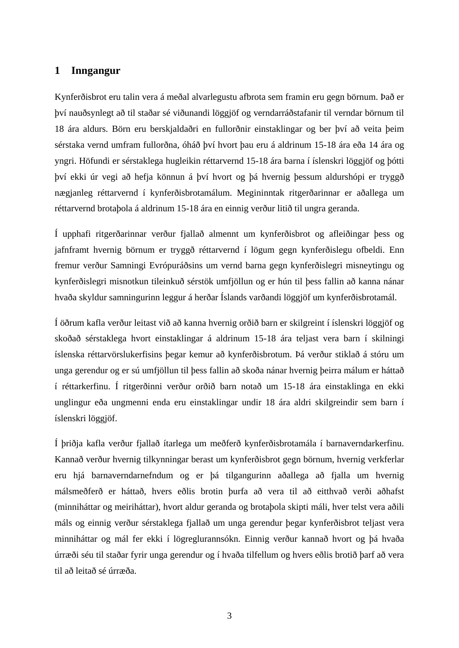#### <span id="page-7-0"></span>**1 Inngangur**

Kynferðisbrot eru talin vera á meðal alvarlegustu afbrota sem framin eru gegn börnum. Það er því nauðsynlegt að til staðar sé viðunandi löggjöf og verndarráðstafanir til verndar börnum til 18 ára aldurs. Börn eru berskjaldaðri en fullorðnir einstaklingar og ber því að veita þeim sérstaka vernd umfram fullorðna, óháð því hvort þau eru á aldrinum 15-18 ára eða 14 ára og yngri. Höfundi er sérstaklega hugleikin réttarvernd 15-18 ára barna í íslenskri löggjöf og þótti því ekki úr vegi að hefja könnun á því hvort og þá hvernig þessum aldurshópi er tryggð nægjanleg réttarvernd í kynferðisbrotamálum. Megininntak ritgerðarinnar er aðallega um réttarvernd brotaþola á aldrinum 15-18 ára en einnig verður litið til ungra geranda.

Í upphafi ritgerðarinnar verður fjallað almennt um kynferðisbrot og afleiðingar þess og jafnframt hvernig börnum er tryggð réttarvernd í lögum gegn kynferðislegu ofbeldi. Enn fremur verður Samningi Evrópuráðsins um vernd barna gegn kynferðislegri misneytingu og kynferðislegri misnotkun tileinkuð sérstök umfjöllun og er hún til þess fallin að kanna nánar hvaða skyldur samningurinn leggur á herðar Íslands varðandi löggjöf um kynferðisbrotamál.

Í öðrum kafla verður leitast við að kanna hvernig orðið barn er skilgreint í íslenskri löggjöf og skoðað sérstaklega hvort einstaklingar á aldrinum 15-18 ára teljast vera barn í skilningi íslenska réttarvörslukerfisins þegar kemur að kynferðisbrotum. Þá verður stiklað á stóru um unga gerendur og er sú umfjöllun til þess fallin að skoða nánar hvernig þeirra málum er háttað í réttarkerfinu. Í ritgerðinni verður orðið barn notað um 15-18 ára einstaklinga en ekki unglingur eða ungmenni enda eru einstaklingar undir 18 ára aldri skilgreindir sem barn í íslenskri löggjöf.

Í þriðja kafla verður fjallað ítarlega um meðferð kynferðisbrotamála í barnaverndarkerfinu. Kannað verður hvernig tilkynningar berast um kynferðisbrot gegn börnum, hvernig verkferlar eru hjá barnaverndarnefndum og er þá tilgangurinn aðallega að fjalla um hvernig málsmeðferð er háttað, hvers eðlis brotin þurfa að vera til að eitthvað verði aðhafst (minniháttar og meiriháttar), hvort aldur geranda og brotaþola skipti máli, hver telst vera aðili máls og einnig verður sérstaklega fjallað um unga gerendur þegar kynferðisbrot teljast vera minniháttar og mál fer ekki í lögreglurannsókn. Einnig verður kannað hvort og þá hvaða úrræði séu til staðar fyrir unga gerendur og í hvaða tilfellum og hvers eðlis brotið þarf að vera til að leitað sé úrræða.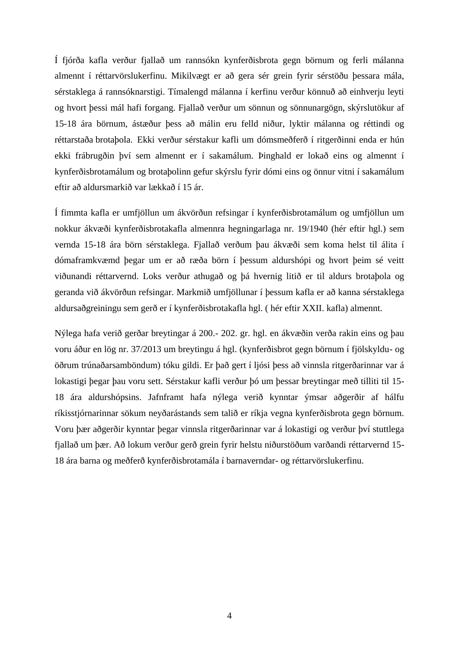Í fjórða kafla verður fjallað um rannsókn kynferðisbrota gegn börnum og ferli málanna almennt í réttarvörslukerfinu. Mikilvægt er að gera sér grein fyrir sérstöðu þessara mála, sérstaklega á rannsóknarstigi. Tímalengd málanna í kerfinu verður könnuð að einhverju leyti og hvort þessi mál hafi forgang. Fjallað verður um sönnun og sönnunargögn, skýrslutökur af 15-18 ára börnum, ástæður þess að málin eru felld niður, lyktir málanna og réttindi og réttarstaða brotaþola. Ekki verður sérstakur kafli um dómsmeðferð í ritgerðinni enda er hún ekki frábrugðin því sem almennt er í sakamálum. Þinghald er lokað eins og almennt í kynferðisbrotamálum og brotaþolinn gefur skýrslu fyrir dómi eins og önnur vitni í sakamálum eftir að aldursmarkið var lækkað í 15 ár.

Í fimmta kafla er umfjöllun um ákvörðun refsingar í kynferðisbrotamálum og umfjöllun um nokkur ákvæði kynferðisbrotakafla almennra hegningarlaga nr. 19/1940 (hér eftir hgl.) sem vernda 15-18 ára börn sérstaklega. Fjallað verðum þau ákvæði sem koma helst til álita í dómaframkvæmd þegar um er að ræða börn í þessum aldurshópi og hvort þeim sé veitt viðunandi réttarvernd. Loks verður athugað og þá hvernig litið er til aldurs brotaþola og geranda við ákvörðun refsingar. Markmið umfjöllunar í þessum kafla er að kanna sérstaklega aldursaðgreiningu sem gerð er í kynferðisbrotakafla hgl. ( hér eftir XXII. kafla) almennt.

Nýlega hafa verið gerðar breytingar á 200.- 202. gr. hgl. en ákvæðin verða rakin eins og þau voru áður en lög nr. 37/2013 um breytingu á hgl. (kynferðisbrot gegn börnum í fjölskyldu- og öðrum trúnaðarsamböndum) tóku gildi. Er það gert í ljósi þess að vinnsla ritgerðarinnar var á lokastigi þegar þau voru sett. Sérstakur kafli verður þó um þessar breytingar með tilliti til 15- 18 ára aldurshópsins. Jafnframt hafa nýlega verið kynntar ýmsar aðgerðir af hálfu ríkisstjórnarinnar sökum neyðarástands sem talið er ríkja vegna kynferðisbrota gegn börnum. Voru þær aðgerðir kynntar þegar vinnsla ritgerðarinnar var á lokastigi og verður því stuttlega fjallað um þær. Að lokum verður gerð grein fyrir helstu niðurstöðum varðandi réttarvernd 15- 18 ára barna og meðferð kynferðisbrotamála í barnaverndar- og réttarvörslukerfinu.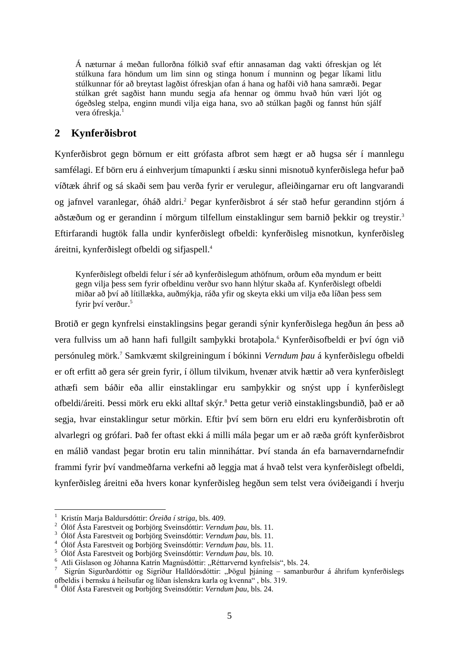Á næturnar á meðan fullorðna fólkið svaf eftir annasaman dag vakti ófreskjan og lét stúlkuna fara höndum um lim sinn og stinga honum í munninn og þegar líkami litlu stúlkunnar fór að breytast lagðist ófreskjan ofan á hana og hafði við hana samræði. Þegar stúlkan grét sagðist hann mundu segja afa hennar og ömmu hvað hún væri ljót og ógeðsleg stelpa, enginn mundi vilja eiga hana, svo að stúlkan þagði og fannst hún sjálf vera ófreskja.<sup>1</sup>

# <span id="page-9-0"></span>**2 Kynferðisbrot**

Kynferðisbrot gegn börnum er eitt grófasta afbrot sem hægt er að hugsa sér í mannlegu samfélagi. Ef börn eru á einhverjum tímapunkti í æsku sinni misnotuð kynferðislega hefur það víðtæk áhrif og sá skaði sem þau verða fyrir er verulegur, afleiðingarnar eru oft langvarandi og jafnvel varanlegar, óháð aldri.<sup>2</sup> Þegar kynferðisbrot á sér stað hefur gerandinn stjórn á aðstæðum og er gerandinn í mörgum tilfellum einstaklingur sem barnið þekkir og treystir.<sup>3</sup> Eftirfarandi hugtök falla undir kynferðislegt ofbeldi: kynferðisleg misnotkun, kynferðisleg áreitni, kynferðislegt ofbeldi og sifjaspell.<sup>4</sup>

Kynferðislegt ofbeldi felur í sér að kynferðislegum athöfnum, orðum eða myndum er beitt gegn vilja þess sem fyrir ofbeldinu verður svo hann hlýtur skaða af. Kynferðislegt ofbeldi miðar að því að lítillækka, auðmýkja, ráða yfir og skeyta ekki um vilja eða líðan þess sem fyrir því verður. 5

Brotið er gegn kynfrelsi einstaklingsins þegar gerandi sýnir kynferðislega hegðun án þess að vera fullviss um að hann hafi fullgilt samþykki brotaþola.<sup>6</sup> Kynferðisofbeldi er því ógn við persónuleg mörk.<sup>7</sup> Samkvæmt skilgreiningum í bókinni *Verndum þau* á kynferðislegu ofbeldi er oft erfitt að gera sér grein fyrir, í öllum tilvikum, hvenær atvik hættir að vera kynferðislegt athæfi sem báðir eða allir einstaklingar eru samþykkir og snýst upp í kynferðislegt ofbeldi/áreiti. Þessi mörk eru ekki alltaf skýr.<sup>8</sup> Þetta getur verið einstaklingsbundið, það er að segja, hvar einstaklingur setur mörkin. Eftir því sem börn eru eldri eru kynferðisbrotin oft alvarlegri og grófari. Það fer oftast ekki á milli mála þegar um er að ræða gróft kynferðisbrot en málið vandast þegar brotin eru talin minniháttar. Því standa án efa barnaverndarnefndir frammi fyrir því vandmeðfarna verkefni að leggja mat á hvað telst vera kynferðislegt ofbeldi, kynferðisleg áreitni eða hvers konar kynferðisleg hegðun sem telst vera óviðeigandi í hverju

<sup>1</sup> Kristín Marja Baldursdóttir: *Óreiða í striga*, bls. 409.

<sup>2</sup> Ólöf Ásta Farestveit og Þorbjörg Sveinsdóttir: *Verndum þau*, bls. 11.

<sup>3</sup> Ólöf Ásta Farestveit og Þorbjörg Sveinsdóttir: *Verndum þau*, bls. 11.

<sup>4</sup> Ólöf Ásta Farestveit og Þorbjörg Sveinsdóttir: *Verndum þau*, bls. 11.

<sup>5</sup> Ólöf Ásta Farestveit og Þorbjörg Sveinsdóttir: *Verndum þau*, bls. 10.

Atli Gíslason og Jóhanna Katrín Magnúsdóttir: "Réttarvernd kynfrelsis", bls. 24.

<sup>7</sup> Sigrún Sigurðardóttir og Sigríður Halldórsdóttir: "Þögul þjáning - samanburður á áhrifum kynferðislegs ofbeldis í bernsku á heilsufar og líðan íslenskra karla og kvenna" , bls. 319.

<sup>8</sup> Ólöf Ásta Farestveit og Þorbjörg Sveinsdóttir: *Verndum þau*, bls. 24.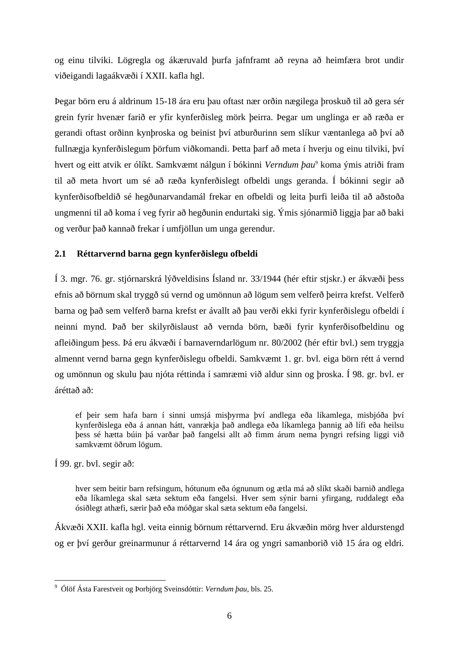og einu tilviki. Lögregla og ákæruvald þurfa jafnframt að reyna að heimfæra brot undir viðeigandi lagaákvæði í XXII. kafla hgl.

Þegar börn eru á aldrinum 15-18 ára eru þau oftast nær orðin nægilega þroskuð til að gera sér grein fyrir hvenær farið er yfir kynferðisleg mörk þeirra. Þegar um unglinga er að ræða er gerandi oftast orðinn kynþroska og beinist því atburðurinn sem slíkur væntanlega að því að fullnægja kynferðislegum þörfum viðkomandi. Þetta þarf að meta í hverju og einu tilviki, því hvert og eitt atvik er ólíkt. Samkvæmt nálgun í bókinni *Verndum þau*<sup>9</sup> koma ýmis atriði fram til að meta hvort um sé að ræða kynferðislegt ofbeldi ungs geranda. Í bókinni segir að kynferðisofbeldið sé hegðunarvandamál frekar en ofbeldi og leita þurfi leiða til að aðstoða ungmenni til að koma í veg fyrir að hegðunin endurtaki sig. Ýmis sjónarmið liggja þar að baki og verður það kannað frekar í umfjöllun um unga gerendur.

#### <span id="page-10-0"></span>**2.1 Réttarvernd barna gegn kynferðislegu ofbeldi**

Í 3. mgr. 76. gr. stjórnarskrá lýðveldisins Ísland nr. 33/1944 (hér eftir stjskr.) er ákvæði þess efnis að börnum skal tryggð sú vernd og umönnun að lögum sem velferð þeirra krefst. Velferð barna og það sem velferð barna krefst er ávallt að þau verði ekki fyrir kynferðislegu ofbeldi í neinni mynd. Það ber skilyrðislaust að vernda börn, bæði fyrir kynferðisofbeldinu og afleiðingum þess. Þá eru ákvæði í barnaverndarlögum nr. 80/2002 (hér eftir bvl.) sem tryggja almennt vernd barna gegn kynferðislegu ofbeldi. Samkvæmt 1. gr. bvl. eiga börn rétt á vernd og umönnun og skulu þau njóta réttinda í samræmi við aldur sinn og þroska. Í 98. gr. bvl. er áréttað að:

ef þeir sem hafa barn í sinni umsjá misþyrma því andlega eða líkamlega, misbjóða því kynferðislega eða á annan hátt, vanrækja það andlega eða líkamlega þannig að lífi eða heilsu þess sé hætta búin þá varðar það fangelsi allt að fimm árum nema þyngri refsing liggi við samkvæmt öðrum lögum.

Í 99. gr. bvl. segir að:

hver sem beitir barn refsingum, hótunum eða ógnunum og ætla má að slíkt skaði barnið andlega eða líkamlega skal sæta sektum eða fangelsi. Hver sem sýnir barni yfirgang, ruddalegt eða ósiðlegt athæfi, særir það eða móðgar skal sæta sektum eða fangelsi.

Ákvæði XXII. kafla hgl. veita einnig börnum réttarvernd. Eru ákvæðin mörg hver aldurstengd og er því gerður greinarmunur á réttarvernd 14 ára og yngri samanborið við 15 ára og eldri.

<sup>1</sup> <sup>9</sup> Ólöf Ásta Farestveit og Þorbjörg Sveinsdóttir: *Verndum þau*, bls. 25.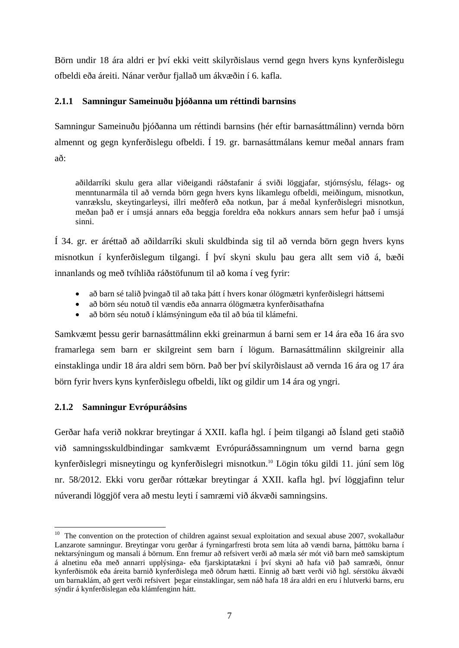Börn undir 18 ára aldri er því ekki veitt skilyrðislaus vernd gegn hvers kyns kynferðislegu ofbeldi eða áreiti. Nánar verður fjallað um ákvæðin í 6. kafla.

# <span id="page-11-0"></span>**2.1.1 Samningur Sameinuðu þjóðanna um réttindi barnsins**

Samningur Sameinuðu þjóðanna um réttindi barnsins (hér eftir barnasáttmálinn) vernda börn almennt og gegn kynferðislegu ofbeldi. Í 19. gr. barnasáttmálans kemur meðal annars fram að:

aðildarríki skulu gera allar viðeigandi ráðstafanir á sviði löggjafar, stjórnsýslu, félags- og menntunarmála til að vernda börn gegn hvers kyns líkamlegu ofbeldi, meiðingum, misnotkun, vanrækslu, skeytingarleysi, illri meðferð eða notkun, þar á meðal kynferðislegri misnotkun, meðan það er í umsjá annars eða beggja foreldra eða nokkurs annars sem hefur það í umsjá sinni.

Í 34. gr. er áréttað að aðildarríki skuli skuldbinda sig til að vernda börn gegn hvers kyns misnotkun í kynferðislegum tilgangi. Í því skyni skulu þau gera allt sem við á, bæði innanlands og með tvíhliða ráðstöfunum til að koma í veg fyrir:

- að barn sé talið þvingað til að taka þátt í hvers konar ólögmætri kynferðislegri háttsemi
- að börn séu notuð til vændis eða annarra ólögmætra kynferðisathafna
- að börn séu notuð í klámsýningum eða til að búa til klámefni.

Samkvæmt þessu gerir barnasáttmálinn ekki greinarmun á barni sem er 14 ára eða 16 ára svo framarlega sem barn er skilgreint sem barn í lögum. Barnasáttmálinn skilgreinir alla einstaklinga undir 18 ára aldri sem börn. Það ber því skilyrðislaust að vernda 16 ára og 17 ára börn fyrir hvers kyns kynferðislegu ofbeldi, líkt og gildir um 14 ára og yngri.

# <span id="page-11-1"></span>**2.1.2 Samningur Evrópuráðsins**

<u>.</u>

Gerðar hafa verið nokkrar breytingar á XXII. kafla hgl. í þeim tilgangi að Ísland geti staðið við samningsskuldbindingar samkvæmt Evrópuráðssamningnum um vernd barna gegn kynferðislegri misneytingu og kynferðislegri misnotkun.<sup>10</sup> Lögin tóku gildi 11. júní sem lög nr. 58/2012. Ekki voru gerðar róttækar breytingar á XXII. kafla hgl. því löggjafinn telur núverandi löggjöf vera að mestu leyti í samræmi við ákvæði samningsins.

 $10$  The convention on the protection of children against sexual exploitation and sexual abuse 2007, svokallaður Lanzarote samningur. Breytingar voru gerðar á fyrningarfresti brota sem lúta að vændi barna, þátttöku barna í nektarsýningum og mansali á börnum. Enn fremur að refsivert verði að mæla sér mót við barn með samskiptum á alnetinu eða með annarri upplýsinga- eða fjarskiptatækni í því skyni að hafa við það samræði, önnur kynferðismök eða áreita barnið kynferðislega með öðrum hætti. Einnig að bætt verði við hgl. sérstöku ákvæði um barnaklám, að gert verði refsivert þegar einstaklingar, sem náð hafa 18 ára aldri en eru í hlutverki barns, eru sýndir á kynferðislegan eða klámfenginn hátt.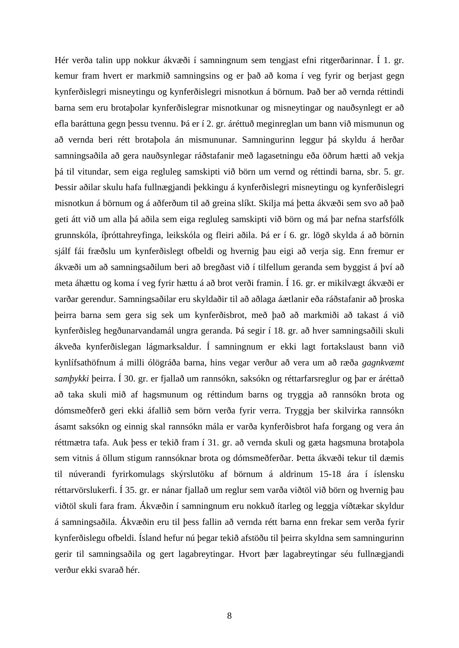Hér verða talin upp nokkur ákvæði í samningnum sem tengjast efni ritgerðarinnar. Í 1. gr. kemur fram hvert er markmið samningsins og er það að koma í veg fyrir og berjast gegn kynferðislegri misneytingu og kynferðislegri misnotkun á börnum. Það ber að vernda réttindi barna sem eru brotaþolar kynferðislegrar misnotkunar og misneytingar og nauðsynlegt er að efla baráttuna gegn þessu tvennu. Þá er í 2. gr. áréttuð meginreglan um bann við mismunun og að vernda beri rétt brotaþola án mismununar. Samningurinn leggur þá skyldu á herðar samningsaðila að gera nauðsynlegar ráðstafanir með lagasetningu eða öðrum hætti að vekja þá til vitundar, sem eiga regluleg samskipti við börn um vernd og réttindi barna, sbr. 5. gr. Þessir aðilar skulu hafa fullnægjandi þekkingu á kynferðislegri misneytingu og kynferðislegri misnotkun á börnum og á aðferðum til að greina slíkt. Skilja má þetta ákvæði sem svo að það geti átt við um alla þá aðila sem eiga regluleg samskipti við börn og má þar nefna starfsfólk grunnskóla, íþróttahreyfinga, leikskóla og fleiri aðila. Þá er í 6. gr. lögð skylda á að börnin sjálf fái fræðslu um kynferðislegt ofbeldi og hvernig þau eigi að verja sig. Enn fremur er ákvæði um að samningsaðilum beri að bregðast við í tilfellum geranda sem byggist á því að meta áhættu og koma í veg fyrir hættu á að brot verði framin. Í 16. gr. er mikilvægt ákvæði er varðar gerendur. Samningsaðilar eru skyldaðir til að aðlaga áætlanir eða ráðstafanir að þroska þeirra barna sem gera sig sek um kynferðisbrot, með það að markmiði að takast á við kynferðisleg hegðunarvandamál ungra geranda. Þá segir í 18. gr. að hver samningsaðili skuli ákveða kynferðislegan lágmarksaldur. Í samningnum er ekki lagt fortakslaust bann við kynlífsathöfnum á milli ólögráða barna, hins vegar verður að vera um að ræða *gagnkvæmt samþykki* þeirra. Í 30. gr. er fjallað um rannsókn, saksókn og réttarfarsreglur og þar er áréttað að taka skuli mið af hagsmunum og réttindum barns og tryggja að rannsókn brota og dómsmeðferð geri ekki áfallið sem börn verða fyrir verra. Tryggja ber skilvirka rannsókn ásamt saksókn og einnig skal rannsókn mála er varða kynferðisbrot hafa forgang og vera án réttmætra tafa. Auk þess er tekið fram í 31. gr. að vernda skuli og gæta hagsmuna brotaþola sem vitnis á öllum stigum rannsóknar brota og dómsmeðferðar. Þetta ákvæði tekur til dæmis til núverandi fyrirkomulags skýrslutöku af börnum á aldrinum 15-18 ára í íslensku réttarvörslukerfi. Í 35. gr. er nánar fjallað um reglur sem varða viðtöl við börn og hvernig þau viðtöl skuli fara fram. Ákvæðin í samningnum eru nokkuð ítarleg og leggja víðtækar skyldur á samningsaðila. Ákvæðin eru til þess fallin að vernda rétt barna enn frekar sem verða fyrir kynferðislegu ofbeldi. Ísland hefur nú þegar tekið afstöðu til þeirra skyldna sem samningurinn gerir til samningsaðila og gert lagabreytingar. Hvort þær lagabreytingar séu fullnægjandi verður ekki svarað hér.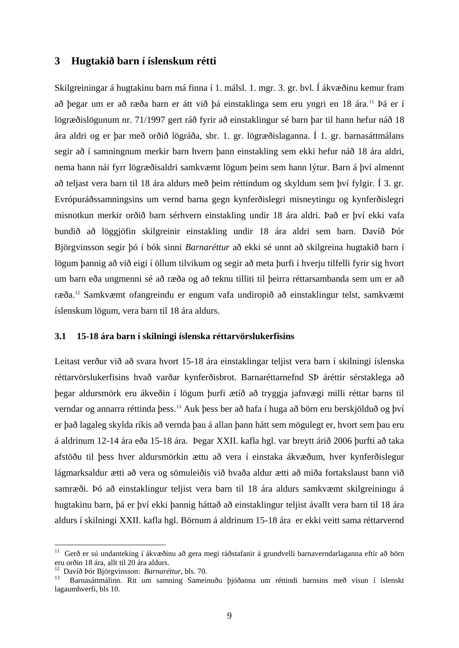#### <span id="page-13-0"></span>**3 Hugtakið barn í íslenskum rétti**

Skilgreiningar á hugtakinu barn má finna í 1. málsl. 1. mgr. 3. gr. bvl. Í ákvæðinu kemur fram að þegar um er að ræða barn er átt við þá einstaklinga sem eru yngri en 18 ára.<sup>11</sup> Þá er í lögræðislögunum nr. 71/1997 gert ráð fyrir að einstaklingur sé barn þar til hann hefur náð 18 ára aldri og er þar með orðið lögráða, sbr. 1. gr. lögræðislaganna. Í 1. gr. barnasáttmálans segir að í samningnum merkir barn hvern þann einstakling sem ekki hefur náð 18 ára aldri, nema hann nái fyrr lögræðisaldri samkvæmt lögum þeim sem hann lýtur. Barn á því almennt að teljast vera barn til 18 ára aldurs með þeim réttindum og skyldum sem því fylgir. Í 3. gr. Evrópuráðssamningsins um vernd barna gegn kynferðislegri misneytingu og kynferðislegri misnotkun merkir orðið barn sérhvern einstakling undir 18 ára aldri. Það er því ekki vafa bundið að löggjöfin skilgreinir einstakling undir 18 ára aldri sem barn. Davíð Þór Björgvinsson segir þó í bók sinni *Barnaréttur* að ekki sé unnt að skilgreina hugtakið barn í lögum þannig að við eigi í öllum tilvikum og segir að meta þurfi í hverju tilfelli fyrir sig hvort um barn eða ungmenni sé að ræða og að teknu tilliti til þeirra réttarsambanda sem um er að ræða.<sup>12</sup> Samkvæmt ofangreindu er engum vafa undiropið að einstaklingur telst, samkvæmt íslenskum lögum, vera barn til 18 ára aldurs.

#### <span id="page-13-1"></span>**3.1 15-18 ára barn í skilningi íslenska réttarvörslukerfisins**

Leitast verður við að svara hvort 15-18 ára einstaklingar teljist vera barn í skilningi íslenska réttarvörslukerfisins hvað varðar kynferðisbrot. Barnaréttarnefnd SÞ áréttir sérstaklega að þegar aldursmörk eru ákveðin í lögum þurfi ætíð að tryggja jafnvægi milli réttar barns til verndar og annarra réttinda þess.<sup>13</sup> Auk þess ber að hafa í huga að börn eru berskjölduð og því er það lagaleg skylda ríkis að vernda þau á allan þann hátt sem mögulegt er, hvort sem þau eru á aldrinum 12-14 ára eða 15-18 ára. Þegar XXII. kafla hgl. var breytt árið 2006 þurfti að taka afstöðu til þess hver aldursmörkin ættu að vera í einstaka ákvæðum, hver kynferðislegur lágmarksaldur ætti að vera og sömuleiðis við hvaða aldur ætti að miða fortakslaust bann við samræði. Þó að einstaklingur teljist vera barn til 18 ára aldurs samkvæmt skilgreiningu á hugtakinu barn, þá er því ekki þannig háttað að einstaklingur teljist ávallt vera barn til 18 ára aldurs í skilningi XXII. kafla hgl. Börnum á aldrinum 15-18 ára er ekki veitt sama réttarvernd

<sup>&</sup>lt;sup>11</sup> Gerð er sú undanteking í ákvæðinu að gera megi ráðstafanir á grundvelli barnaverndarlaganna eftir að börn eru orðin 18 ára, allt til 20 ára aldurs.

<sup>12</sup> Davíð Þór Björgvinsson: *Barnaréttur*, bls. 70.

<sup>13</sup> Barnasáttmálinn. Rit um samning Sameinuðu þjóðanna um réttindi barnsins með vísun í íslenskt lagaumhverfi, bls 10.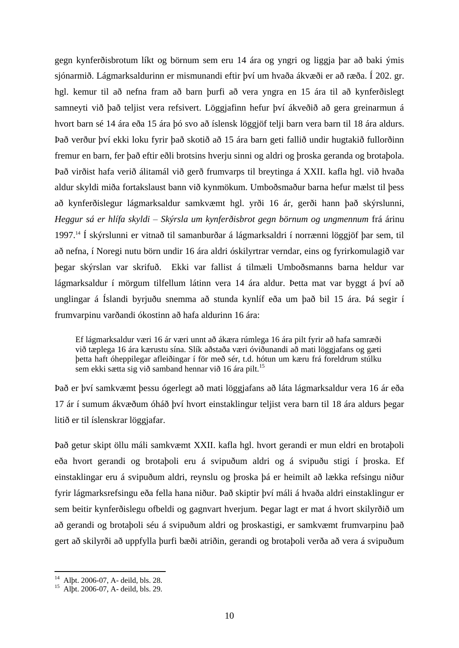gegn kynferðisbrotum líkt og börnum sem eru 14 ára og yngri og liggja þar að baki ýmis sjónarmið. Lágmarksaldurinn er mismunandi eftir því um hvaða ákvæði er að ræða. Í 202. gr. hgl. kemur til að nefna fram að barn þurfi að vera yngra en 15 ára til að kynferðislegt samneyti við það teljist vera refsivert. Löggjafinn hefur því ákveðið að gera greinarmun á hvort barn sé 14 ára eða 15 ára þó svo að íslensk löggjöf telji barn vera barn til 18 ára aldurs. Það verður því ekki loku fyrir það skotið að 15 ára barn geti fallið undir hugtakið fullorðinn fremur en barn, fer það eftir eðli brotsins hverju sinni og aldri og þroska geranda og brotaþola. Það virðist hafa verið álitamál við gerð frumvarps til breytinga á XXII. kafla hgl. við hvaða aldur skyldi miða fortakslaust bann við kynmökum. Umboðsmaður barna hefur mælst til þess að kynferðislegur lágmarksaldur samkvæmt hgl. yrði 16 ár, gerði hann það skýrslunni, *Heggur sá er hlífa skyldi – Skýrsla um kynferðisbrot gegn börnum og ungmennum* frá árinu 1997.<sup>14</sup> Í skýrslunni er vitnað til samanburðar á lágmarksaldri í norrænni löggjöf þar sem, til að nefna, í Noregi nutu börn undir 16 ára aldri óskilyrtrar verndar, eins og fyrirkomulagið var þegar skýrslan var skrifuð. Ekki var fallist á tilmæli Umboðsmanns barna heldur var lágmarksaldur í mörgum tilfellum látinn vera 14 ára aldur. Þetta mat var byggt á því að unglingar á Íslandi byrjuðu snemma að stunda kynlíf eða um það bil 15 ára. Þá segir í frumvarpinu varðandi ókostinn að hafa aldurinn 16 ára:

Ef lágmarksaldur væri 16 ár væri unnt að ákæra rúmlega 16 ára pilt fyrir að hafa samræði við tæplega 16 ára kærustu sína. Slík aðstaða væri óviðunandi að mati löggjafans og gæti þetta haft óheppilegar afleiðingar í för með sér, t.d. hótun um kæru frá foreldrum stúlku sem ekki sætta sig við samband hennar við 16 ára pilt.<sup>15</sup>

Það er því samkvæmt þessu ógerlegt að mati löggjafans að láta lágmarksaldur vera 16 ár eða 17 ár í sumum ákvæðum óháð því hvort einstaklingur teljist vera barn til 18 ára aldurs þegar litið er til íslenskrar löggjafar.

Það getur skipt öllu máli samkvæmt XXII. kafla hgl. hvort gerandi er mun eldri en brotaþoli eða hvort gerandi og brotaþoli eru á svipuðum aldri og á svipuðu stigi í þroska. Ef einstaklingar eru á svipuðum aldri, reynslu og þroska þá er heimilt að lækka refsingu niður fyrir lágmarksrefsingu eða fella hana niður. Það skiptir því máli á hvaða aldri einstaklingur er sem beitir kynferðislegu ofbeldi og gagnvart hverjum. Þegar lagt er mat á hvort skilyrðið um að gerandi og brotaþoli séu á svipuðum aldri og þroskastigi, er samkvæmt frumvarpinu það gert að skilyrði að uppfylla þurfi bæði atriðin, gerandi og brotaþoli verða að vera á svipuðum

<sup>14</sup> Alþt. 2006-07, A- deild, bls. 28.

<sup>15</sup> Alþt. 2006-07, A- deild, bls. 29.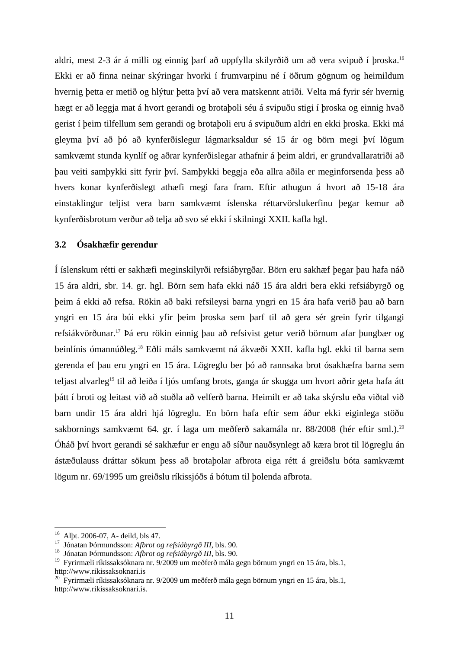aldri, mest 2-3 ár á milli og einnig þarf að uppfylla skilyrðið um að vera svipuð í þroska.<sup>16</sup> Ekki er að finna neinar skýringar hvorki í frumvarpinu né í öðrum gögnum og heimildum hvernig þetta er metið og hlýtur þetta því að vera matskennt atriði. Velta má fyrir sér hvernig hægt er að leggja mat á hvort gerandi og brotaþoli séu á svipuðu stigi í þroska og einnig hvað gerist í þeim tilfellum sem gerandi og brotaþoli eru á svipuðum aldri en ekki þroska. Ekki má gleyma því að þó að kynferðislegur lágmarksaldur sé 15 ár og börn megi því lögum samkvæmt stunda kynlíf og aðrar kynferðislegar athafnir á þeim aldri, er grundvallaratriði að þau veiti samþykki sitt fyrir því. Samþykki beggja eða allra aðila er meginforsenda þess að hvers konar kynferðislegt athæfi megi fara fram. Eftir athugun á hvort að 15-18 ára einstaklingur teljist vera barn samkvæmt íslenska réttarvörslukerfinu þegar kemur að kynferðisbrotum verður að telja að svo sé ekki í skilningi XXII. kafla hgl.

#### <span id="page-15-0"></span>**3.2 Ósakhæfir gerendur**

Í íslenskum rétti er sakhæfi meginskilyrði refsiábyrgðar. Börn eru sakhæf þegar þau hafa náð 15 ára aldri, sbr. 14. gr. hgl. Börn sem hafa ekki náð 15 ára aldri bera ekki refsiábyrgð og þeim á ekki að refsa. Rökin að baki refsileysi barna yngri en 15 ára hafa verið þau að barn yngri en 15 ára búi ekki yfir þeim þroska sem þarf til að gera sér grein fyrir tilgangi refsiákvörðunar.<sup>17</sup> Þá eru rökin einnig þau að refsivist getur verið börnum afar þungbær og beinlínis ómannúðleg.<sup>18</sup> Eðli máls samkvæmt ná ákvæði XXII. kafla hgl. ekki til barna sem gerenda ef þau eru yngri en 15 ára. Lögreglu ber þó að rannsaka brot ósakhæfra barna sem teljast alvarleg<sup>19</sup> til að leiða í ljós umfang brots, ganga úr skugga um hvort aðrir geta hafa átt þátt í broti og leitast við að stuðla að velferð barna. Heimilt er að taka skýrslu eða viðtal við barn undir 15 ára aldri hjá lögreglu. En börn hafa eftir sem áður ekki eiginlega stöðu sakbornings samkvæmt 64. gr. í laga um meðferð sakamála nr. 88/2008 (hér eftir sml.).<sup>20</sup> Óháð því hvort gerandi sé sakhæfur er engu að síður nauðsynlegt að kæra brot til lögreglu án ástæðulauss dráttar sökum þess að brotaþolar afbrota eiga rétt á greiðslu bóta samkvæmt lögum nr. 69/1995 um greiðslu ríkissjóðs á bótum til þolenda afbrota.

<u>.</u>

<sup>16</sup> Alþt. 2006-07, A- deild, bls 47.

<sup>17</sup> Jónatan Þórmundsson: *Afbrot og refsiábyrgð III*, bls. 90.

<sup>18</sup> Jónatan Þórmundsson: *Afbrot og refsiábyrgð III*, bls. 90.

<sup>19</sup> Fyrirmæli ríkissaksóknara nr. 9/2009 um meðferð mála gegn börnum yngri en 15 ára, bls.1, http://www.rikissaksoknari.is

<sup>&</sup>lt;sup>20</sup> Fyrirmæli ríkissaksóknara nr. 9/2009 um meðferð mála gegn börnum yngri en 15 ára, bls.1, http://www.rikissaksoknari.is.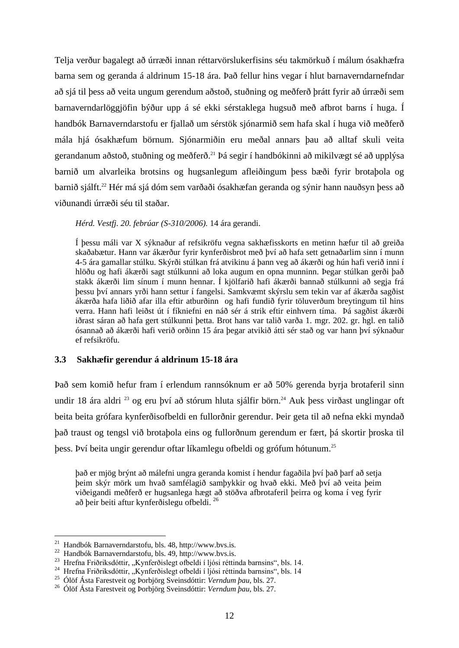Telja verður bagalegt að úrræði innan réttarvörslukerfisins séu takmörkuð í málum ósakhæfra barna sem og geranda á aldrinum 15-18 ára. Það fellur hins vegar í hlut barnaverndarnefndar að sjá til þess að veita ungum gerendum aðstoð, stuðning og meðferð þrátt fyrir að úrræði sem barnaverndarlöggjöfin býður upp á sé ekki sérstaklega hugsuð með afbrot barns í huga. Í handbók Barnaverndarstofu er fjallað um sérstök sjónarmið sem hafa skal í huga við meðferð mála hjá ósakhæfum börnum. Sjónarmiðin eru meðal annars þau að alltaf skuli veita gerandanum aðstoð, stuðning og meðferð.<sup>21</sup> Þá segir í handbókinni að mikilvægt sé að upplýsa barnið um alvarleika brotsins og hugsanlegum afleiðingum þess bæði fyrir brotaþola og barnið sjálft.<sup>22</sup> Hér má sjá dóm sem varðaði ósakhæfan geranda og sýnir hann nauðsyn þess að viðunandi úrræði séu til staðar.

*Hérd. Vestfj. 20. febrúar (S-310/2006).* 14 ára gerandi.

Í þessu máli var X sýknaður af refsikröfu vegna sakhæfisskorts en metinn hæfur til að greiða skaðabætur. Hann var ákærður fyrir kynferðisbrot með því að hafa sett getnaðarlim sinn í munn 4-5 ára gamallar stúlku. Skýrði stúlkan frá atvikinu á þann veg að ákærði og hún hafi verið inni í hlöðu og hafi ákærði sagt stúlkunni að loka augum en opna munninn. Þegar stúlkan gerði það stakk ákærði lim sínum í munn hennar. Í kjölfarið hafi ákærði bannað stúlkunni að segja frá þessu því annars yrði hann settur í fangelsi. Samkvæmt skýrslu sem tekin var af ákærða sagðist ákærða hafa liðið afar illa eftir atburðinn og hafi fundið fyrir töluverðum breytingum til hins verra. Hann hafi leiðst út í fíkniefni en náð sér á strik eftir einhvern tíma. Þá sagðist ákærði iðrast sáran að hafa gert stúlkunni þetta. Brot hans var talið varða 1. mgr. 202. gr. hgl. en talið ósannað að ákærði hafi verið orðinn 15 ára þegar atvikið átti sér stað og var hann því sýknaður ef refsikröfu.

#### <span id="page-16-0"></span>**3.3 Sakhæfir gerendur á aldrinum 15-18 ára**

Það sem komið hefur fram í erlendum rannsóknum er að 50% gerenda byrja brotaferil sinn undir 18 ára aldri  $^{23}$  og eru því að stórum hluta sjálfir börn.<sup>24</sup> Auk þess virðast unglingar oft beita beita grófara kynferðisofbeldi en fullorðnir gerendur. Þeir geta til að nefna ekki myndað það traust og tengsl við brotaþola eins og fullorðnum gerendum er fært, þá skortir þroska til þess. Því beita ungir gerendur oftar líkamlegu ofbeldi og grófum hótunum.<sup>25</sup>

það er mjög brýnt að málefni ungra geranda komist í hendur fagaðila því það þarf að setja þeim skýr mörk um hvað samfélagið samþykkir og hvað ekki. Með því að veita þeim viðeigandi meðferð er hugsanlega hægt að stöðva afbrotaferil þeirra og koma í veg fyrir að þeir beiti aftur kynferðislegu ofbeldi. <sup>26</sup>

 $^{21}$  Handbók Barnaverndarstofu, bls. 48, http://www.bvs.is.

<sup>&</sup>lt;sup>22</sup> Handbók Barnaverndarstofu, bls. 49, http://www.bvs.is.

<sup>&</sup>lt;sup>23</sup> Hrefna Friðriksdóttir, "Kynferðislegt ofbeldi í ljósi réttinda barnsins", bls. 14.

<sup>&</sup>lt;sup>24</sup> Hrefna Friðriksdóttir, "Kynferðislegt ofbeldi í ljósi réttinda barnsins", bls. 14

<sup>25</sup> Ólöf Ásta Farestveit og Þorbjörg Sveinsdóttir: *Verndum þau*, bls. 27.

<sup>26</sup> Ólöf Ásta Farestveit og Þorbjörg Sveinsdóttir: *Verndum þau*, bls. 27.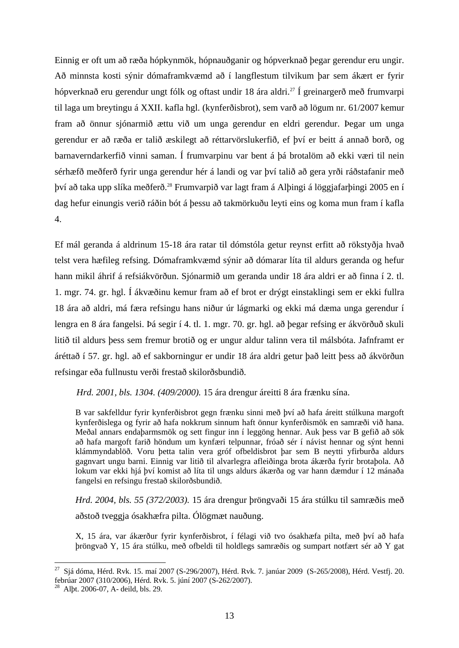Einnig er oft um að ræða hópkynmök, hópnauðganir og hópverknað þegar gerendur eru ungir. Að minnsta kosti sýnir dómaframkvæmd að í langflestum tilvikum þar sem ákært er fyrir hópverknað eru gerendur ungt fólk og oftast undir 18 ára aldri.<sup>27</sup> Í greinargerð með frumvarpi til laga um breytingu á XXII. kafla hgl. (kynferðisbrot), sem varð að lögum nr. 61/2007 kemur fram að önnur sjónarmið ættu við um unga gerendur en eldri gerendur. Þegar um unga gerendur er að ræða er talið æskilegt að réttarvörslukerfið, ef því er beitt á annað borð, og barnaverndarkerfið vinni saman. Í frumvarpinu var bent á þá brotalöm að ekki væri til nein sérhæfð meðferð fyrir unga gerendur hér á landi og var því talið að gera yrði ráðstafanir með því að taka upp slíka meðferð.<sup>28</sup> Frumvarpið var lagt fram á Alþingi á löggjafarþingi 2005 en í dag hefur einungis verið ráðin bót á þessu að takmörkuðu leyti eins og koma mun fram í kafla 4.

Ef mál geranda á aldrinum 15-18 ára ratar til dómstóla getur reynst erfitt að rökstyðja hvað telst vera hæfileg refsing. Dómaframkvæmd sýnir að dómarar líta til aldurs geranda og hefur hann mikil áhrif á refsiákvörðun. Sjónarmið um geranda undir 18 ára aldri er að finna í 2. tl. 1. mgr. 74. gr. hgl. Í ákvæðinu kemur fram að ef brot er drýgt einstaklingi sem er ekki fullra 18 ára að aldri, má færa refsingu hans niður úr lágmarki og ekki má dæma unga gerendur í lengra en 8 ára fangelsi. Þá segir í 4. tl. 1. mgr. 70. gr. hgl. að þegar refsing er ákvörðuð skuli litið til aldurs þess sem fremur brotið og er ungur aldur talinn vera til málsbóta. Jafnframt er áréttað í 57. gr. hgl. að ef sakborningur er undir 18 ára aldri getur það leitt þess að ákvörðun refsingar eða fullnustu verði frestað skilorðsbundið.

*Hrd. 2001, bls. 1304. (409/2000).* 15 ára drengur áreitti 8 ára frænku sína.

B var sakfelldur fyrir kynferðisbrot gegn frænku sinni með því að hafa áreitt stúlkuna margoft kynferðislega og fyrir að hafa nokkrum sinnum haft önnur kynferðismök en samræði við hana. Meðal annars endaþarmsmök og sett fingur inn í leggöng hennar. Auk þess var B gefið að sök að hafa margoft farið höndum um kynfæri telpunnar, fróað sér í návist hennar og sýnt henni klámmyndablöð. Voru þetta talin vera gróf ofbeldisbrot þar sem B neytti yfirburða aldurs gagnvart ungu barni. Einnig var litið til alvarlegra afleiðinga brota ákærða fyrir brotaþola. Að lokum var ekki hjá því komist að líta til ungs aldurs ákærða og var hann dæmdur í 12 mánaða fangelsi en refsingu frestað skilorðsbundið.

*Hrd. 2004, bls. 55 (372/2003).* 15 ára drengur þröngvaði 15 ára stúlku til samræðis með aðstoð tveggja ósakhæfra pilta. Ólögmæt nauðung.

X, 15 ára, var ákærður fyrir kynferðisbrot, í félagi við tvo ósakhæfa pilta, með því að hafa þröngvað Y, 15 ára stúlku, með ofbeldi til holdlegs samræðis og sumpart notfært sér að Y gat

<u>.</u>

<sup>&</sup>lt;sup>27</sup> Sjá dóma, Hérd. Rvk. 15. maí 2007 (S-296/2007), Hérd. Rvk. 7. janúar 2009 (S-265/2008), Hérd. Vestfj. 20. febrúar 2007 (310/2006), Hérd. Rvk. 5. júní 2007 (S-262/2007).

<sup>28</sup> Alþt. 2006-07, A- deild, bls. 29.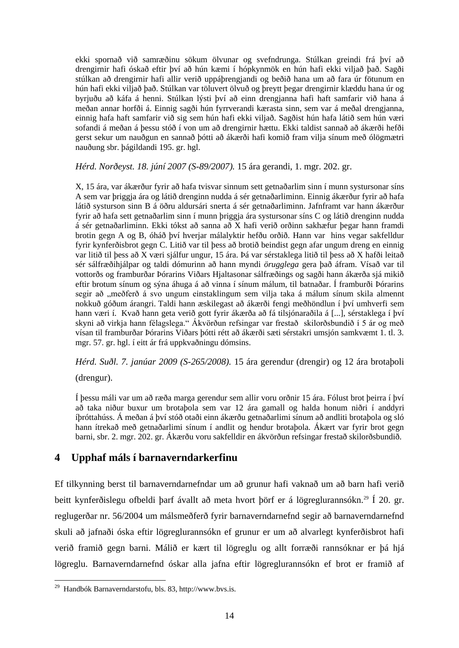ekki spornað við samræðinu sökum ölvunar og svefndrunga. Stúlkan greindi frá því að drengirnir hafi óskað eftir því að hún kæmi í hópkynmök en hún hafi ekki viljað það. Sagði stúlkan að drengirnir hafi allir verið uppáþrengjandi og beðið hana um að fara úr fötunum en hún hafi ekki viljað það. Stúlkan var töluvert ölvuð og þreytt þegar drengirnir klæddu hana úr og byrjuðu að káfa á henni. Stúlkan lýsti því að einn drengjanna hafi haft samfarir við hana á meðan annar horfði á. Einnig sagði hún fyrrverandi kærasta sinn, sem var á meðal drengjanna, einnig hafa haft samfarir við sig sem hún hafi ekki viljað. Sagðist hún hafa látið sem hún væri sofandi á meðan á þessu stóð í von um að drengirnir hættu. Ekki taldist sannað að ákærði hefði gerst sekur um nauðgun en sannað þótti að ákærði hafi komið fram vilja sínum með ólögmætri nauðung sbr. þágildandi 195. gr. hgl.

*Hérd. Norðeyst. 18. júní 2007 (S-89/2007).* 15 ára gerandi, 1. mgr. 202. gr.

X, 15 ára, var ákærður fyrir að hafa tvisvar sinnum sett getnaðarlim sinn í munn systursonar síns A sem var þriggja ára og látið drenginn nudda á sér getnaðarliminn. Einnig ákærður fyrir að hafa látið systurson sinn B á öðru aldursári snerta á sér getnaðarliminn. Jafnframt var hann ákærður fyrir að hafa sett getnaðarlim sinn í munn þriggja ára systursonar síns C og látið drenginn nudda á sér getnaðarliminn. Ekki tókst að sanna að X hafi verið orðinn sakhæfur þegar hann framdi brotin gegn A og B, óháð því hverjar málalyktir hefðu orðið. Hann var hins vegar sakfelldur fyrir kynferðisbrot gegn C. Litið var til þess að brotið beindist gegn afar ungum dreng en einnig var litið til þess að X væri sjálfur ungur, 15 ára. Þá var sérstaklega litið til þess að X hafði leitað sér sálfræðihjálpar og taldi dómurinn að hann myndi *örugglega* gera það áfram. Vísað var til vottorðs og framburðar Þórarins Viðars Hjaltasonar sálfræðings og sagði hann ákærða sjá mikið eftir brotum sínum og sýna áhuga á að vinna í sínum málum, til batnaðar. Í framburði Þórarins segir að "meðferð á svo ungum einstaklingum sem vilja taka á málum sínum skila almennt nokkuð góðum árangri. Taldi hann æskilegast að ákærði fengi meðhöndlun í því umhverfi sem hann væri í. Kvað hann geta verið gott fyrir ákærða að fá tilsjónaraðila á [...], sérstaklega í því skyni að virkja hann félagslega." Ákvörðun refsingar var frestað skilorðsbundið í 5 ár og með vísan til framburðar Þórarins Viðars þótti rétt að ákærði sæti sérstakri umsjón samkvæmt 1. tl. 3. mgr. 57. gr. hgl. í eitt ár frá uppkvaðningu dómsins.

*Hérd. Suðl. 7. janúar 2009 (S-265/2008).* 15 ára gerendur (drengir) og 12 ára brotaþoli (drengur).

Í þessu máli var um að ræða marga gerendur sem allir voru orðnir 15 ára. Fólust brot þeirra í því að taka niður buxur um brotaþola sem var 12 ára gamall og halda honum niðri í anddyri íþróttahúss. Á meðan á því stóð otaði einn ákærðu getnaðarlimi sínum að andliti brotaþola og sló hann ítrekað með getnaðarlimi sínum í andlit og hendur brotaþola. Ákært var fyrir brot gegn barni, sbr. 2. mgr. 202. gr. Ákærðu voru sakfelldir en ákvörðun refsingar frestað skilorðsbundið.

# <span id="page-18-0"></span>**4 Upphaf máls í barnaverndarkerfinu**

Ef tilkynning berst til barnaverndarnefndar um að grunur hafi vaknað um að barn hafi verið beitt kynferðislegu ofbeldi þarf ávallt að meta hvort þörf er á lögreglurannsókn.<sup>29</sup> Í 20. gr. reglugerðar nr. 56/2004 um málsmeðferð fyrir barnaverndarnefnd segir að barnaverndarnefnd skuli að jafnaði óska eftir lögreglurannsókn ef grunur er um að alvarlegt kynferðisbrot hafi verið framið gegn barni. Málið er kært til lögreglu og allt forræði rannsóknar er þá hjá lögreglu. Barnaverndarnefnd óskar alla jafna eftir lögreglurannsókn ef brot er framið af

<sup>&</sup>lt;sup>29</sup> Handbók Barnaverndarstofu, bls. 83, http://www.bvs.is.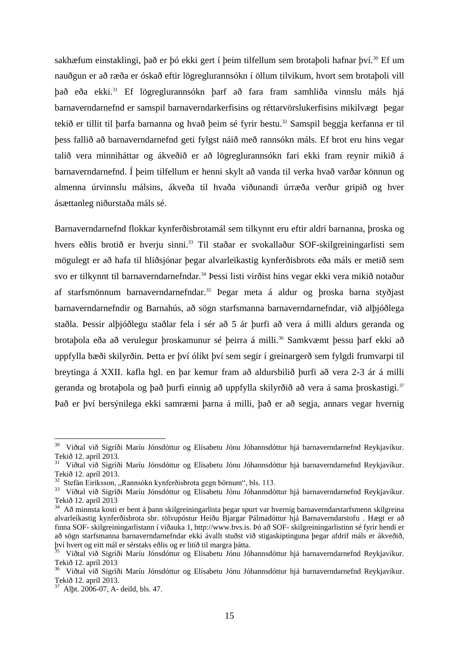sakhæfum einstaklingi, það er þó ekki gert í þeim tilfellum sem brotaþoli hafnar því.<sup>30</sup> Ef um nauðgun er að ræða er óskað eftir lögreglurannsókn í öllum tilvikum, hvort sem brotaþoli vill það eða ekki.<sup>31</sup> Ef lögreglurannsókn þarf að fara fram samhliða vinnslu máls hjá barnaverndarnefnd er samspil barnaverndarkerfisins og réttarvörslukerfisins mikilvægt þegar tekið er tillit til þarfa barnanna og hvað þeim sé fyrir bestu.<sup>32</sup> Samspil beggja kerfanna er til þess fallið að barnaverndarnefnd geti fylgst náið með rannsókn máls. Ef brot eru hins vegar talið vera minniháttar og ákveðið er að lögreglurannsókn fari ekki fram reynir mikið á barnaverndarnefnd. Í þeim tilfellum er henni skylt að vanda til verka hvað varðar könnun og almenna úrvinnslu málsins, ákveða til hvaða viðunandi úrræða verður gripið og hver ásættanleg niðurstaða máls sé.

Barnaverndarnefnd flokkar kynferðisbrotamál sem tilkynnt eru eftir aldri barnanna, þroska og hvers eðlis brotið er hverju sinni.<sup>33</sup> Til staðar er svokallaður SOF-skilgreiningarlisti sem mögulegt er að hafa til hliðsjónar þegar alvarleikastig kynferðisbrots eða máls er metið sem svo er tilkynnt til barnaverndarnefndar.<sup>34</sup> Þessi listi virðist hins vegar ekki vera mikið notaður af starfsmönnum barnaverndarnefndar.<sup>35</sup> Þegar meta á aldur og þroska barna styðjast barnaverndarnefndir og Barnahús, að sögn starfsmanna barnaverndarnefndar, við alþjóðlega staðla. Þessir alþjóðlegu staðlar fela í sér að 5 ár þurfi að vera á milli aldurs geranda og brotaþola eða að verulegur þroskamunur sé þeirra á milli.<sup>36</sup> Samkvæmt þessu þarf ekki að uppfylla bæði skilyrðin. Þetta er því ólíkt því sem segir í greinargerð sem fylgdi frumvarpi til breytinga á XXII. kafla hgl. en þar kemur fram að aldursbilið þurfi að vera 2-3 ár á milli geranda og brotaþola og það þurfi einnig að uppfylla skilyrðið að vera á sama þroskastigi.<sup>37</sup> Það er því bersýnilega ekki samræmi þarna á milli, það er að segja, annars vegar hvernig

<sup>&</sup>lt;sup>30</sup> Viðtal við Sigríði Maríu Jónsdóttur og Elísabetu Jónu Jóhannsdóttur hjá barnaverndarnefnd Reykjavíkur. Tekið 12. apríl 2013.

<sup>&</sup>lt;sup>31</sup> Viðtal við Sigríði Maríu Jónsdóttur og Elísabetu Jónu Jóhannsdóttur hjá barnaverndarnefnd Reykjavíkur. Tekið 12. apríl 2013.

 $32$  Stefán Eiríksson, "Rannsókn kynferðisbrota gegn börnum", bls. 113.

<sup>&</sup>lt;sup>33</sup> Viðtal við Sigríði Maríu Jónsdóttur og Elísabetu Jónu Jóhannsdóttur hjá barnaverndarnefnd Reykjavíkur. Tekið 12. apríl 2013

<sup>34</sup> Að minnsta kosti er bent á þann skilgreiningarlista þegar spurt var hvernig barnaverndarstarfsmenn skilgreina alvarleikastig kynferðisbrota sbr. tölvupóstur Heiðu Bjargar Pálmadóttur hjá Barnaverndarstofu . Hægt er að finna SOF- skilgreiningarlistann í viðauka 1, http://www.bvs.is. Þó að SOF- skilgreiningarlistinn sé fyrir hendi er að sögn starfsmanna barnaverndarnefndar ekki ávallt stuðst við stigaskiptinguna þegar afdrif máls er ákveðið, því hvert og eitt mál er sérstaks eðlis og er litið til margra þátta.

<sup>35</sup> Viðtal við Sigríði Maríu Jónsdóttur og Elísabetu Jónu Jóhannsdóttur hjá barnaverndarnefnd Reykjavíkur. Tekið 12. apríl 2013

<sup>&</sup>lt;sup>36</sup> Viðtal við Sigríði Maríu Jónsdóttur og Elísabetu Jónu Jóhannsdóttur hjá barnaverndarnefnd Reykjavíkur. Tekið 12. apríl 2013.

<sup>37</sup> Alþt. 2006-07, A- deild, bls. 47.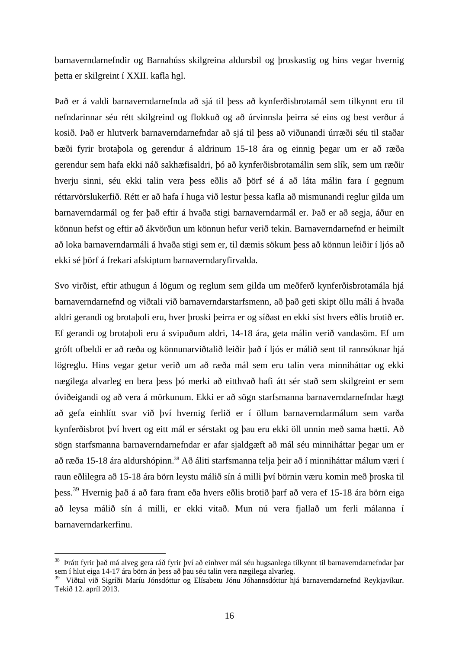barnaverndarnefndir og Barnahúss skilgreina aldursbil og þroskastig og hins vegar hvernig þetta er skilgreint í XXII. kafla hgl.

Það er á valdi barnaverndarnefnda að sjá til þess að kynferðisbrotamál sem tilkynnt eru til nefndarinnar séu rétt skilgreind og flokkuð og að úrvinnsla þeirra sé eins og best verður á kosið. Það er hlutverk barnaverndarnefndar að sjá til þess að viðunandi úrræði séu til staðar bæði fyrir brotaþola og gerendur á aldrinum 15-18 ára og einnig þegar um er að ræða gerendur sem hafa ekki náð sakhæfisaldri, þó að kynferðisbrotamálin sem slík, sem um ræðir hverju sinni, séu ekki talin vera þess eðlis að þörf sé á að láta málin fara í gegnum réttarvörslukerfið. Rétt er að hafa í huga við lestur þessa kafla að mismunandi reglur gilda um barnaverndarmál og fer það eftir á hvaða stigi barnaverndarmál er. Það er að segja, áður en könnun hefst og eftir að ákvörðun um könnun hefur verið tekin. Barnaverndarnefnd er heimilt að loka barnaverndarmáli á hvaða stigi sem er, til dæmis sökum þess að könnun leiðir í ljós að ekki sé þörf á frekari afskiptum barnaverndaryfirvalda.

Svo virðist, eftir athugun á lögum og reglum sem gilda um meðferð kynferðisbrotamála hjá barnaverndarnefnd og viðtali við barnaverndarstarfsmenn, að það geti skipt öllu máli á hvaða aldri gerandi og brotaþoli eru, hver þroski þeirra er og síðast en ekki síst hvers eðlis brotið er. Ef gerandi og brotaþoli eru á svipuðum aldri, 14-18 ára, geta málin verið vandasöm. Ef um gróft ofbeldi er að ræða og könnunarviðtalið leiðir það í ljós er málið sent til rannsóknar hjá lögreglu. Hins vegar getur verið um að ræða mál sem eru talin vera minniháttar og ekki nægilega alvarleg en bera þess þó merki að eitthvað hafi átt sér stað sem skilgreint er sem óviðeigandi og að vera á mörkunum. Ekki er að sögn starfsmanna barnaverndarnefndar hægt að gefa einhlítt svar við því hvernig ferlið er í öllum barnaverndarmálum sem varða kynferðisbrot því hvert og eitt mál er sérstakt og þau eru ekki öll unnin með sama hætti. Að sögn starfsmanna barnaverndarnefndar er afar sjaldgæft að mál séu minniháttar þegar um er að ræða 15-18 ára aldurshópinn.<sup>38</sup> Að áliti starfsmanna telja þeir að í minniháttar málum væri í raun eðlilegra að 15-18 ára börn leystu málið sín á milli því börnin væru komin með þroska til þess.<sup>39</sup> Hvernig það á að fara fram eða hvers eðlis brotið þarf að vera ef 15-18 ára börn eiga að leysa málið sín á milli, er ekki vitað. Mun nú vera fjallað um ferli málanna í barnaverndarkerfinu.

<u>.</u>

<sup>&</sup>lt;sup>38</sup> Þrátt fyrir það má alveg gera ráð fyrir því að einhver mál séu hugsanlega tilkynnt til barnaverndarnefndar þar sem í hlut eiga 14-17 ára börn án þess að þau séu talin vera nægilega alvarleg.

<sup>39</sup> Viðtal við Sigríði Maríu Jónsdóttur og Elísabetu Jónu Jóhannsdóttur hjá barnaverndarnefnd Reykjavíkur. Tekið 12. apríl 2013.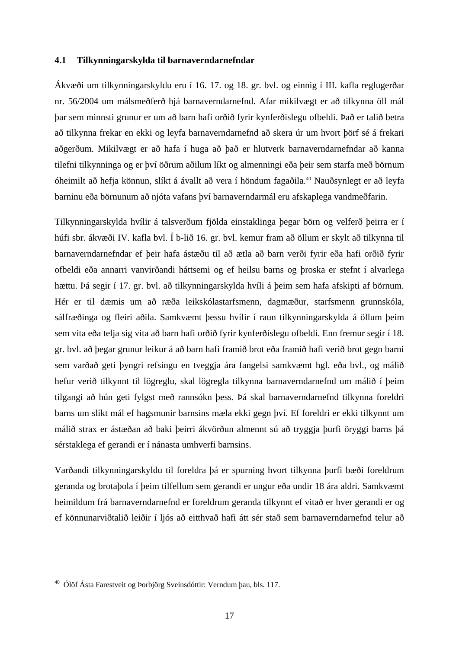#### <span id="page-21-0"></span>**4.1 Tilkynningarskylda til barnaverndarnefndar**

Ákvæði um tilkynningarskyldu eru í 16. 17. og 18. gr. bvl. og einnig í III. kafla reglugerðar nr. 56/2004 um málsmeðferð hjá barnaverndarnefnd. Afar mikilvægt er að tilkynna öll mál þar sem minnsti grunur er um að barn hafi orðið fyrir kynferðislegu ofbeldi. Það er talið betra að tilkynna frekar en ekki og leyfa barnaverndarnefnd að skera úr um hvort þörf sé á frekari aðgerðum. Mikilvægt er að hafa í huga að það er hlutverk barnaverndarnefndar að kanna tilefni tilkynninga og er því öðrum aðilum líkt og almenningi eða þeir sem starfa með börnum óheimilt að hefja könnun, slíkt á ávallt að vera í höndum fagaðila.<sup>40</sup> Nauðsynlegt er að leyfa barninu eða börnunum að njóta vafans því barnaverndarmál eru afskaplega vandmeðfarin.

Tilkynningarskylda hvílir á talsverðum fjölda einstaklinga þegar börn og velferð þeirra er í húfi sbr. ákvæði IV. kafla bvl. Í b-lið 16. gr. bvl. kemur fram að öllum er skylt að tilkynna til barnaverndarnefndar ef þeir hafa ástæðu til að ætla að barn verði fyrir eða hafi orðið fyrir ofbeldi eða annarri vanvirðandi háttsemi og ef heilsu barns og þroska er stefnt í alvarlega hættu. Þá segir í 17. gr. bvl. að tilkynningarskylda hvíli á þeim sem hafa afskipti af börnum. Hér er til dæmis um að ræða leikskólastarfsmenn, dagmæður, starfsmenn grunnskóla, sálfræðinga og fleiri aðila. Samkvæmt þessu hvílir í raun tilkynningarskylda á öllum þeim sem vita eða telja sig vita að barn hafi orðið fyrir kynferðislegu ofbeldi. Enn fremur segir í 18. gr. bvl. að þegar grunur leikur á að barn hafi framið brot eða framið hafi verið brot gegn barni sem varðað geti þyngri refsingu en tveggja ára fangelsi samkvæmt hgl. eða bvl., og málið hefur verið tilkynnt til lögreglu, skal lögregla tilkynna barnaverndarnefnd um málið í þeim tilgangi að hún geti fylgst með rannsókn þess. Þá skal barnaverndarnefnd tilkynna foreldri barns um slíkt mál ef hagsmunir barnsins mæla ekki gegn því. Ef foreldri er ekki tilkynnt um málið strax er ástæðan að baki þeirri ákvörðun almennt sú að tryggja þurfi öryggi barns þá sérstaklega ef gerandi er í nánasta umhverfi barnsins.

Varðandi tilkynningarskyldu til foreldra þá er spurning hvort tilkynna þurfi bæði foreldrum geranda og brotaþola í þeim tilfellum sem gerandi er ungur eða undir 18 ára aldri. Samkvæmt heimildum frá barnaverndarnefnd er foreldrum geranda tilkynnt ef vitað er hver gerandi er og ef könnunarviðtalið leiðir í ljós að eitthvað hafi átt sér stað sem barnaverndarnefnd telur að

<sup>&</sup>lt;sup>40</sup> Ólöf Ásta Farestveit og Þorbjörg Sveinsdóttir: Verndum þau, bls. 117.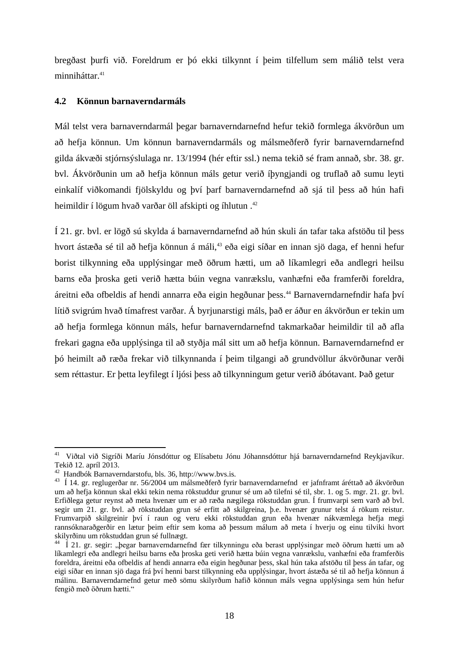bregðast þurfi við. Foreldrum er þó ekki tilkynnt í þeim tilfellum sem málið telst vera minniháttar.<sup>41</sup>

#### <span id="page-22-0"></span>**4.2 Könnun barnaverndarmáls**

Mál telst vera barnaverndarmál þegar barnaverndarnefnd hefur tekið formlega ákvörðun um að hefja könnun. Um könnun barnaverndarmáls og málsmeðferð fyrir barnaverndarnefnd gilda ákvæði stjórnsýslulaga nr. 13/1994 (hér eftir ssl.) nema tekið sé fram annað, sbr. 38. gr. bvl. Ákvörðunin um að hefja könnun máls getur verið íþyngjandi og truflað að sumu leyti einkalíf viðkomandi fjölskyldu og því þarf barnaverndarnefnd að sjá til þess að hún hafi heimildir í lögum hvað varðar öll afskipti og íhlutun.<sup>42</sup>

Í 21. gr. bvl. er lögð sú skylda á barnaverndarnefnd að hún skuli án tafar taka afstöðu til þess hvort ástæða sé til að hefja könnun á máli,<sup>43</sup> eða eigi síðar en innan sjö daga, ef henni hefur borist tilkynning eða upplýsingar með öðrum hætti, um að líkamlegri eða andlegri heilsu barns eða þroska geti verið hætta búin vegna vanrækslu, vanhæfni eða framferði foreldra, áreitni eða ofbeldis af hendi annarra eða eigin hegðunar þess.<sup>44</sup> Barnaverndarnefndir hafa því lítið svigrúm hvað tímafrest varðar. Á byrjunarstigi máls, það er áður en ákvörðun er tekin um að hefja formlega könnun máls, hefur barnaverndarnefnd takmarkaðar heimildir til að afla frekari gagna eða upplýsinga til að styðja mál sitt um að hefja könnun. Barnaverndarnefnd er þó heimilt að ræða frekar við tilkynnanda í þeim tilgangi að grundvöllur ákvörðunar verði sem réttastur. Er þetta leyfilegt í ljósi þess að tilkynningum getur verið ábótavant. Það getur

<sup>&</sup>lt;u>.</u> <sup>41</sup> Viðtal við Sigríði Maríu Jónsdóttur og Elísabetu Jónu Jóhannsdóttur hjá barnaverndarnefnd Reykjavíkur. Tekið 12. apríl 2013.

<sup>42</sup> Handbók Barnaverndarstofu, bls. 36, http://www.bvs.is.

<sup>43</sup> Í 14. gr. reglugerðar nr. 56/2004 um málsmeðferð fyrir barnaverndarnefnd er jafnframt áréttað að ákvörðun um að hefja könnun skal ekki tekin nema rökstuddur grunur sé um að tilefni sé til, sbr. 1. og 5. mgr. 21. gr. bvl. Erfiðlega getur reynst að meta hvenær um er að ræða nægilega rökstuddan grun. Í frumvarpi sem varð að bvl. segir um 21. gr. bvl. að rökstuddan grun sé erfitt að skilgreina, þ.e. hvenær grunur telst á rökum reistur. Frumvarpið skilgreinir því í raun og veru ekki rökstuddan grun eða hvenær nákvæmlega hefja megi rannsóknaraðgerðir en lætur þeim eftir sem koma að þessum málum að meta í hverju og einu tilviki hvort skilyrðinu um rökstuddan grun sé fullnægt.

<sup>&</sup>lt;sup>44</sup> Í 21. gr. segir: "begar barnaverndarnefnd fær tilkynningu eða berast upplýsingar með öðrum hætti um að líkamlegri eða andlegri heilsu barns eða þroska geti verið hætta búin vegna vanrækslu, vanhæfni eða framferðis foreldra, áreitni eða ofbeldis af hendi annarra eða eigin hegðunar þess, skal hún taka afstöðu til þess án tafar, og eigi síðar en innan sjö daga frá því henni barst tilkynning eða upplýsingar, hvort ástæða sé til að hefja könnun á málinu. Barnaverndarnefnd getur með sömu skilyrðum hafið könnun máls vegna upplýsinga sem hún hefur fengið með öðrum hætti."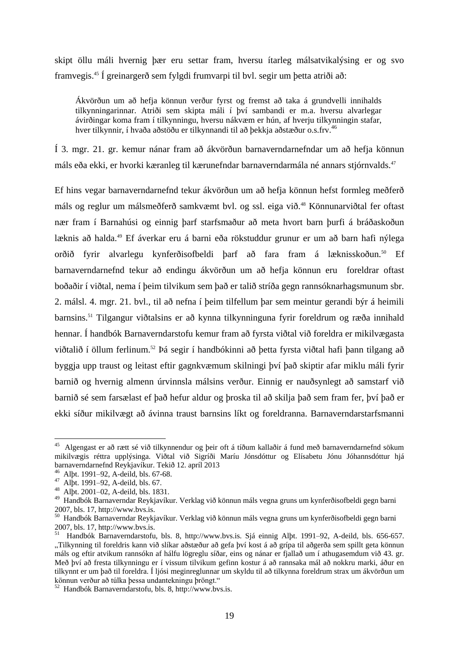skipt öllu máli hvernig þær eru settar fram, hversu ítarleg málsatvikalýsing er og svo framvegis.<sup>45</sup> Í greinargerð sem fylgdi frumvarpi til bvl. segir um þetta atriði að:

Ákvörðun um að hefja könnun verður fyrst og fremst að taka á grundvelli innihalds tilkynningarinnar. Atriði sem skipta máli í því sambandi er m.a. hversu alvarlegar ávirðingar koma fram í tilkynningu, hversu nákvæm er hún, af hverju tilkynningin stafar, hver tilkynnir, í hvaða aðstöðu er tilkynnandi til að bekkja aðstæður o.s.frv.<sup>46</sup>

Í 3. mgr. 21. gr. kemur nánar fram að ákvörðun barnaverndarnefndar um að hefja könnun máls eða ekki, er hvorki kæranleg til kærunefndar barnaverndarmála né annars stjórnvalds.<sup>47</sup>

Ef hins vegar barnaverndarnefnd tekur ákvörðun um að hefja könnun hefst formleg meðferð máls og reglur um málsmeðferð samkvæmt bvl. og ssl. eiga við.<sup>48</sup> Könnunarviðtal fer oftast nær fram í Barnahúsi og einnig þarf starfsmaður að meta hvort barn þurfi á bráðaskoðun læknis að halda.<sup>49</sup> Ef áverkar eru á barni eða rökstuddur grunur er um að barn hafi nýlega orðið fyrir alvarlegu kynferðisofbeldi þarf að fara fram á læknisskoðun.<sup>50</sup> Ef barnaverndarnefnd tekur að endingu ákvörðun um að hefja könnun eru foreldrar oftast boðaðir í viðtal, nema í þeim tilvikum sem það er talið stríða gegn rannsóknarhagsmunum sbr. 2. málsl. 4. mgr. 21. bvl., til að nefna í þeim tilfellum þar sem meintur gerandi býr á heimili barnsins.<sup>51</sup> Tilgangur viðtalsins er að kynna tilkynninguna fyrir foreldrum og ræða innihald hennar. Í handbók Barnaverndarstofu kemur fram að fyrsta viðtal við foreldra er mikilvægasta viðtalið í öllum ferlinum.<sup>52</sup> Þá segir í handbókinni að betta fyrsta viðtal hafi bann tilgang að byggja upp traust og leitast eftir gagnkvæmum skilningi því það skiptir afar miklu máli fyrir barnið og hvernig almenn úrvinnsla málsins verður. Einnig er nauðsynlegt að samstarf við barnið sé sem farsælast ef það hefur aldur og þroska til að skilja það sem fram fer, því það er ekki síður mikilvægt að ávinna traust barnsins líkt og foreldranna. Barnaverndarstarfsmanni

<sup>&</sup>lt;sup>45</sup> Algengast er að rætt sé við tilkynnendur og þeir oft á tíðum kallaðir á fund með barnaverndarnefnd sökum mikilvægis réttra upplýsinga. Viðtal við Sigríði Maríu Jónsdóttur og Elísabetu Jónu Jóhannsdóttur hjá barnaverndarnefnd Reykjavíkur. Tekið 12. apríl 2013

<sup>46</sup> Alþt. 1991–92, A-deild, bls. 67-68.

 $47$  Alpt. 1991–92, A-deild, bls. 67.

<sup>48</sup> Alþt. 2001–02, A-deild, bls. 1831.

<sup>49</sup> Handbók Barnaverndar Reykjavíkur. Verklag við könnun máls vegna gruns um kynferðisofbeldi gegn barni 2007, bls. 17, http://www.bvs.is.

<sup>50</sup> Handbók Barnaverndar Reykjavíkur. Verklag við könnun máls vegna gruns um kynferðisofbeldi gegn barni 2007, bls. 17, http://www.bvs.is.

<sup>51</sup> Handbók Barnaverndarstofu, bls. 8, http://www.bvs.is. Sjá einnig Alþt. 1991–92, A-deild, bls. 656-657. "Tilkynning til foreldris kann við slíkar aðstæður að gefa því kost á að grípa til aðgerða sem spillt geta könnun máls og eftir atvikum rannsókn af hálfu lögreglu síðar, eins og nánar er fjallað um í athugasemdum við 43. gr. Með því að fresta tilkynningu er í vissum tilvikum gefinn kostur á að rannsaka mál að nokkru marki, áður en tilkynnt er um það til foreldra. Í ljósi meginreglunnar um skyldu til að tilkynna foreldrum strax um ákvörðun um könnun verður að túlka þessa undantekningu þröngt."

<sup>52</sup> Handbók Barnaverndarstofu, bls. 8, http://www.bvs.is.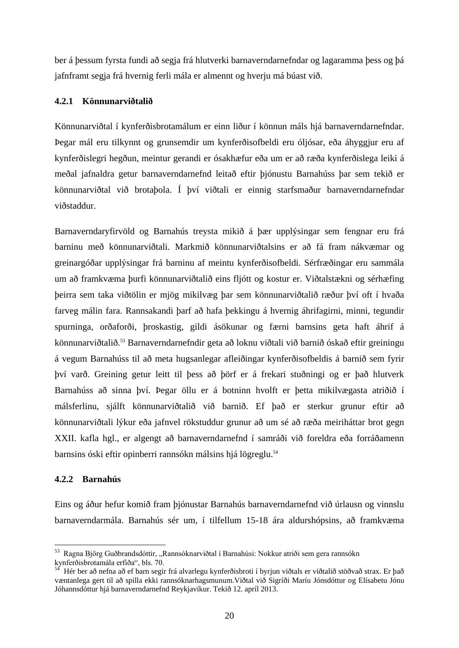ber á þessum fyrsta fundi að segja frá hlutverki barnaverndarnefndar og lagaramma þess og þá jafnframt segja frá hvernig ferli mála er almennt og hverju má búast við.

#### <span id="page-24-0"></span>**4.2.1 Könnunarviðtalið**

Könnunarviðtal í kynferðisbrotamálum er einn liður í könnun máls hjá barnaverndarnefndar. Þegar mál eru tilkynnt og grunsemdir um kynferðisofbeldi eru óljósar, eða áhyggjur eru af kynferðislegri hegðun, meintur gerandi er ósakhæfur eða um er að ræða kynferðislega leiki á meðal jafnaldra getur barnaverndarnefnd leitað eftir þjónustu Barnahúss þar sem tekið er könnunarviðtal við brotaþola. Í því viðtali er einnig starfsmaður barnaverndarnefndar viðstaddur.

Barnaverndaryfirvöld og Barnahús treysta mikið á þær upplýsingar sem fengnar eru frá barninu með könnunarviðtali. Markmið könnunarviðtalsins er að fá fram nákvæmar og greinargóðar upplýsingar frá barninu af meintu kynferðisofbeldi. Sérfræðingar eru sammála um að framkvæma þurfi könnunarviðtalið eins fljótt og kostur er. Viðtalstækni og sérhæfing þeirra sem taka viðtölin er mjög mikilvæg þar sem könnunarviðtalið ræður því oft í hvaða farveg málin fara. Rannsakandi þarf að hafa þekkingu á hvernig áhrifagirni, minni, tegundir spurninga, orðaforði, þroskastig, gildi ásökunar og færni barnsins geta haft áhrif á könnunarviðtalið.<sup>53</sup> Barnaverndarnefndir geta að loknu viðtali við barnið óskað eftir greiningu á vegum Barnahúss til að meta hugsanlegar afleiðingar kynferðisofbeldis á barnið sem fyrir því varð. Greining getur leitt til þess að þörf er á frekari stuðningi og er það hlutverk Barnahúss að sinna því. Þegar öllu er á botninn hvolft er þetta mikilvægasta atriðið í málsferlinu, sjálft könnunarviðtalið við barnið. Ef það er sterkur grunur eftir að könnunarviðtali lýkur eða jafnvel rökstuddur grunur að um sé að ræða meiriháttar brot gegn XXII. kafla hgl., er algengt að barnaverndarnefnd í samráði við foreldra eða forráðamenn barnsins óski eftir opinberri rannsókn málsins hjá lögreglu.<sup>54</sup>

#### <span id="page-24-1"></span>**4.2.2 Barnahús**

1

Eins og áður hefur komið fram þjónustar Barnahús barnaverndarnefnd við úrlausn og vinnslu barnaverndarmála. Barnahús sér um, í tilfellum 15-18 ára aldurshópsins, að framkvæma

<sup>&</sup>lt;sup>53</sup> Ragna Björg Guðbrandsdóttir, "Rannsóknarviðtal í Barnahúsi: Nokkur atriði sem gera rannsókn kynferðisbrotamála erfiða", bls. 70.

<sup>54</sup> Hér ber að nefna að ef barn segir frá alvarlegu kynferðisbroti í byrjun viðtals er viðtalið stöðvað strax. Er það væntanlega gert til að spilla ekki rannsóknarhagsmunum.Viðtal við Sigríði Maríu Jónsdóttur og Elísabetu Jónu Jóhannsdóttur hjá barnaverndarnefnd Reykjavíkur. Tekið 12. apríl 2013.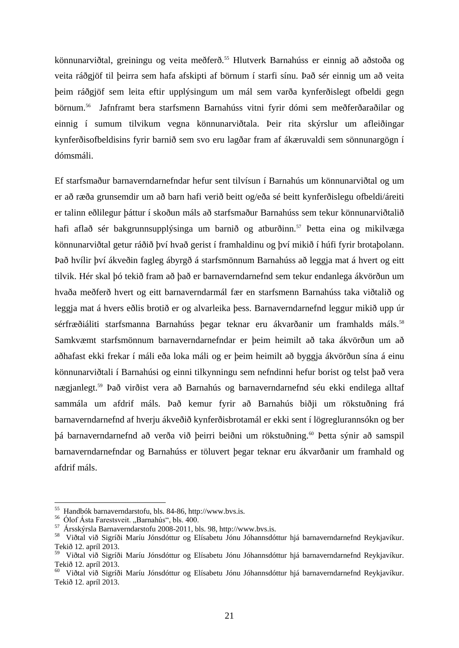könnunarviðtal, greiningu og veita meðferð.<sup>55</sup> Hlutverk Barnahúss er einnig að aðstoða og veita ráðgjöf til þeirra sem hafa afskipti af börnum í starfi sínu. Það sér einnig um að veita þeim ráðgjöf sem leita eftir upplýsingum um mál sem varða kynferðislegt ofbeldi gegn börnum.<sup>56</sup> Jafnframt bera starfsmenn Barnahúss vitni fyrir dómi sem meðferðaraðilar og einnig í sumum tilvikum vegna könnunarviðtala. Þeir rita skýrslur um afleiðingar kynferðisofbeldisins fyrir barnið sem svo eru lagðar fram af ákæruvaldi sem sönnunargögn í dómsmáli.

Ef starfsmaður barnaverndarnefndar hefur sent tilvísun í Barnahús um könnunarviðtal og um er að ræða grunsemdir um að barn hafi verið beitt og/eða sé beitt kynferðislegu ofbeldi/áreiti er talinn eðlilegur þáttur í skoðun máls að starfsmaður Barnahúss sem tekur könnunarviðtalið hafi aflað sér bakgrunnsupplýsinga um barnið og atburðinn.<sup>57</sup> Þetta eina og mikilvæga könnunarviðtal getur ráðið því hvað gerist í framhaldinu og því mikið í húfi fyrir brotaþolann. Það hvílir því ákveðin fagleg ábyrgð á starfsmönnum Barnahúss að leggja mat á hvert og eitt tilvik. Hér skal þó tekið fram að það er barnaverndarnefnd sem tekur endanlega ákvörðun um hvaða meðferð hvert og eitt barnaverndarmál fær en starfsmenn Barnahúss taka viðtalið og leggja mat á hvers eðlis brotið er og alvarleika þess. Barnaverndarnefnd leggur mikið upp úr sérfræðiáliti starfsmanna Barnahúss þegar teknar eru ákvarðanir um framhalds máls.<sup>58</sup> Samkvæmt starfsmönnum barnaverndarnefndar er þeim heimilt að taka ákvörðun um að aðhafast ekki frekar í máli eða loka máli og er þeim heimilt að byggja ákvörðun sína á einu könnunarviðtali í Barnahúsi og einni tilkynningu sem nefndinni hefur borist og telst það vera nægjanlegt.<sup>59</sup> Það virðist vera að Barnahús og barnaverndarnefnd séu ekki endilega alltaf sammála um afdrif máls. Það kemur fyrir að Barnahús biðji um rökstuðning frá barnaverndarnefnd af hverju ákveðið kynferðisbrotamál er ekki sent í lögreglurannsókn og ber þá barnaverndarnefnd að verða við þeirri beiðni um rökstuðning.<sup>60</sup> Þetta sýnir að samspil barnaverndarnefndar og Barnahúss er töluvert þegar teknar eru ákvarðanir um framhald og afdrif máls.

<sup>55</sup> Handbók barnaverndarstofu, bls. 84-86, http://www.bvs.is.

<sup>&</sup>lt;sup>56</sup> Ólof Ásta Farestsveit. "Barnahús", bls. 400.

<sup>57</sup> Ársskýrsla Barnaverndarstofu 2008-2011, bls. 98, http://www.bvs.is.

<sup>58</sup> Viðtal við Sigríði Maríu Jónsdóttur og Elísabetu Jónu Jóhannsdóttur hjá barnaverndarnefnd Reykjavíkur. Tekið 12. apríl 2013.

<sup>59</sup> Viðtal við Sigríði Maríu Jónsdóttur og Elísabetu Jónu Jóhannsdóttur hjá barnaverndarnefnd Reykjavíkur. Tekið 12. apríl 2013.

<sup>60</sup> Viðtal við Sigríði Maríu Jónsdóttur og Elísabetu Jónu Jóhannsdóttur hjá barnaverndarnefnd Reykjavíkur. Tekið 12. apríl 2013.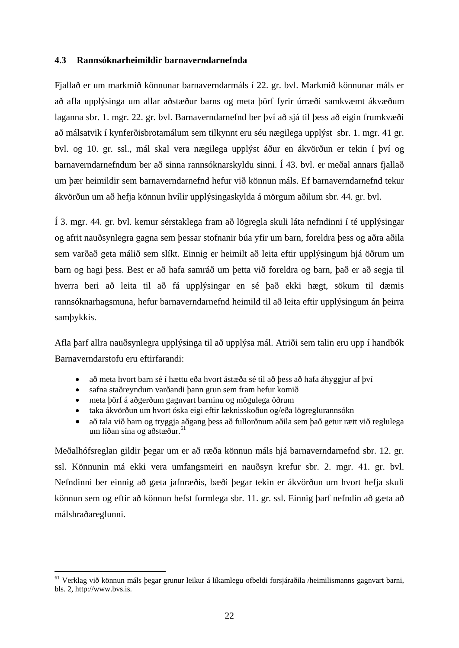#### <span id="page-26-0"></span>**4.3 Rannsóknarheimildir barnaverndarnefnda**

Fjallað er um markmið könnunar barnaverndarmáls í 22. gr. bvl. Markmið könnunar máls er að afla upplýsinga um allar aðstæður barns og meta þörf fyrir úrræði samkvæmt ákvæðum laganna sbr. 1. mgr. 22. gr. bvl. Barnaverndarnefnd ber því að sjá til þess að eigin frumkvæði að málsatvik í kynferðisbrotamálum sem tilkynnt eru séu nægilega upplýst sbr. 1. mgr. 41 gr. bvl. og 10. gr. ssl., mál skal vera nægilega upplýst áður en ákvörðun er tekin í því og barnaverndarnefndum ber að sinna rannsóknarskyldu sinni. Í 43. bvl. er meðal annars fjallað um þær heimildir sem barnaverndarnefnd hefur við könnun máls. Ef barnaverndarnefnd tekur ákvörðun um að hefja könnun hvílir upplýsingaskylda á mörgum aðilum sbr. 44. gr. bvl.

Í 3. mgr. 44. gr. bvl. kemur sérstaklega fram að lögregla skuli láta nefndinni í té upplýsingar og afrit nauðsynlegra gagna sem þessar stofnanir búa yfir um barn, foreldra þess og aðra aðila sem varðað geta málið sem slíkt. Einnig er heimilt að leita eftir upplýsingum hjá öðrum um barn og hagi þess. Best er að hafa samráð um þetta við foreldra og barn, það er að segja til hverra beri að leita til að fá upplýsingar en sé það ekki hægt, sökum til dæmis rannsóknarhagsmuna, hefur barnaverndarnefnd heimild til að leita eftir upplýsingum án þeirra samþykkis.

Afla þarf allra nauðsynlegra upplýsinga til að upplýsa mál. Atriði sem talin eru upp í handbók Barnaverndarstofu eru eftirfarandi:

- að meta hvort barn sé í hættu eða hvort ástæða sé til að þess að hafa áhyggjur af því
- safna staðreyndum varðandi þann grun sem fram hefur komið
- meta þörf á aðgerðum gagnvart barninu og mögulega öðrum

1

- taka ákvörðun um hvort óska eigi eftir læknisskoðun og/eða lögreglurannsókn
- að tala við barn og tryggja aðgang þess að fullorðnum aðila sem það getur rætt við reglulega um líðan sína og aðstæður.<sup>61</sup>

Meðalhófsreglan gildir þegar um er að ræða könnun máls hjá barnaverndarnefnd sbr. 12. gr. ssl. Könnunin má ekki vera umfangsmeiri en nauðsyn krefur sbr. 2. mgr. 41. gr. bvl. Nefndinni ber einnig að gæta jafnræðis, bæði þegar tekin er ákvörðun um hvort hefja skuli könnun sem og eftir að könnun hefst formlega sbr. 11. gr. ssl. Einnig þarf nefndin að gæta að málshraðareglunni.

<sup>61</sup> Verklag við könnun máls þegar grunur leikur á líkamlegu ofbeldi forsjáraðila /heimilismanns gagnvart barni, bls. 2, http://www.bvs.is.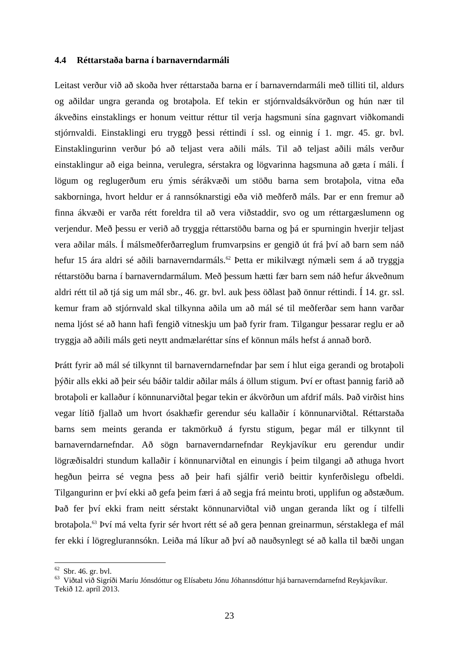#### <span id="page-27-0"></span>**4.4 Réttarstaða barna í barnaverndarmáli**

Leitast verður við að skoða hver réttarstaða barna er í barnaverndarmáli með tilliti til, aldurs og aðildar ungra geranda og brotaþola. Ef tekin er stjórnvaldsákvörðun og hún nær til ákveðins einstaklings er honum veittur réttur til verja hagsmuni sína gagnvart viðkomandi stjórnvaldi. Einstaklingi eru tryggð þessi réttindi í ssl. og einnig í 1. mgr. 45. gr. bvl. Einstaklingurinn verður þó að teljast vera aðili máls. Til að teljast aðili máls verður einstaklingur að eiga beinna, verulegra, sérstakra og lögvarinna hagsmuna að gæta í máli. Í lögum og reglugerðum eru ýmis sérákvæði um stöðu barna sem brotaþola, vitna eða sakborninga, hvort heldur er á rannsóknarstigi eða við meðferð máls. Þar er enn fremur að finna ákvæði er varða rétt foreldra til að vera viðstaddir, svo og um réttargæslumenn og verjendur. Með þessu er verið að tryggja réttarstöðu barna og þá er spurningin hverjir teljast vera aðilar máls. Í málsmeðferðarreglum frumvarpsins er gengið út frá því að barn sem náð hefur 15 ára aldri sé aðili barnaverndarmáls.<sup>62</sup> Þetta er mikilvægt nýmæli sem á að tryggja réttarstöðu barna í barnaverndarmálum. Með þessum hætti fær barn sem náð hefur ákveðnum aldri rétt til að tjá sig um mál sbr., 46. gr. bvl. auk þess öðlast það önnur réttindi. Í 14. gr. ssl. kemur fram að stjórnvald skal tilkynna aðila um að mál sé til meðferðar sem hann varðar nema ljóst sé að hann hafi fengið vitneskju um það fyrir fram. Tilgangur þessarar reglu er að tryggja að aðili máls geti neytt andmælaréttar síns ef könnun máls hefst á annað borð.

Þrátt fyrir að mál sé tilkynnt til barnaverndarnefndar þar sem í hlut eiga gerandi og brotaþoli þýðir alls ekki að þeir séu báðir taldir aðilar máls á öllum stigum. Því er oftast þannig farið að brotaþoli er kallaður í könnunarviðtal þegar tekin er ákvörðun um afdrif máls. Það virðist hins vegar lítið fjallað um hvort ósakhæfir gerendur séu kallaðir í könnunarviðtal. Réttarstaða barns sem meints geranda er takmörkuð á fyrstu stigum, þegar mál er tilkynnt til barnaverndarnefndar. Að sögn barnaverndarnefndar Reykjavíkur eru gerendur undir lögræðisaldri stundum kallaðir í könnunarviðtal en einungis í þeim tilgangi að athuga hvort hegðun þeirra sé vegna þess að þeir hafi sjálfir verið beittir kynferðislegu ofbeldi. Tilgangurinn er því ekki að gefa þeim færi á að segja frá meintu broti, upplifun og aðstæðum. Það fer því ekki fram neitt sérstakt könnunarviðtal við ungan geranda líkt og í tilfelli brotaþola.<sup>63</sup> Því má velta fyrir sér hvort rétt sé að gera þennan greinarmun, sérstaklega ef mál fer ekki í lögreglurannsókn. Leiða má líkur að því að nauðsynlegt sé að kalla til bæði ungan

<u>.</u>

 $62$  Sbr. 46. gr. bvl.

<sup>63</sup> Viðtal við Sigríði Maríu Jónsdóttur og Elísabetu Jónu Jóhannsdóttur hjá barnaverndarnefnd Reykjavíkur. Tekið 12. apríl 2013.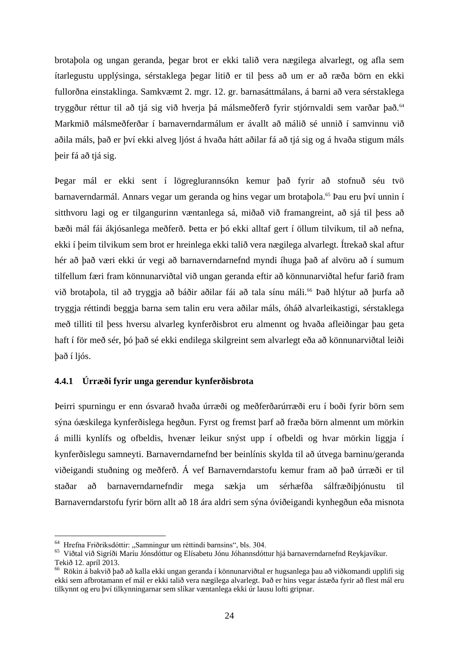brotaþola og ungan geranda, þegar brot er ekki talið vera nægilega alvarlegt, og afla sem ítarlegustu upplýsinga, sérstaklega þegar litið er til þess að um er að ræða börn en ekki fullorðna einstaklinga. Samkvæmt 2. mgr. 12. gr. barnasáttmálans, á barni að vera sérstaklega tryggður réttur til að tjá sig við hverja þá málsmeðferð fyrir stjórnvaldi sem varðar það.<sup>64</sup> Markmið málsmeðferðar í barnaverndarmálum er ávallt að málið sé unnið í samvinnu við aðila máls, það er því ekki alveg ljóst á hvaða hátt aðilar fá að tjá sig og á hvaða stigum máls þeir fá að tjá sig.

Þegar mál er ekki sent í lögreglurannsókn kemur það fyrir að stofnuð séu tvö barnaverndarmál. Annars vegar um geranda og hins vegar um brotaþola.<sup>65</sup> Þau eru því unnin í sitthvoru lagi og er tilgangurinn væntanlega sá, miðað við framangreint, að sjá til þess að bæði mál fái ákjósanlega meðferð. Þetta er þó ekki alltaf gert í öllum tilvikum, til að nefna, ekki í þeim tilvikum sem brot er hreinlega ekki talið vera nægilega alvarlegt. Ítrekað skal aftur hér að það væri ekki úr vegi að barnaverndarnefnd myndi íhuga það af alvöru að í sumum tilfellum færi fram könnunarviðtal við ungan geranda eftir að könnunarviðtal hefur farið fram við brotabola, til að tryggja að báðir aðilar fái að tala sínu máli.<sup>66</sup> Það hlýtur að burfa að tryggja réttindi beggja barna sem talin eru vera aðilar máls, óháð alvarleikastigi, sérstaklega með tilliti til þess hversu alvarleg kynferðisbrot eru almennt og hvaða afleiðingar þau geta haft í för með sér, þó það sé ekki endilega skilgreint sem alvarlegt eða að könnunarviðtal leiði það í ljós.

#### <span id="page-28-0"></span>**4.4.1 Úrræði fyrir unga gerendur kynferðisbrota**

Þeirri spurningu er enn ósvarað hvaða úrræði og meðferðarúrræði eru í boði fyrir börn sem sýna óæskilega kynferðislega hegðun. Fyrst og fremst þarf að fræða börn almennt um mörkin á milli kynlífs og ofbeldis, hvenær leikur snýst upp í ofbeldi og hvar mörkin liggja í kynferðislegu samneyti. Barnaverndarnefnd ber beinlínis skylda til að útvega barninu/geranda viðeigandi stuðning og meðferð. Á vef Barnaverndarstofu kemur fram að það úrræði er til staðar að barnaverndarnefndir mega sækja um sérhæfða sálfræðiþjónustu til Barnaverndarstofu fyrir börn allt að 18 ára aldri sem sýna óviðeigandi kynhegðun eða misnota

<sup>&</sup>lt;sup>64</sup> Hrefna Friðriksdóttir: "Samningur um réttindi barnsins", bls. 304.

<sup>65</sup> Viðtal við Sigríði Maríu Jónsdóttur og Elísabetu Jónu Jóhannsdóttur hjá barnaverndarnefnd Reykjavíkur. Tekið 12. apríl 2013.

<sup>66</sup> Rökin á bakvið það að kalla ekki ungan geranda í könnunarviðtal er hugsanlega þau að viðkomandi upplifi sig ekki sem afbrotamann ef mál er ekki talið vera nægilega alvarlegt. Það er hins vegar ástæða fyrir að flest mál eru tilkynnt og eru því tilkynningarnar sem slíkar væntanlega ekki úr lausu lofti gripnar.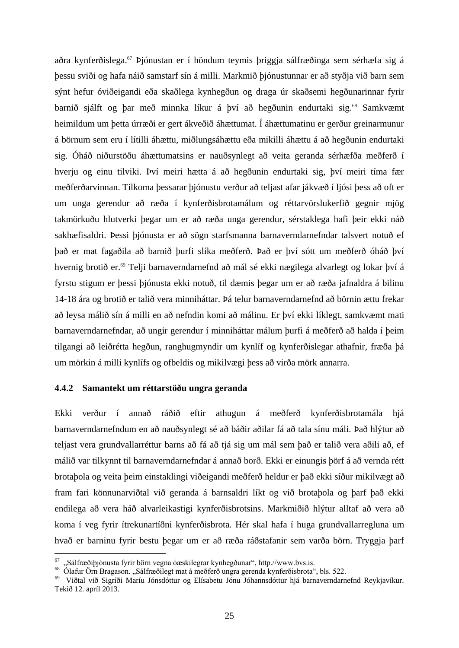aðra kynferðislega.<sup>67</sup> Þjónustan er í höndum teymis þriggja sálfræðinga sem sérhæfa sig á þessu sviði og hafa náið samstarf sín á milli. Markmið þjónustunnar er að styðja við barn sem sýnt hefur óviðeigandi eða skaðlega kynhegðun og draga úr skaðsemi hegðunarinnar fyrir barnið sjálft og þar með minnka líkur á því að hegðunin endurtaki sig.<sup>68</sup> Samkvæmt heimildum um þetta úrræði er gert ákveðið áhættumat. Í áhættumatinu er gerður greinarmunur á börnum sem eru í lítilli áhættu, miðlungsáhættu eða mikilli áhættu á að hegðunin endurtaki sig. Óháð niðurstöðu áhættumatsins er nauðsynlegt að veita geranda sérhæfða meðferð í hverju og einu tilviki. Því meiri hætta á að hegðunin endurtaki sig, því meiri tíma fær meðferðarvinnan. Tilkoma þessarar þjónustu verður að teljast afar jákvæð í ljósi þess að oft er um unga gerendur að ræða í kynferðisbrotamálum og réttarvörslukerfið gegnir mjög takmörkuðu hlutverki þegar um er að ræða unga gerendur, sérstaklega hafi þeir ekki náð sakhæfisaldri. Þessi þjónusta er að sögn starfsmanna barnaverndarnefndar talsvert notuð ef það er mat fagaðila að barnið þurfi slíka meðferð. Það er því sótt um meðferð óháð því hvernig brotið er.<sup>69</sup> Telji barnaverndarnefnd að mál sé ekki nægilega alvarlegt og lokar því á fyrstu stigum er þessi þjónusta ekki notuð, til dæmis þegar um er að ræða jafnaldra á bilinu 14-18 ára og brotið er talið vera minniháttar. Þá telur barnaverndarnefnd að börnin ættu frekar að leysa málið sín á milli en að nefndin komi að málinu. Er því ekki líklegt, samkvæmt mati barnaverndarnefndar, að ungir gerendur í minniháttar málum þurfi á meðferð að halda í þeim tilgangi að leiðrétta hegðun, ranghugmyndir um kynlíf og kynferðislegar athafnir, fræða þá um mörkin á milli kynlífs og ofbeldis og mikilvægi þess að virða mörk annarra.

#### <span id="page-29-0"></span>**4.4.2 Samantekt um réttarstöðu ungra geranda**

<u>.</u>

Ekki verður í annað ráðið eftir athugun á meðferð kynferðisbrotamála hjá barnaverndarnefndum en að nauðsynlegt sé að báðir aðilar fá að tala sínu máli. Það hlýtur að teljast vera grundvallarréttur barns að fá að tjá sig um mál sem það er talið vera aðili að, ef málið var tilkynnt til barnaverndarnefndar á annað borð. Ekki er einungis þörf á að vernda rétt brotaþola og veita þeim einstaklingi viðeigandi meðferð heldur er það ekki síður mikilvægt að fram fari könnunarviðtal við geranda á barnsaldri líkt og við brotaþola og þarf það ekki endilega að vera háð alvarleikastigi kynferðisbrotsins. Markmiðið hlýtur alltaf að vera að koma í veg fyrir ítrekunartíðni kynferðisbrota. Hér skal hafa í huga grundvallarregluna um hvað er barninu fyrir bestu þegar um er að ræða ráðstafanir sem varða börn. Tryggja þarf

<sup>67</sup> "Sálfræðiþjónusta fyrir börn vegna óæskilegrar kynhegðunar", http.//www.bvs.is.

<sup>&</sup>lt;sup>68</sup> Ólafur Örn Bragason. "Sálfræðilegt mat á meðferð ungra gerenda kynferðisbrota", bls. 522.

<sup>69</sup> Viðtal við Sigríði Maríu Jónsdóttur og Elísabetu Jónu Jóhannsdóttur hjá barnaverndarnefnd Reykjavíkur. Tekið 12. apríl 2013.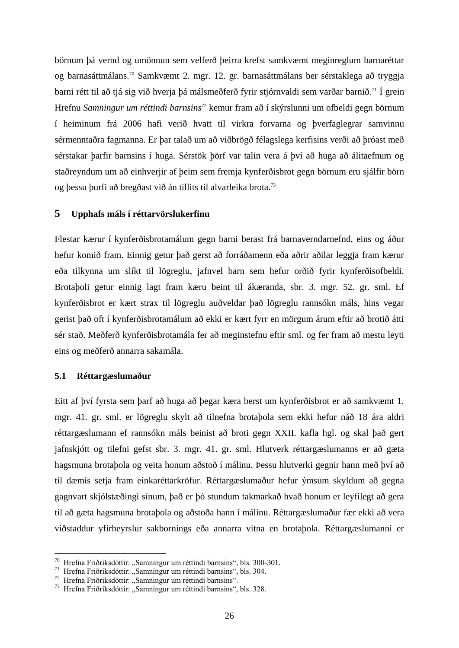börnum þá vernd og umönnun sem velferð þeirra krefst samkvæmt meginreglum barnaréttar og barnasáttmálans.<sup>70</sup> Samkvæmt 2. mgr. 12. gr. barnasáttmálans ber sérstaklega að tryggja barni rétt til að tjá sig við hverja þá málsmeðferð fyrir stjórnvaldi sem varðar barnið.<sup>71</sup> Í grein Hrefnu *Samningur um réttindi barnsins*<sup>72</sup> kemur fram að í skýrslunni um ofbeldi gegn börnum í heiminum frá 2006 hafi verið hvatt til virkra forvarna og þverfaglegrar samvinnu sérmenntaðra fagmanna. Er þar talað um að viðbrögð félagslega kerfisins verði að þróast með sérstakar þarfir barnsins í huga. Sérstök þörf var talin vera á því að huga að álitaefnum og staðreyndum um að einhverjir af þeim sem fremja kynferðisbrot gegn börnum eru sjálfir börn og þessu þurfi að bregðast við án tillits til alvarleika brota.<sup>73</sup>

#### <span id="page-30-0"></span>**5 Upphafs máls í réttarvörslukerfinu**

Flestar kærur í kynferðisbrotamálum gegn barni berast frá barnaverndarnefnd, eins og áður hefur komið fram. Einnig getur það gerst að forráðamenn eða aðrir aðilar leggja fram kærur eða tilkynna um slíkt til lögreglu, jafnvel barn sem hefur orðið fyrir kynferðisofbeldi. Brotaþoli getur einnig lagt fram kæru beint til ákæranda, sbr. 3. mgr. 52. gr. sml. Ef kynferðisbrot er kært strax til lögreglu auðveldar það lögreglu rannsókn máls, hins vegar gerist það oft í kynferðisbrotamálum að ekki er kært fyrr en mörgum árum eftir að brotið átti sér stað. Meðferð kynferðisbrotamála fer að meginstefnu eftir sml. og fer fram að mestu leyti eins og meðferð annarra sakamála.

#### <span id="page-30-1"></span>**5.1 Réttargæslumaður**

<u>.</u>

Eitt af því fyrsta sem þarf að huga að þegar kæra berst um kynferðisbrot er að samkvæmt 1. mgr. 41. gr. sml. er lögreglu skylt að tilnefna brotaþola sem ekki hefur náð 18 ára aldri réttargæslumann ef rannsókn máls beinist að broti gegn XXII. kafla hgl. og skal það gert jafnskjótt og tilefni gefst sbr. 3. mgr. 41. gr. sml. Hlutverk réttargæslumanns er að gæta hagsmuna brotaþola og veita honum aðstoð í málinu. Þessu hlutverki gegnir hann með því að til dæmis setja fram einkaréttarkröfur. Réttargæslumaður hefur ýmsum skyldum að gegna gagnvart skjólstæðingi sínum, það er þó stundum takmarkað hvað honum er leyfilegt að gera til að gæta hagsmuna brotaþola og aðstoða hann í málinu. Réttargæslumaður fær ekki að vera viðstaddur yfirheyrslur sakbornings eða annarra vitna en brotaþola. Réttargæslumanni er

 $70$  Hrefna Friðriksdóttir: "Samningur um réttindi barnsins", bls. 300-301.

<sup>&</sup>lt;sup>71</sup> Hrefna Friðriksdóttir: "Samningur um réttindi barnsins", bls. 304.

<sup>72</sup> Hrefna Friðriksdóttir: "Samningur um réttindi barnsins".

<sup>73</sup> Hrefna Friðriksdóttir: "Samningur um réttindi barnsins", bls. 328.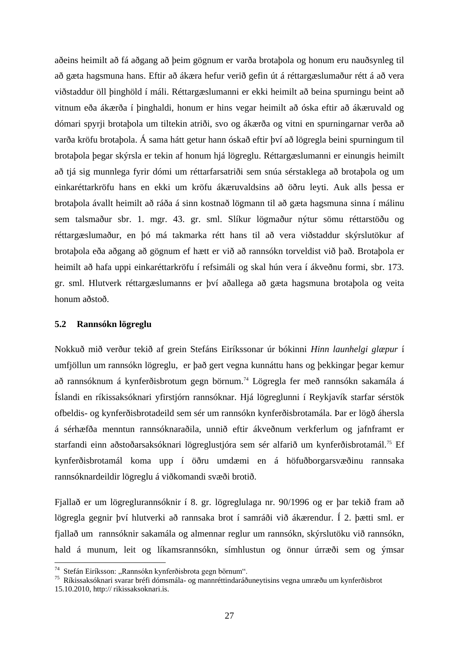aðeins heimilt að fá aðgang að þeim gögnum er varða brotaþola og honum eru nauðsynleg til að gæta hagsmuna hans. Eftir að ákæra hefur verið gefin út á réttargæslumaður rétt á að vera viðstaddur öll þinghöld í máli. Réttargæslumanni er ekki heimilt að beina spurningu beint að vitnum eða ákærða í þinghaldi, honum er hins vegar heimilt að óska eftir að ákæruvald og dómari spyrji brotaþola um tiltekin atriði, svo og ákærða og vitni en spurningarnar verða að varða kröfu brotaþola. Á sama hátt getur hann óskað eftir því að lögregla beini spurningum til brotaþola þegar skýrsla er tekin af honum hjá lögreglu. Réttargæslumanni er einungis heimilt að tjá sig munnlega fyrir dómi um réttarfarsatriði sem snúa sérstaklega að brotaþola og um einkaréttarkröfu hans en ekki um kröfu ákæruvaldsins að öðru leyti. Auk alls þessa er brotaþola ávallt heimilt að ráða á sinn kostnað lögmann til að gæta hagsmuna sinna í málinu sem talsmaður sbr. 1. mgr. 43. gr. sml. Slíkur lögmaður nýtur sömu réttarstöðu og réttargæslumaður, en þó má takmarka rétt hans til að vera viðstaddur skýrslutökur af brotaþola eða aðgang að gögnum ef hætt er við að rannsókn torveldist við það. Brotaþola er heimilt að hafa uppi einkaréttarkröfu í refsimáli og skal hún vera í ákveðnu formi, sbr. 173. gr. sml. Hlutverk réttargæslumanns er því aðallega að gæta hagsmuna brotaþola og veita honum aðstoð.

#### <span id="page-31-0"></span>**5.2 Rannsókn lögreglu**

<u>.</u>

Nokkuð mið verður tekið af grein Stefáns Eiríkssonar úr bókinni *Hinn launhelgi glæpur* í umfjöllun um rannsókn lögreglu, er það gert vegna kunnáttu hans og þekkingar þegar kemur að rannsóknum á kynferðisbrotum gegn börnum.<sup>74</sup> Lögregla fer með rannsókn sakamála á Íslandi en ríkissaksóknari yfirstjórn rannsóknar. Hjá lögreglunni í Reykjavík starfar sérstök ofbeldis- og kynferðisbrotadeild sem sér um rannsókn kynferðisbrotamála. Þar er lögð áhersla á sérhæfða menntun rannsóknaraðila, unnið eftir ákveðnum verkferlum og jafnframt er starfandi einn aðstoðarsaksóknari lögreglustjóra sem sér alfarið um kynferðisbrotamál.<sup>75</sup> Ef kynferðisbrotamál koma upp í öðru umdæmi en á höfuðborgarsvæðinu rannsaka rannsóknardeildir lögreglu á viðkomandi svæði brotið.

Fjallað er um lögreglurannsóknir í 8. gr. lögreglulaga nr. 90/1996 og er þar tekið fram að lögregla gegnir því hlutverki að rannsaka brot í samráði við ákærendur. Í 2. þætti sml. er fjallað um rannsóknir sakamála og almennar reglur um rannsókn, skýrslutöku við rannsókn, hald á munum, leit og líkamsrannsókn, símhlustun og önnur úrræði sem og ýmsar

 $74$  Stefán Eiríksson: "Rannsókn kynferðisbrota gegn börnum".

<sup>75</sup> Ríkissaksóknari svarar bréfi dómsmála- og mannréttindaráðuneytisins vegna umræðu um kynferðisbrot 15.10.2010, http:// rikissaksoknari.is.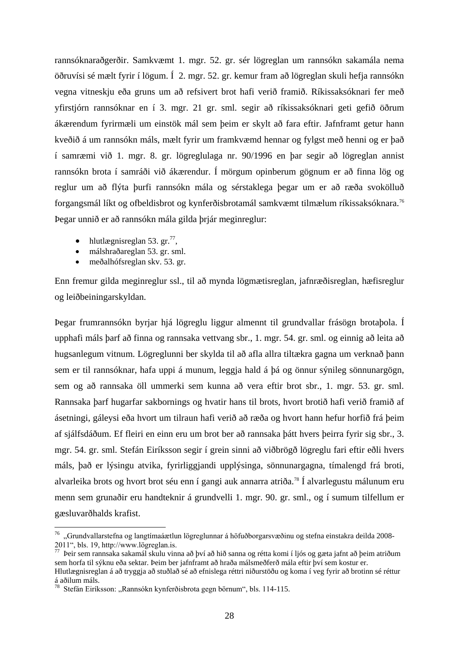rannsóknaraðgerðir. Samkvæmt 1. mgr. 52. gr. sér lögreglan um rannsókn sakamála nema öðruvísi sé mælt fyrir í lögum. Í 2. mgr. 52. gr. kemur fram að lögreglan skuli hefja rannsókn vegna vitneskju eða gruns um að refsivert brot hafi verið framið. Ríkissaksóknari fer með yfirstjórn rannsóknar en í 3. mgr. 21 gr. sml. segir að ríkissaksóknari geti gefið öðrum ákærendum fyrirmæli um einstök mál sem þeim er skylt að fara eftir. Jafnframt getur hann kveðið á um rannsókn máls, mælt fyrir um framkvæmd hennar og fylgst með henni og er það í samræmi við 1. mgr. 8. gr. lögreglulaga nr. 90/1996 en þar segir að lögreglan annist rannsókn brota í samráði við ákærendur. Í mörgum opinberum gögnum er að finna lög og reglur um að flýta þurfi rannsókn mála og sérstaklega þegar um er að ræða svokölluð forgangsmál líkt og ofbeldisbrot og kynferðisbrotamál samkvæmt tilmælum ríkissaksóknara.<sup>76</sup> Þegar unnið er að rannsókn mála gilda þrjár meginreglur:

• hlutlægnisreglan 53. gr. $^{77}$ ,

<u>.</u>

- málshraðareglan 53. gr. sml.
- meðalhófsreglan skv. 53. gr.

Enn fremur gilda meginreglur ssl., til að mynda lögmætisreglan, jafnræðisreglan, hæfisreglur og leiðbeiningarskyldan.

Þegar frumrannsókn byrjar hjá lögreglu liggur almennt til grundvallar frásögn brotaþola. Í upphafi máls þarf að finna og rannsaka vettvang sbr., 1. mgr. 54. gr. sml. og einnig að leita að hugsanlegum vitnum. Lögreglunni ber skylda til að afla allra tiltækra gagna um verknað þann sem er til rannsóknar, hafa uppi á munum, leggja hald á þá og önnur sýnileg sönnunargögn, sem og að rannsaka öll ummerki sem kunna að vera eftir brot sbr., 1. mgr. 53. gr. sml. Rannsaka þarf hugarfar sakbornings og hvatir hans til brots, hvort brotið hafi verið framið af ásetningi, gáleysi eða hvort um tilraun hafi verið að ræða og hvort hann hefur horfið frá þeim af sjálfsdáðum. Ef fleiri en einn eru um brot ber að rannsaka þátt hvers þeirra fyrir sig sbr., 3. mgr. 54. gr. sml. Stefán Eiríksson segir í grein sinni að viðbrögð lögreglu fari eftir eðli hvers máls, það er lýsingu atvika, fyrirliggjandi upplýsinga, sönnunargagna, tímalengd frá broti, alvarleika brots og hvort brot séu enn í gangi auk annarra atriða.<sup>78</sup> Í alvarlegustu málunum eru menn sem grunaðir eru handteknir á grundvelli 1. mgr. 90. gr. sml., og í sumum tilfellum er gæsluvarðhalds krafist.

<sup>76</sup> "Grundvallarstefna og langtímaáætlun lögreglunnar á höfuðborgarsvæðinu og stefna einstakra deilda 2008- 2011", bls. 19, http://www.lögreglan.is.

<sup>77</sup> Þeir sem rannsaka sakamál skulu vinna að því að hið sanna og rétta komi í ljós og gæta jafnt að þeim atriðum sem horfa til sýknu eða sektar. Þeim ber jafnframt að hraða málsmeðferð mála eftir því sem kostur er. Hlutlægnisreglan á að tryggja að stuðlað sé að efnislega réttri niðurstöðu og koma í veg fyrir að brotinn sé réttur

á aðilum máls.

<sup>&</sup>lt;sup>78</sup> Stefán Eiríksson: "Rannsókn kynferðisbrota gegn börnum", bls. 114-115.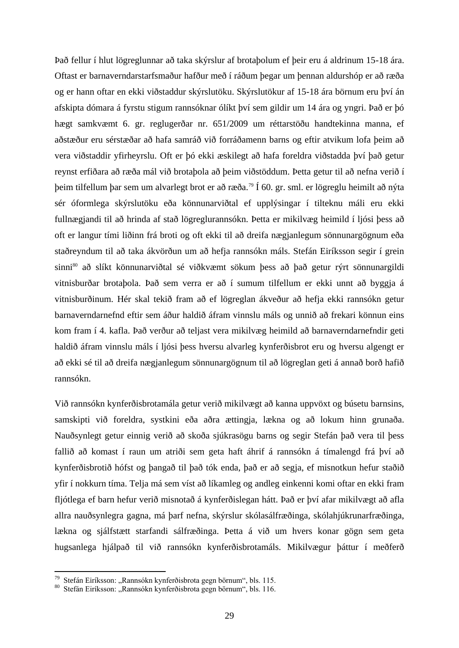Það fellur í hlut lögreglunnar að taka skýrslur af brotaþolum ef þeir eru á aldrinum 15-18 ára. Oftast er barnaverndarstarfsmaður hafður með í ráðum þegar um þennan aldurshóp er að ræða og er hann oftar en ekki viðstaddur skýrslutöku. Skýrslutökur af 15-18 ára börnum eru því án afskipta dómara á fyrstu stigum rannsóknar ólíkt því sem gildir um 14 ára og yngri. Það er þó hægt samkvæmt 6. gr. reglugerðar nr. 651/2009 um réttarstöðu handtekinna manna, ef aðstæður eru sérstæðar að hafa samráð við forráðamenn barns og eftir atvikum lofa þeim að vera viðstaddir yfirheyrslu. Oft er þó ekki æskilegt að hafa foreldra viðstadda því það getur reynst erfiðara að ræða mál við brotaþola að þeim viðstöddum. Þetta getur til að nefna verið í þeim tilfellum þar sem um alvarlegt brot er að ræða.<sup>79</sup> Í 60. gr. sml. er lögreglu heimilt að nýta sér óformlega skýrslutöku eða könnunarviðtal ef upplýsingar í tilteknu máli eru ekki fullnægjandi til að hrinda af stað lögreglurannsókn. Þetta er mikilvæg heimild í ljósi þess að oft er langur tími liðinn frá broti og oft ekki til að dreifa nægjanlegum sönnunargögnum eða staðreyndum til að taka ákvörðun um að hefja rannsókn máls. Stefán Eiríksson segir í grein sinni<sup>80</sup> að slíkt könnunarviðtal sé viðkvæmt sökum þess að það getur rýrt sönnunargildi vitnisburðar brotaþola. Það sem verra er að í sumum tilfellum er ekki unnt að byggja á vitnisburðinum. Hér skal tekið fram að ef lögreglan ákveður að hefja ekki rannsókn getur barnaverndarnefnd eftir sem áður haldið áfram vinnslu máls og unnið að frekari könnun eins kom fram í 4. kafla. Það verður að teljast vera mikilvæg heimild að barnaverndarnefndir geti haldið áfram vinnslu máls í ljósi þess hversu alvarleg kynferðisbrot eru og hversu algengt er að ekki sé til að dreifa nægjanlegum sönnunargögnum til að lögreglan geti á annað borð hafið rannsókn.

Við rannsókn kynferðisbrotamála getur verið mikilvægt að kanna uppvöxt og búsetu barnsins, samskipti við foreldra, systkini eða aðra ættingja, lækna og að lokum hinn grunaða. Nauðsynlegt getur einnig verið að skoða sjúkrasögu barns og segir Stefán það vera til þess fallið að komast í raun um atriði sem geta haft áhrif á rannsókn á tímalengd frá því að kynferðisbrotið hófst og þangað til það tók enda, það er að segja, ef misnotkun hefur staðið yfir í nokkurn tíma. Telja má sem víst að líkamleg og andleg einkenni komi oftar en ekki fram fljótlega ef barn hefur verið misnotað á kynferðislegan hátt. Það er því afar mikilvægt að afla allra nauðsynlegra gagna, má þarf nefna, skýrslur skólasálfræðinga, skólahjúkrunarfræðinga, lækna og sjálfstætt starfandi sálfræðinga. Þetta á við um hvers konar gögn sem geta hugsanlega hjálpað til við rannsókn kynferðisbrotamáls. Mikilvægur þáttur í meðferð

<sup>&</sup>lt;sup>79</sup> Stefán Eiríksson: "Rannsókn kynferðisbrota gegn börnum", bls. 115.

<sup>80</sup> Stefán Eiríksson: "Rannsókn kynferðisbrota gegn börnum", bls. 116.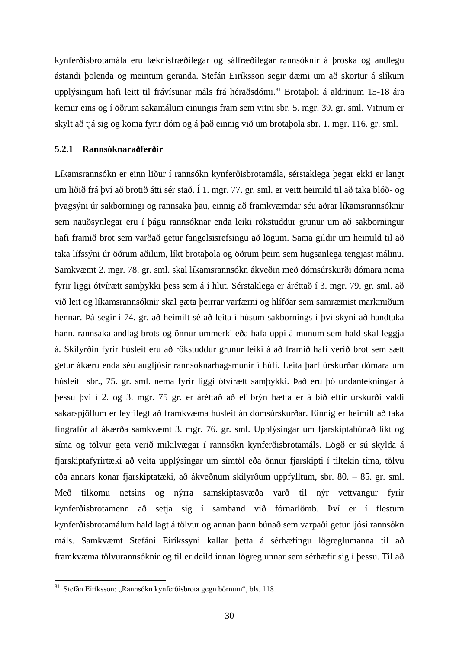kynferðisbrotamála eru læknisfræðilegar og sálfræðilegar rannsóknir á þroska og andlegu ástandi þolenda og meintum geranda. Stefán Eiríksson segir dæmi um að skortur á slíkum upplýsingum hafi leitt til frávísunar máls frá héraðsdómi.<sup>81</sup> Brotaboli á aldrinum 15-18 ára kemur eins og í öðrum sakamálum einungis fram sem vitni sbr. 5. mgr. 39. gr. sml. Vitnum er skylt að tjá sig og koma fyrir dóm og á það einnig við um brotaþola sbr. 1. mgr. 116. gr. sml.

#### <span id="page-34-0"></span>**5.2.1 Rannsóknaraðferðir**

Líkamsrannsókn er einn liður í rannsókn kynferðisbrotamála, sérstaklega þegar ekki er langt um liðið frá því að brotið átti sér stað. Í 1. mgr. 77. gr. sml. er veitt heimild til að taka blóð- og þvagsýni úr sakborningi og rannsaka þau, einnig að framkvæmdar séu aðrar líkamsrannsóknir sem nauðsynlegar eru í þágu rannsóknar enda leiki rökstuddur grunur um að sakborningur hafi framið brot sem varðað getur fangelsisrefsingu að lögum. Sama gildir um heimild til að taka lífssýni úr öðrum aðilum, líkt brotaþola og öðrum þeim sem hugsanlega tengjast málinu. Samkvæmt 2. mgr. 78. gr. sml. skal líkamsrannsókn ákveðin með dómsúrskurði dómara nema fyrir liggi ótvírætt samþykki þess sem á í hlut. Sérstaklega er áréttað í 3. mgr. 79. gr. sml. að við leit og líkamsrannsóknir skal gæta þeirrar varfærni og hlífðar sem samræmist markmiðum hennar. Þá segir í 74. gr. að heimilt sé að leita í húsum sakbornings í því skyni að handtaka hann, rannsaka andlag brots og önnur ummerki eða hafa uppi á munum sem hald skal leggja á. Skilyrðin fyrir húsleit eru að rökstuddur grunur leiki á að framið hafi verið brot sem sætt getur ákæru enda séu augljósir rannsóknarhagsmunir í húfi. Leita þarf úrskurðar dómara um húsleit sbr., 75. gr. sml. nema fyrir liggi ótvírætt samþykki. Það eru þó undantekningar á þessu því í 2. og 3. mgr. 75 gr. er áréttað að ef brýn hætta er á bið eftir úrskurði valdi sakarspjöllum er leyfilegt að framkvæma húsleit án dómsúrskurðar. Einnig er heimilt að taka fingraför af ákærða samkvæmt 3. mgr. 76. gr. sml. Upplýsingar um fjarskiptabúnað líkt og síma og tölvur geta verið mikilvægar í rannsókn kynferðisbrotamáls. Lögð er sú skylda á fjarskiptafyrirtæki að veita upplýsingar um símtöl eða önnur fjarskipti í tiltekin tíma, tölvu eða annars konar fjarskiptatæki, að ákveðnum skilyrðum uppfylltum, sbr. 80. – 85. gr. sml. Með tilkomu netsins og nýrra samskiptasvæða varð til nýr vettvangur fyrir kynferðisbrotamenn að setja sig í samband við fórnarlömb. Því er í flestum kynferðisbrotamálum hald lagt á tölvur og annan þann búnað sem varpaði getur ljósi rannsókn máls. Samkvæmt Stefáni Eiríkssyni kallar þetta á sérhæfingu lögreglumanna til að framkvæma tölvurannsóknir og til er deild innan lögreglunnar sem sérhæfir sig í þessu. Til að

 $81$  Stefán Eiríksson: "Rannsókn kynferðisbrota gegn börnum", bls. 118.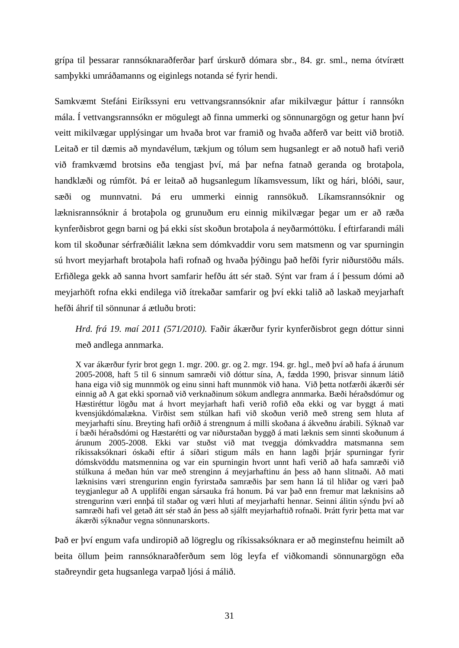grípa til þessarar rannsóknaraðferðar þarf úrskurð dómara sbr., 84. gr. sml., nema ótvírætt samþykki umráðamanns og eiginlegs notanda sé fyrir hendi.

Samkvæmt Stefáni Eiríkssyni eru vettvangsrannsóknir afar mikilvægur þáttur í rannsókn mála. Í vettvangsrannsókn er mögulegt að finna ummerki og sönnunargögn og getur hann því veitt mikilvægar upplýsingar um hvaða brot var framið og hvaða aðferð var beitt við brotið. Leitað er til dæmis að myndavélum, tækjum og tólum sem hugsanlegt er að notuð hafi verið við framkvæmd brotsins eða tengjast því, má þar nefna fatnað geranda og brotaþola, handklæði og rúmföt. Þá er leitað að hugsanlegum líkamsvessum, líkt og hári, blóði, saur, sæði og munnvatni. Þá eru ummerki einnig rannsökuð. Líkamsrannsóknir og læknisrannsóknir á brotaþola og grunuðum eru einnig mikilvægar þegar um er að ræða kynferðisbrot gegn barni og þá ekki síst skoðun brotaþola á neyðarmóttöku. Í eftirfarandi máli kom til skoðunar sérfræðiálit lækna sem dómkvaddir voru sem matsmenn og var spurningin sú hvort meyjarhaft brotaþola hafi rofnað og hvaða þýðingu það hefði fyrir niðurstöðu máls. Erfiðlega gekk að sanna hvort samfarir hefðu átt sér stað. Sýnt var fram á í þessum dómi að meyjarhöft rofna ekki endilega við ítrekaðar samfarir og því ekki talið að laskað meyjarhaft hefði áhrif til sönnunar á ætluðu broti:

*Hrd. frá 19. maí 2011 (571/2010).* Faðir ákærður fyrir kynferðisbrot gegn dóttur sinni með andlega annmarka.

X var ákærður fyrir brot gegn 1. mgr. 200. gr. og 2. mgr. 194. gr. hgl., með því að hafa á árunum 2005-2008, haft 5 til 6 sinnum samræði við dóttur sína, A, fædda 1990, þrisvar sinnum látið hana eiga við sig munnmök og einu sinni haft munnmök við hana. Við þetta notfærði ákærði sér einnig að A gat ekki spornað við verknaðinum sökum andlegra annmarka. Bæði héraðsdómur og Hæstiréttur lögðu mat á hvort meyjarhaft hafi verið rofið eða ekki og var byggt á mati kvensjúkdómalækna. Virðist sem stúlkan hafi við skoðun verið með streng sem hluta af meyjarhafti sínu. Breyting hafi orðið á strengnum á milli skoðana á ákveðnu árabili. Sýknað var í bæði héraðsdómi og Hæstarétti og var niðurstaðan byggð á mati læknis sem sinnti skoðunum á árunum 2005-2008. Ekki var stuðst við mat tveggja dómkvaddra matsmanna sem ríkissaksóknari óskaði eftir á síðari stigum máls en hann lagði þrjár spurningar fyrir dómskvöddu matsmennina og var ein spurningin hvort unnt hafi verið að hafa samræði við stúlkuna á meðan hún var með strenginn á meyjarhaftinu án þess að hann slitnaði. Að mati læknisins væri strengurinn engin fyrirstaða samræðis þar sem hann lá til hliðar og væri það teygjanlegur að A upplifði engan sársauka frá honum. Þá var það enn fremur mat læknisins að strengurinn væri ennþá til staðar og væri hluti af meyjarhafti hennar. Seinni álitin sýndu því að samræði hafi vel getað átt sér stað án þess að sjálft meyjarhaftið rofnaði. Þrátt fyrir þetta mat var ákærði sýknaður vegna sönnunarskorts.

Það er því engum vafa undiropið að lögreglu og ríkissaksóknara er að meginstefnu heimilt að beita öllum þeim rannsóknaraðferðum sem lög leyfa ef viðkomandi sönnunargögn eða staðreyndir geta hugsanlega varpað ljósi á málið.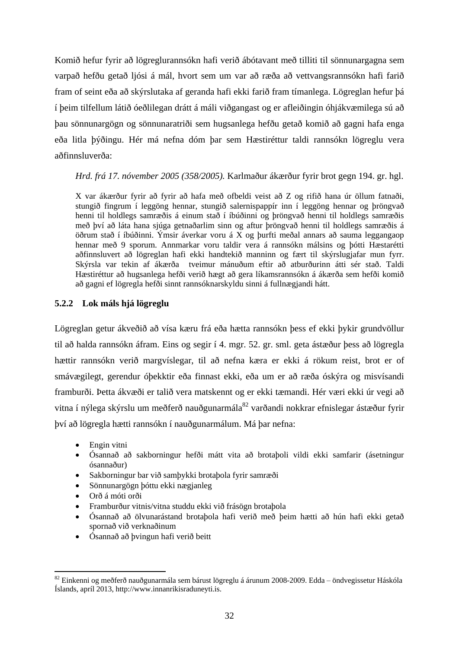Komið hefur fyrir að lögreglurannsókn hafi verið ábótavant með tilliti til sönnunargagna sem varpað hefðu getað ljósi á mál, hvort sem um var að ræða að vettvangsrannsókn hafi farið fram of seint eða að skýrslutaka af geranda hafi ekki farið fram tímanlega. Lögreglan hefur þá í þeim tilfellum látið óeðlilegan drátt á máli viðgangast og er afleiðingin óhjákvæmilega sú að þau sönnunargögn og sönnunaratriði sem hugsanlega hefðu getað komið að gagni hafa enga eða litla þýðingu. Hér má nefna dóm þar sem Hæstiréttur taldi rannsókn lögreglu vera aðfinnsluverða:

*Hrd. frá 17. nóvember 2005 (358/2005).* Karlmaður ákærður fyrir brot gegn 194. gr. hgl.

X var ákærður fyrir að fyrir að hafa með ofbeldi veist að Z og rifið hana úr öllum fatnaði, stungið fingrum í leggöng hennar, stungið salernispappír inn í leggöng hennar og þröngvað henni til holdlegs samræðis á einum stað í íbúðinni og þröngvað henni til holdlegs samræðis með því að láta hana sjúga getnaðarlim sinn og aftur þröngvað henni til holdlegs samræðis á öðrum stað í íbúðinni. Ýmsir áverkar voru á X og þurfti meðal annars að sauma leggangaop hennar með 9 sporum. Annmarkar voru taldir vera á rannsókn málsins og þótti Hæstarétti aðfinnsluvert að lögreglan hafi ekki handtekið manninn og fært til skýrslugjafar mun fyrr. Skýrsla var tekin af ákærða tveimur mánuðum eftir að atburðurinn átti sér stað. Taldi Hæstiréttur að hugsanlega hefði verið hægt að gera líkamsrannsókn á ákærða sem hefði komið að gagni ef lögregla hefði sinnt rannsóknarskyldu sinni á fullnægjandi hátt.

# **5.2.2 Lok máls hjá lögreglu**

Lögreglan getur ákveðið að vísa kæru frá eða hætta rannsókn þess ef ekki þykir grundvöllur til að halda rannsókn áfram. Eins og segir í 4. mgr. 52. gr. sml. geta ástæður þess að lögregla hættir rannsókn verið margvíslegar, til að nefna kæra er ekki á rökum reist, brot er of smávægilegt, gerendur óþekktir eða finnast ekki, eða um er að ræða óskýra og misvísandi framburði. Þetta ákvæði er talið vera matskennt og er ekki tæmandi. Hér væri ekki úr vegi að vitna í nýlega skýrslu um meðferð nauðgunarmála $^{82}$  varðandi nokkrar efnislegar ástæður fyrir því að lögregla hætti rannsókn í nauðgunarmálum. Má þar nefna:

- Engin vitni
- Ósannað að sakborningur hefði mátt vita að brotaþoli vildi ekki samfarir (ásetningur ósannaður)
- Sakborningur bar við samþykki brotaþola fyrir samræði
- Sönnunargögn þóttu ekki nægjanleg
- Orð á móti orði

- Framburður vitnis/vitna studdu ekki við frásögn brotaþola
- Ósannað að ölvunarástand brotaþola hafi verið með þeim hætti að hún hafi ekki getað spornað við verknaðinum
- Ósannað að þvingun hafi verið beitt

<sup>82</sup> Einkenni og meðferð nauðgunarmála sem bárust lögreglu á árunum 2008-2009. Edda – öndvegissetur Háskóla Íslands, apríl 2013, http://www.innanrikisraduneyti.is.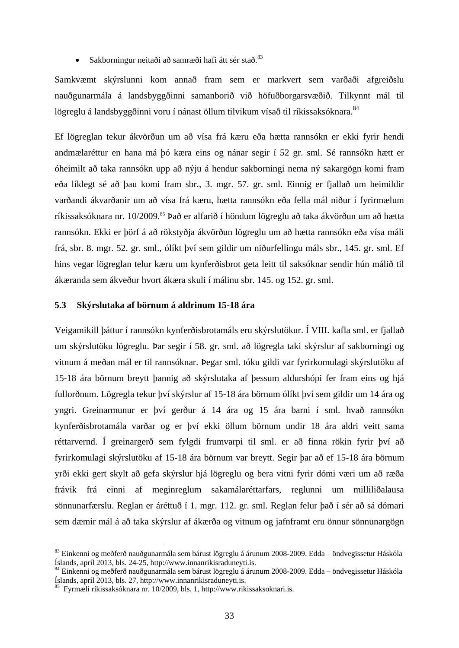$\bullet$  Sakborningur neitaði að samræði hafi átt sér stað.<sup>83</sup>

Samkvæmt skýrslunni kom annað fram sem er markvert sem varðaði afgreiðslu nauðgunarmála á landsbyggðinni samanborið við höfuðborgarsvæðið. Tilkynnt mál til lögreglu á landsbyggðinni voru í nánast öllum tilvikum vísað til ríkissaksóknara. 84

Ef lögreglan tekur ákvörðun um að vísa frá kæru eða hætta rannsókn er ekki fyrir hendi andmælaréttur en hana má þó kæra eins og nánar segir í 52 gr. sml. Sé rannsókn hætt er óheimilt að taka rannsókn upp að nýju á hendur sakborningi nema ný sakargögn komi fram eða líklegt sé að þau komi fram sbr., 3. mgr. 57. gr. sml. Einnig er fjallað um heimildir varðandi ákvarðanir um að vísa frá kæru, hætta rannsókn eða fella mál niður í fyrirmælum ríkissaksóknara nr. 10/2009.<sup>85</sup> Það er alfarið í höndum lögreglu að taka ákvörðun um að hætta rannsókn. Ekki er þörf á að rökstyðja ákvörðun lögreglu um að hætta rannsókn eða vísa máli frá, sbr. 8. mgr. 52. gr. sml., ólíkt því sem gildir um niðurfellingu máls sbr., 145. gr. sml. Ef hins vegar lögreglan telur kæru um kynferðisbrot geta leitt til saksóknar sendir hún málið til ákæranda sem ákveður hvort ákæra skuli í málinu sbr. 145. og 152. gr. sml.

### **5.3 Skýrslutaka af börnum á aldrinum 15-18 ára**

Veigamikill þáttur í rannsókn kynferðisbrotamáls eru skýrslutökur. Í VIII. kafla sml. er fjallað um skýrslutöku lögreglu. Þar segir í 58. gr. sml. að lögregla taki skýrslur af sakborningi og vitnum á meðan mál er til rannsóknar. Þegar sml. tóku gildi var fyrirkomulagi skýrslutöku af 15-18 ára börnum breytt þannig að skýrslutaka af þessum aldurshópi fer fram eins og hjá fullorðnum. Lögregla tekur því skýrslur af 15-18 ára börnum ólíkt því sem gildir um 14 ára og yngri. Greinarmunur er því gerður á 14 ára og 15 ára barni í sml. hvað rannsókn kynferðisbrotamála varðar og er því ekki öllum börnum undir 18 ára aldri veitt sama réttarvernd. Í greinargerð sem fylgdi frumvarpi til sml. er að finna rökin fyrir því að fyrirkomulagi skýrslutöku af 15-18 ára börnum var breytt. Segir þar að ef 15-18 ára börnum yrði ekki gert skylt að gefa skýrslur hjá lögreglu og bera vitni fyrir dómi væri um að ræða frávik frá einni af meginreglum sakamálaréttarfars, reglunni um milliliðalausa sönnunarfærslu. Reglan er áréttuð í 1. mgr. 112. gr. sml. Reglan felur það í sér að sá dómari sem dæmir mál á að taka skýrslur af ákærða og vitnum og jafnframt eru önnur sönnunargögn

<sup>83</sup> Einkenni og meðferð nauðgunarmála sem bárust lögreglu á árunum 2008-2009. Edda – öndvegissetur Háskóla Íslands, apríl 2013, bls. 24-25, http://www.innanrikisraduneyti.is.

<sup>84</sup> Einkenni og meðferð nauðgunarmála sem bárust lögreglu á árunum 2008-2009. Edda – öndvegissetur Háskóla Íslands, apríl 2013, bls. 27, http://www.innanrikisraduneyti.is.

<sup>85</sup> Fyrmæli ríkissaksóknara nr. 10/2009, bls. 1, http://www.rikissaksoknari.is.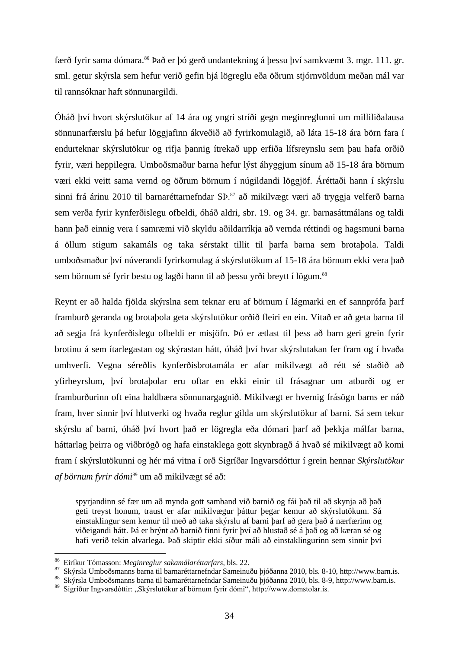færð fyrir sama dómara.<sup>86</sup> Það er þó gerð undantekning á þessu því samkvæmt 3. mgr. 111. gr. sml. getur skýrsla sem hefur verið gefin hjá lögreglu eða öðrum stjórnvöldum meðan mál var til rannsóknar haft sönnunargildi.

Óháð því hvort skýrslutökur af 14 ára og yngri stríði gegn meginreglunni um milliliðalausa sönnunarfærslu þá hefur löggjafinn ákveðið að fyrirkomulagið, að láta 15-18 ára börn fara í endurteknar skýrslutökur og rifja þannig ítrekað upp erfiða lífsreynslu sem þau hafa orðið fyrir, væri heppilegra. Umboðsmaður barna hefur lýst áhyggjum sínum að 15-18 ára börnum væri ekki veitt sama vernd og öðrum börnum í núgildandi löggjöf. Áréttaði hann í skýrslu sinni frá árinu 2010 til barnaréttarnefndar SÞ.<sup>87</sup> að mikilvægt væri að tryggja velferð barna sem verða fyrir kynferðislegu ofbeldi, óháð aldri, sbr. 19. og 34. gr. barnasáttmálans og taldi hann það einnig vera í samræmi við skyldu aðildarríkja að vernda réttindi og hagsmuni barna á öllum stigum sakamáls og taka sérstakt tillit til þarfa barna sem brotaþola. Taldi umboðsmaður því núverandi fyrirkomulag á skýrslutökum af 15-18 ára börnum ekki vera það sem börnum sé fyrir bestu og lagði hann til að þessu yrði breytt í lögum.<sup>88</sup>

Reynt er að halda fjölda skýrslna sem teknar eru af börnum í lágmarki en ef sannprófa þarf framburð geranda og brotaþola geta skýrslutökur orðið fleiri en ein. Vitað er að geta barna til að segja frá kynferðislegu ofbeldi er misjöfn. Þó er ætlast til þess að barn geri grein fyrir brotinu á sem ítarlegastan og skýrastan hátt, óháð því hvar skýrslutakan fer fram og í hvaða umhverfi. Vegna séreðlis kynferðisbrotamála er afar mikilvægt að rétt sé staðið að yfirheyrslum, því brotaþolar eru oftar en ekki einir til frásagnar um atburði og er framburðurinn oft eina haldbæra sönnunargagnið. Mikilvægt er hvernig frásögn barns er náð fram, hver sinnir því hlutverki og hvaða reglur gilda um skýrslutökur af barni. Sá sem tekur skýrslu af barni, óháð því hvort það er lögregla eða dómari þarf að þekkja málfar barna, háttarlag þeirra og viðbrögð og hafa einstaklega gott skynbragð á hvað sé mikilvægt að komi fram í skýrslutökunni og hér má vitna í orð Sigríðar Ingvarsdóttur í grein hennar *Skýrslutökur af börnum fyrir dómi*<sup>89</sup> um að mikilvægt sé að:

spyrjandinn sé fær um að mynda gott samband við barnið og fái það til að skynja að það geti treyst honum, traust er afar mikilvægur þáttur þegar kemur að skýrslutökum. Sá einstaklingur sem kemur til með að taka skýrslu af barni þarf að gera það á nærfærinn og viðeigandi hátt. Þá er brýnt að barnið finni fyrir því að hlustað sé á það og að kæran sé og hafi verið tekin alvarlega. Það skiptir ekki síður máli að einstaklingurinn sem sinnir því

<sup>86</sup> Eiríkur Tómasson: *Meginreglur sakamálaréttarfars*, bls. 22.

<sup>87</sup> Skýrsla Umboðsmanns barna til barnaréttarnefndar Sameinuðu þjóðanna 2010, bls. 8-10, http://www.barn.is.

<sup>88</sup> Skýrsla Umboðsmanns barna til barnaréttarnefndar Sameinuðu þjóðanna 2010, bls. 8-9, http://www.barn.is.

<sup>&</sup>lt;sup>89</sup> Sigríður Ingvarsdóttir: "Skýrslutökur af börnum fyrir dómi", http://www.domstolar.is.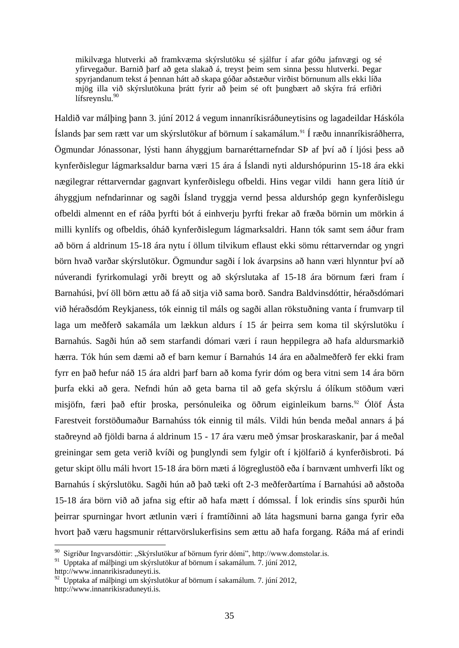mikilvæga hlutverki að framkvæma skýrslutöku sé sjálfur í afar góðu jafnvægi og sé yfirvegaður. Barnið þarf að geta slakað á, treyst þeim sem sinna þessu hlutverki. Þegar spyrjandanum tekst á þennan hátt að skapa góðar aðstæður virðist börnunum alls ekki líða mjög illa við skýrslutökuna þrátt fyrir að þeim sé oft þungbært að skýra frá erfiðri lífsreynslu.<sup>90</sup>

Haldið var málþing þann 3. júní 2012 á vegum innanríkisráðuneytisins og lagadeildar Háskóla Íslands þar sem rætt var um skýrslutökur af börnum í sakamálum.<sup>91</sup> Í ræðu innanríkisráðherra, Ögmundar Jónassonar, lýsti hann áhyggjum barnaréttarnefndar SÞ af því að í ljósi þess að kynferðislegur lágmarksaldur barna væri 15 ára á Íslandi nyti aldurshópurinn 15-18 ára ekki nægilegrar réttarverndar gagnvart kynferðislegu ofbeldi. Hins vegar vildi hann gera lítið úr áhyggjum nefndarinnar og sagði Ísland tryggja vernd þessa aldurshóp gegn kynferðislegu ofbeldi almennt en ef ráða þyrfti bót á einhverju þyrfti frekar að fræða börnin um mörkin á milli kynlífs og ofbeldis, óháð kynferðislegum lágmarksaldri. Hann tók samt sem áður fram að börn á aldrinum 15-18 ára nytu í öllum tilvikum eflaust ekki sömu réttarverndar og yngri börn hvað varðar skýrslutökur. Ögmundur sagði í lok ávarpsins að hann væri hlynntur því að núverandi fyrirkomulagi yrði breytt og að skýrslutaka af 15-18 ára börnum færi fram í Barnahúsi, því öll börn ættu að fá að sitja við sama borð. Sandra Baldvinsdóttir, héraðsdómari við héraðsdóm Reykjaness, tók einnig til máls og sagði allan rökstuðning vanta í frumvarp til laga um meðferð sakamála um lækkun aldurs í 15 ár þeirra sem koma til skýrslutöku í Barnahús. Sagði hún að sem starfandi dómari væri í raun heppilegra að hafa aldursmarkið hærra. Tók hún sem dæmi að ef barn kemur í Barnahús 14 ára en aðalmeðferð fer ekki fram fyrr en það hefur náð 15 ára aldri þarf barn að koma fyrir dóm og bera vitni sem 14 ára börn þurfa ekki að gera. Nefndi hún að geta barna til að gefa skýrslu á ólíkum stöðum væri misjöfn, færi það eftir þroska, persónuleika og öðrum eiginleikum barns.<sup>92</sup> Ólöf Ásta Farestveit forstöðumaður Barnahúss tók einnig til máls. Vildi hún benda meðal annars á þá staðreynd að fjöldi barna á aldrinum 15 - 17 ára væru með ýmsar þroskaraskanir, þar á meðal greiningar sem geta verið kvíði og þunglyndi sem fylgir oft í kjölfarið á kynferðisbroti. Þá getur skipt öllu máli hvort 15-18 ára börn mæti á lögreglustöð eða í barnvænt umhverfi líkt og Barnahús í skýrslutöku. Sagði hún að það tæki oft 2-3 meðferðartíma í Barnahúsi að aðstoða 15-18 ára börn við að jafna sig eftir að hafa mætt í dómssal. Í lok erindis síns spurði hún þeirrar spurningar hvort ætlunin væri í framtíðinni að láta hagsmuni barna ganga fyrir eða hvort það væru hagsmunir réttarvörslukerfisins sem ættu að hafa forgang. Ráða má af erindi 1

<sup>&</sup>lt;sup>90</sup> Sigríður Ingvarsdóttir: "Skýrslutökur af börnum fyrir dómi", http://www.domstolar.is.

<sup>91</sup> Upptaka af málþingi um skýrslutökur af börnum í sakamálum. 7. júní 2012,

http://www.innanrikisraduneyti.is.

 $^{92}$  Upptaka af málþingi um skýrslutökur af börnum í sakamálum. 7. júní 2012, http://www.innanrikisraduneyti.is.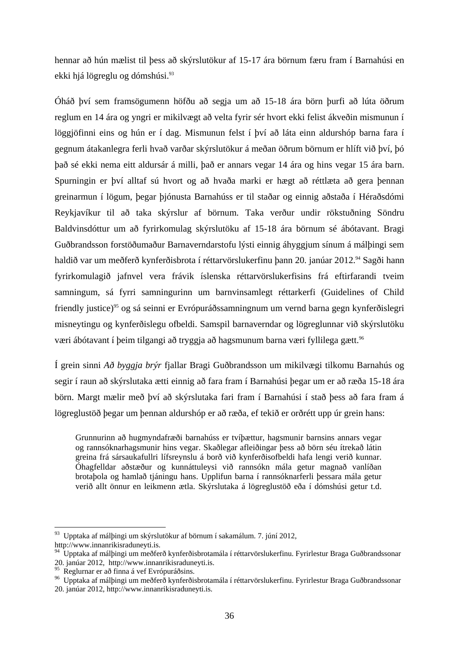hennar að hún mælist til þess að skýrslutökur af 15-17 ára börnum færu fram í Barnahúsi en ekki hjá lögreglu og dómshúsi.<sup>93</sup>

Óháð því sem framsögumenn höfðu að segja um að 15-18 ára börn þurfi að lúta öðrum reglum en 14 ára og yngri er mikilvægt að velta fyrir sér hvort ekki felist ákveðin mismunun í löggjöfinni eins og hún er í dag. Mismunun felst í því að láta einn aldurshóp barna fara í gegnum átakanlegra ferli hvað varðar skýrslutökur á meðan öðrum börnum er hlíft við því, þó það sé ekki nema eitt aldursár á milli, það er annars vegar 14 ára og hins vegar 15 ára barn. Spurningin er því alltaf sú hvort og að hvaða marki er hægt að réttlæta að gera þennan greinarmun í lögum, þegar þjónusta Barnahúss er til staðar og einnig aðstaða í Héraðsdómi Reykjavíkur til að taka skýrslur af börnum. Taka verður undir rökstuðning Söndru Baldvinsdóttur um að fyrirkomulag skýrslutöku af 15-18 ára börnum sé ábótavant. Bragi Guðbrandsson forstöðumaður Barnaverndarstofu lýsti einnig áhyggjum sínum á málþingi sem haldið var um meðferð kynferðisbrota í réttarvörslukerfinu þann 20. janúar 2012.<sup>94</sup> Sagði hann fyrirkomulagið jafnvel vera frávik íslenska réttarvörslukerfisins frá eftirfarandi tveim samningum, sá fyrri samningurinn um barnvinsamlegt réttarkerfi (Guidelines of Child friendly justice)<sup>95</sup> og sá seinni er Evrópuráðssamningnum um vernd barna gegn kynferðislegri misneytingu og kynferðislegu ofbeldi. Samspil barnaverndar og lögreglunnar við skýrslutöku væri ábótavant í þeim tilgangi að tryggja að hagsmunum barna væri fyllilega gætt.<sup>96</sup>

Í grein sinni *Að byggja brýr* fjallar Bragi Guðbrandsson um mikilvægi tilkomu Barnahús og segir í raun að skýrslutaka ætti einnig að fara fram í Barnahúsi þegar um er að ræða 15-18 ára börn. Margt mælir með því að skýrslutaka fari fram í Barnahúsi í stað þess að fara fram á lögreglustöð þegar um þennan aldurshóp er að ræða, ef tekið er orðrétt upp úr grein hans:

Grunnurinn að hugmyndafræði barnahúss er tvíþættur, hagsmunir barnsins annars vegar og rannsóknarhagsmunir hins vegar. Skaðlegar afleiðingar þess að börn séu ítrekað látin greina frá sársaukafullri lífsreynslu á borð við kynferðisofbeldi hafa lengi verið kunnar. Óhagfelldar aðstæður og kunnáttuleysi við rannsókn mála getur magnað vanlíðan brotaþola og hamlað tjáningu hans. Upplifun barna í rannsóknarferli þessara mála getur verið allt önnur en leikmenn ætla. Skýrslutaka á lögreglustöð eða í dómshúsi getur t.d.

<sup>93</sup> Upptaka af málþingi um skýrslutökur af börnum í sakamálum. 7. júní 2012, http://www.innanrikisraduneyti.is.

<sup>94</sup> Upptaka af málþingi um meðferð kynferðisbrotamála í réttarvörslukerfinu. Fyrirlestur Braga Guðbrandssonar 20. janúar 2012, http://www.innanrikisraduneyti.is.

<sup>95</sup> Reglurnar er að finna á vef Evrópuráðsins.

<sup>96</sup> Upptaka af málþingi um meðferð kynferðisbrotamála í réttarvörslukerfinu. Fyrirlestur Braga Guðbrandssonar 20. janúar 2012, http://www.innanrikisraduneyti.is.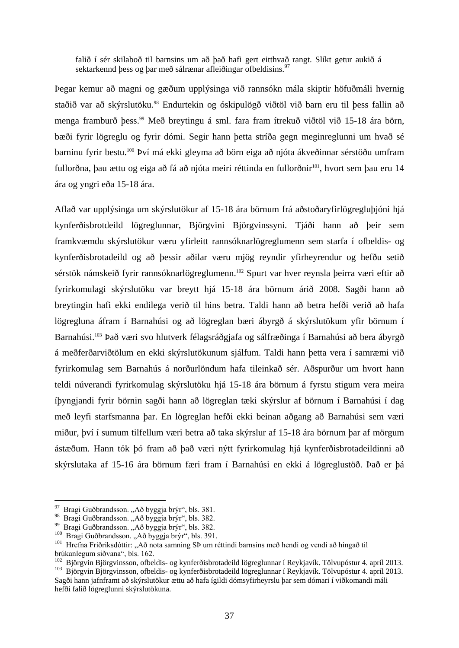falið í sér skilaboð til barnsins um að það hafi gert eitthvað rangt. Slíkt getur aukið á sektarkennd þess og þar með sálrænar afleiðingar ofbeldisins.<sup>97</sup>

Þegar kemur að magni og gæðum upplýsinga við rannsókn mála skiptir höfuðmáli hvernig staðið var að skýrslutöku.<sup>98</sup> Endurtekin og óskipulögð viðtöl við barn eru til þess fallin að menga framburð þess.<sup>99</sup> Með breytingu á sml. fara fram ítrekuð viðtöl við 15-18 ára börn, bæði fyrir lögreglu og fyrir dómi. Segir hann þetta stríða gegn meginreglunni um hvað sé barninu fyrir bestu.<sup>100</sup> Því má ekki gleyma að börn eiga að njóta ákveðinnar sérstöðu umfram fullorðna, þau ættu og eiga að fá að njóta meiri réttinda en fullorðnir<sup>101</sup>, hvort sem þau eru 14 ára og yngri eða 15-18 ára.

Aflað var upplýsinga um skýrslutökur af 15-18 ára börnum frá aðstoðaryfirlögregluþjóni hjá kynferðisbrotdeild lögreglunnar, Björgvini Björgvinssyni. Tjáði hann að þeir sem framkvæmdu skýrslutökur væru yfirleitt rannsóknarlögreglumenn sem starfa í ofbeldis- og kynferðisbrotadeild og að þessir aðilar væru mjög reyndir yfirheyrendur og hefðu setið sérstök námskeið fyrir rannsóknarlögreglumenn.<sup>102</sup> Spurt var hver reynsla þeirra væri eftir að fyrirkomulagi skýrslutöku var breytt hjá 15-18 ára börnum árið 2008. Sagði hann að breytingin hafi ekki endilega verið til hins betra. Taldi hann að betra hefði verið að hafa lögregluna áfram í Barnahúsi og að lögreglan bæri ábyrgð á skýrslutökum yfir börnum í Barnahúsi.<sup>103</sup> Það væri svo hlutverk félagsráðgjafa og sálfræðinga í Barnahúsi að bera ábyrgð á meðferðarviðtölum en ekki skýrslutökunum sjálfum. Taldi hann þetta vera í samræmi við fyrirkomulag sem Barnahús á norðurlöndum hafa tileinkað sér. Aðspurður um hvort hann teldi núverandi fyrirkomulag skýrslutöku hjá 15-18 ára börnum á fyrstu stigum vera meira íþyngjandi fyrir börnin sagði hann að lögreglan tæki skýrslur af börnum í Barnahúsi í dag með leyfi starfsmanna þar. En lögreglan hefði ekki beinan aðgang að Barnahúsi sem væri miður, því í sumum tilfellum væri betra að taka skýrslur af 15-18 ára börnum þar af mörgum ástæðum. Hann tók þó fram að það væri nýtt fyrirkomulag hjá kynferðisbrotadeildinni að skýrslutaka af 15-16 ára börnum færi fram í Barnahúsi en ekki á lögreglustöð. Það er þá

<sup>&</sup>lt;sup>97</sup> Bragi Guðbrandsson. "Að byggja brýr", bls. 381.

<sup>&</sup>lt;sup>98</sup> Bragi Guðbrandsson. "Að byggja brýr", bls. 382.

<sup>&</sup>lt;sup>99</sup> Bragi Guðbrandsson. "Að byggja brýr", bls. 382.<br><sup>100</sup> Bragi Guðbrandsson. "Að byggja brýr", bls. 391.

<sup>&</sup>lt;sup>101</sup> Hrefna Friðriksdóttir: "Að nota samning SÞ um réttindi barnsins með hendi og vendi að hingað til brúkanlegum siðvana", bls. 162.

<sup>&</sup>lt;sup>102</sup> Björgvin Björgvinsson, ofbeldis- og kynferðisbrotadeild lögreglunnar í Reykjavík. Tölvupóstur 4. apríl 2013. <sup>103</sup> Björgvin Björgvinsson, ofbeldis- og kynferðisbrotadeild lögreglunnar í Reykjavík. Tölvupóstur 4. apríl 2013.

Sagði hann jafnframt að skýrslutökur ættu að hafa ígildi dómsyfirheyrslu þar sem dómari í viðkomandi máli hefði falið lögreglunni skýrslutökuna.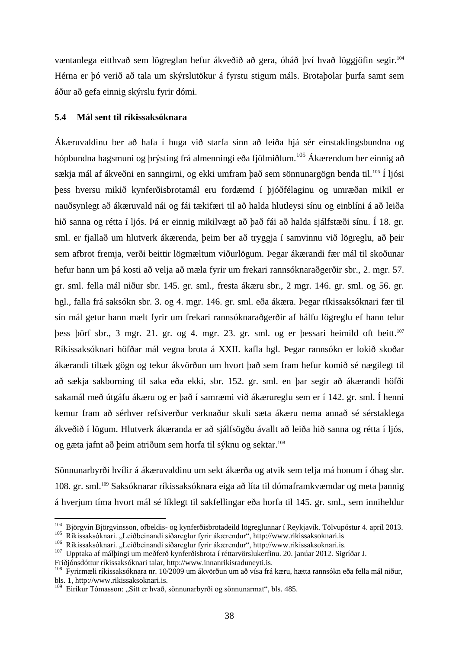væntanlega eitthvað sem lögreglan hefur ákveðið að gera, óháð því hvað löggjöfin segir.<sup>104</sup> Hérna er þó verið að tala um skýrslutökur á fyrstu stigum máls. Brotaþolar þurfa samt sem áður að gefa einnig skýrslu fyrir dómi.

### **5.4 Mál sent til ríkissaksóknara**

Ákæruvaldinu ber að hafa í huga við starfa sinn að leiða hjá sér einstaklingsbundna og hópbundna hagsmuni og þrýsting frá almenningi eða fjölmiðlum.<sup>105</sup> Ákærendum ber einnig að sækja mál af ákveðni en sanngirni, og ekki umfram það sem sönnunargögn benda til.<sup>106</sup> Í ljósi þess hversu mikið kynferðisbrotamál eru fordæmd í þjóðfélaginu og umræðan mikil er nauðsynlegt að ákæruvald nái og fái tækifæri til að halda hlutleysi sínu og einblíni á að leiða hið sanna og rétta í ljós. Þá er einnig mikilvægt að það fái að halda sjálfstæði sínu. Í 18. gr. sml. er fjallað um hlutverk ákærenda, þeim ber að tryggja í samvinnu við lögreglu, að þeir sem afbrot fremja, verði beittir lögmæltum viðurlögum. Þegar ákærandi fær mál til skoðunar hefur hann um þá kosti að velja að mæla fyrir um frekari rannsóknaraðgerðir sbr., 2. mgr. 57. gr. sml. fella mál niður sbr. 145. gr. sml., fresta ákæru sbr., 2 mgr. 146. gr. sml. og 56. gr. hgl., falla frá saksókn sbr. 3. og 4. mgr. 146. gr. sml. eða ákæra. Þegar ríkissaksóknari fær til sín mál getur hann mælt fyrir um frekari rannsóknaraðgerðir af hálfu lögreglu ef hann telur þess þörf sbr., 3 mgr. 21. gr. og 4. mgr. 23. gr. sml. og er þessari heimild oft beitt.<sup>107</sup> Ríkissaksóknari höfðar mál vegna brota á XXII. kafla hgl. Þegar rannsókn er lokið skoðar ákærandi tiltæk gögn og tekur ákvörðun um hvort það sem fram hefur komið sé nægilegt til að sækja sakborning til saka eða ekki, sbr. 152. gr. sml. en þar segir að ákærandi höfði sakamál með útgáfu ákæru og er það í samræmi við ákærureglu sem er í 142. gr. sml. Í henni kemur fram að sérhver refsiverður verknaður skuli sæta ákæru nema annað sé sérstaklega ákveðið í lögum. Hlutverk ákæranda er að sjálfsögðu ávallt að leiða hið sanna og rétta í ljós, og gæta jafnt að þeim atriðum sem horfa til sýknu og sektar.<sup>108</sup>

Sönnunarbyrði hvílir á ákæruvaldinu um sekt ákærða og atvik sem telja má honum í óhag sbr. 108. gr. sml.<sup>109</sup> Saksóknarar ríkissaksóknara eiga að líta til dómaframkvæmdar og meta þannig á hverjum tíma hvort mál sé líklegt til sakfellingar eða horfa til 145. gr. sml., sem inniheldur

<sup>&</sup>lt;sup>104</sup> Björgvin Björgvinsson, ofbeldis- og kynferðisbrotadeild lögreglunnar í Reykjavík. Tölvupóstur 4. apríl 2013. <sup>105</sup> Ríkissaksóknari. "Leiðbeinandi siðareglur fyrir ákærendur", http://www.rikissaksoknari.is

<sup>&</sup>lt;sup>106</sup> Ríkissaksóknari. "Leiðbeinandi siðareglur fyrir ákærendur", http://www.rikissaksoknari.is.

<sup>107</sup> Upptaka af málþingi um meðferð kynferðisbrota í réttarvörslukerfinu. 20. janúar 2012. Sigríðar J.

Friðjónsdóttur ríkissaksóknari talar, http://www.innanrikisraduneyti.is.

<sup>108</sup> Fyrirmæli ríkissaksóknara nr. 10/2009 um ákvörðun um að vísa frá kæru, hætta rannsókn eða fella mál niður, bls. 1, http://www.rikissaksoknari.is.

<sup>&</sup>lt;sup>109</sup> Eiríkur Tómasson: "Sitt er hvað, sönnunarbyrði og sönnunarmat", bls. 485.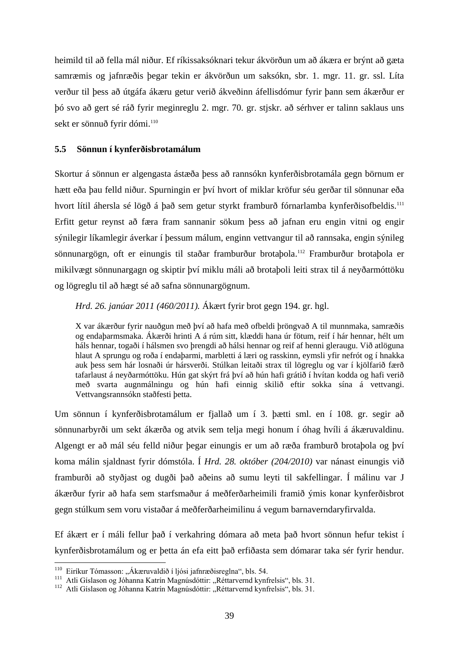heimild til að fella mál niður. Ef ríkissaksóknari tekur ákvörðun um að ákæra er brýnt að gæta samræmis og jafnræðis þegar tekin er ákvörðun um saksókn, sbr. 1. mgr. 11. gr. ssl. Líta verður til þess að útgáfa ákæru getur verið ákveðinn áfellisdómur fyrir þann sem ákærður er þó svo að gert sé ráð fyrir meginreglu 2. mgr. 70. gr. stjskr. að sérhver er talinn saklaus uns sekt er sönnuð fyrir dómi.<sup>110</sup>

## **5.5 Sönnun í kynferðisbrotamálum**

Skortur á sönnun er algengasta ástæða þess að rannsókn kynferðisbrotamála gegn börnum er hætt eða þau felld niður. Spurningin er því hvort of miklar kröfur séu gerðar til sönnunar eða hvort lítil áhersla sé lögð á það sem getur styrkt framburð fórnarlamba kynferðisofbeldis.<sup>111</sup> Erfitt getur reynst að færa fram sannanir sökum þess að jafnan eru engin vitni og engir sýnilegir líkamlegir áverkar í þessum málum, enginn vettvangur til að rannsaka, engin sýnileg sönnunargögn, oft er einungis til staðar framburður brotaþola.<sup>112</sup> Framburður brotaþola er mikilvægt sönnunargagn og skiptir því miklu máli að brotaþoli leiti strax til á neyðarmóttöku og lögreglu til að hægt sé að safna sönnunargögnum.

*Hrd. 26. janúar 2011 (460/2011).* Ákært fyrir brot gegn 194. gr. hgl.

X var ákærður fyrir nauðgun með því að hafa með ofbeldi þröngvað A til munnmaka, samræðis og endaþarmsmaka. Ákærði hrinti A á rúm sitt, klæddi hana úr fötum, reif í hár hennar, hélt um háls hennar, togaði í hálsmen svo þrengdi að hálsi hennar og reif af henni gleraugu. Við atlöguna hlaut A sprungu og roða í endaþarmi, marbletti á læri og rasskinn, eymsli yfir nefrót og í hnakka auk þess sem hár losnaði úr hársverði. Stúlkan leitaði strax til lögreglu og var í kjölfarið færð tafarlaust á neyðarmóttöku. Hún gat skýrt frá því að hún hafi grátið í hvítan kodda og hafi verið með svarta augnmálningu og hún hafi einnig skilið eftir sokka sína á vettvangi. Vettvangsrannsókn staðfesti þetta.

Um sönnun í kynferðisbrotamálum er fjallað um í 3. þætti sml. en í 108. gr. segir að sönnunarbyrði um sekt ákærða og atvik sem telja megi honum í óhag hvíli á ákæruvaldinu. Algengt er að mál séu felld niður þegar einungis er um að ræða framburð brotaþola og því koma málin sjaldnast fyrir dómstóla. Í *Hrd. 28. október (204/2010)* var nánast einungis við framburði að styðjast og dugði það aðeins að sumu leyti til sakfellingar. Í málinu var J ákærður fyrir að hafa sem starfsmaður á meðferðarheimili framið ýmis konar kynferðisbrot gegn stúlkum sem voru vistaðar á meðferðarheimilinu á vegum barnaverndaryfirvalda.

Ef ákært er í máli fellur það í verkahring dómara að meta það hvort sönnun hefur tekist í kynferðisbrotamálum og er þetta án efa eitt það erfiðasta sem dómarar taka sér fyrir hendur.

<sup>&</sup>lt;sup>110</sup> Eiríkur Tómasson: "Ákæruvaldið í ljósi jafnræðisreglna", bls. 54.

<sup>&</sup>lt;sup>111</sup> Atli Gíslason og Jóhanna Katrín Magnúsdóttir: "Réttarvernd kynfrelsis", bls. 31.

<sup>112</sup> Atli Gíslason og Jóhanna Katrín Magnúsdóttir: "Réttarvernd kynfrelsis", bls. 31.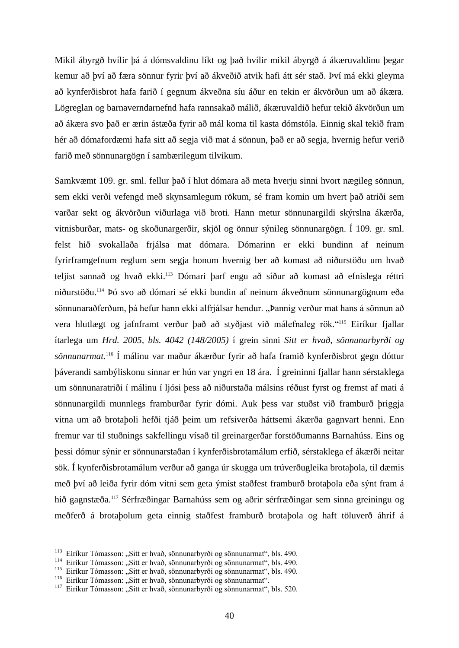Mikil ábyrgð hvílir þá á dómsvaldinu líkt og það hvílir mikil ábyrgð á ákæruvaldinu þegar kemur að því að færa sönnur fyrir því að ákveðið atvik hafi átt sér stað. Því má ekki gleyma að kynferðisbrot hafa farið í gegnum ákveðna síu áður en tekin er ákvörðun um að ákæra. Lögreglan og barnaverndarnefnd hafa rannsakað málið, ákæruvaldið hefur tekið ákvörðun um að ákæra svo það er ærin ástæða fyrir að mál koma til kasta dómstóla. Einnig skal tekið fram hér að dómafordæmi hafa sitt að segja við mat á sönnun, það er að segja, hvernig hefur verið farið með sönnunargögn í sambærilegum tilvikum.

Samkvæmt 109. gr. sml. fellur það í hlut dómara að meta hverju sinni hvort nægileg sönnun, sem ekki verði vefengd með skynsamlegum rökum, sé fram komin um hvert það atriði sem varðar sekt og ákvörðun viðurlaga við broti. Hann metur sönnunargildi skýrslna ákærða, vitnisburðar, mats- og skoðunargerðir, skjöl og önnur sýnileg sönnunargögn. Í 109. gr. sml. felst hið svokallaða frjálsa mat dómara. Dómarinn er ekki bundinn af neinum fyrirframgefnum reglum sem segja honum hvernig ber að komast að niðurstöðu um hvað teljist sannað og hvað ekki.<sup>113</sup> Dómari þarf engu að síður að komast að efnislega réttri niðurstöðu.<sup>114</sup> Þó svo að dómari sé ekki bundin af neinum ákveðnum sönnunargögnum eða sönnunaraðferðum, þá hefur hann ekki alfrjálsar hendur. "Þannig verður mat hans á sönnun að vera hlutlægt og jafnframt verður það að styðjast við málefnaleg rök."<sup>115</sup> Eiríkur fjallar ítarlega um *Hrd. 2005, bls. 4042 (148/2005)* í grein sinni *Sitt er hvað, sönnunarbyrði og sönnunarmat.*<sup>116</sup> Í málinu var maður ákærður fyrir að hafa framið kynferðisbrot gegn dóttur þáverandi sambýliskonu sinnar er hún var yngri en 18 ára. Í greininni fjallar hann sérstaklega um sönnunaratriði í málinu í ljósi þess að niðurstaða málsins réðust fyrst og fremst af mati á sönnunargildi munnlegs framburðar fyrir dómi. Auk þess var stuðst við framburð þriggja vitna um að brotaþoli hefði tjáð þeim um refsiverða háttsemi ákærða gagnvart henni. Enn fremur var til stuðnings sakfellingu vísað til greinargerðar forstöðumanns Barnahúss. Eins og þessi dómur sýnir er sönnunarstaðan í kynferðisbrotamálum erfið, sérstaklega ef ákærði neitar sök. Í kynferðisbrotamálum verður að ganga úr skugga um trúverðugleika brotaþola, til dæmis með því að leiða fyrir dóm vitni sem geta ýmist staðfest framburð brotaþola eða sýnt fram á hið gagnstæða.<sup>117</sup> Sérfræðingar Barnahúss sem og aðrir sérfræðingar sem sinna greiningu og meðferð á brotaþolum geta einnig staðfest framburð brotaþola og haft töluverð áhrif á

<sup>&</sup>lt;sup>113</sup> Eiríkur Tómasson: "Sitt er hvað, sönnunarbyrði og sönnunarmat", bls. 490.

<sup>114</sup> Eiríkur Tómasson: "Sitt er hvað, sönnunarbyrði og sönnunarmat", bls. 490.

<sup>&</sup>lt;sup>115</sup> Eiríkur Tómasson: "Sitt er hvað, sönnunarbyrði og sönnunarmat", bls. 490.

<sup>&</sup>lt;sup>116</sup> Eiríkur Tómasson: "Sitt er hvað, sönnunarbyrði og sönnunarmat".

<sup>&</sup>lt;sup>117</sup> Eiríkur Tómasson: "Sitt er hvað, sönnunarbyrði og sönnunarmat", bls. 520.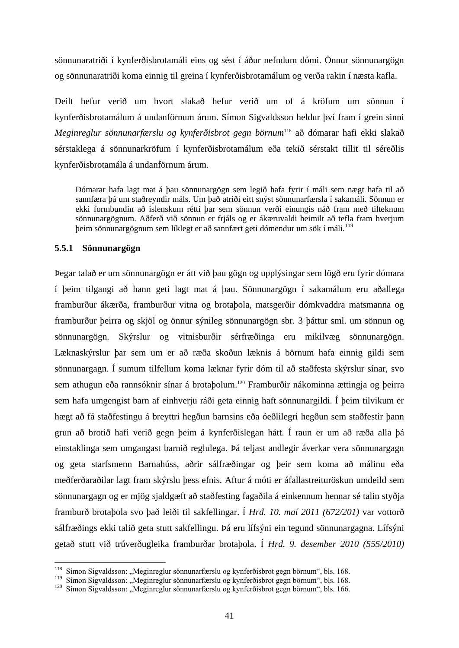sönnunaratriði í kynferðisbrotamáli eins og sést í áður nefndum dómi. Önnur sönnunargögn og sönnunaratriði koma einnig til greina í kynferðisbrotamálum og verða rakin í næsta kafla.

Deilt hefur verið um hvort slakað hefur verið um of á kröfum um sönnun í kynferðisbrotamálum á undanförnum árum. Símon Sigvaldsson heldur því fram í grein sinni *Meginreglur sönnunarfærslu og kynferðisbrot gegn börnum*<sup>118</sup> að dómarar hafi ekki slakað sérstaklega á sönnunarkröfum í kynferðisbrotamálum eða tekið sérstakt tillit til séreðlis kynferðisbrotamála á undanförnum árum.

Dómarar hafa lagt mat á þau sönnunargögn sem legið hafa fyrir í máli sem nægt hafa til að sannfæra þá um staðreyndir máls. Um það atriði eitt snýst sönnunarfærsla í sakamáli. Sönnun er ekki formbundin að íslenskum rétti þar sem sönnun verði einungis náð fram með tilteknum sönnunargögnum. Aðferð við sönnun er frjáls og er ákæruvaldi heimilt að tefla fram hverjum þeim sönnunargögnum sem líklegt er að sannfært geti dómendur um sök í máli.<sup>119</sup>

### **5.5.1 Sönnunargögn**

Þegar talað er um sönnunargögn er átt við þau gögn og upplýsingar sem lögð eru fyrir dómara í þeim tilgangi að hann geti lagt mat á þau. Sönnunargögn í sakamálum eru aðallega framburður ákærða, framburður vitna og brotaþola, matsgerðir dómkvaddra matsmanna og framburður þeirra og skjöl og önnur sýnileg sönnunargögn sbr. 3 þáttur sml. um sönnun og sönnunargögn. Skýrslur og vitnisburðir sérfræðinga eru mikilvæg sönnunargögn. Læknaskýrslur þar sem um er að ræða skoðun læknis á börnum hafa einnig gildi sem sönnunargagn. Í sumum tilfellum koma læknar fyrir dóm til að staðfesta skýrslur sínar, svo sem athugun eða rannsóknir sínar á brotaþolum.<sup>120</sup> Framburðir nákominna ættingja og þeirra sem hafa umgengist barn af einhverju ráði geta einnig haft sönnunargildi. Í þeim tilvikum er hægt að fá staðfestingu á breyttri hegðun barnsins eða óeðlilegri hegðun sem staðfestir þann grun að brotið hafi verið gegn þeim á kynferðislegan hátt. Í raun er um að ræða alla þá einstaklinga sem umgangast barnið reglulega. Þá teljast andlegir áverkar vera sönnunargagn og geta starfsmenn Barnahúss, aðrir sálfræðingar og þeir sem koma að málinu eða meðferðaraðilar lagt fram skýrslu þess efnis. Aftur á móti er áfallastreituröskun umdeild sem sönnunargagn og er mjög sjaldgæft að staðfesting fagaðila á einkennum hennar sé talin styðja framburð brotaþola svo það leiði til sakfellingar. Í *Hrd. 10. maí 2011 (672/201)* var vottorð sálfræðings ekki talið geta stutt sakfellingu. Þá eru lífsýni ein tegund sönnunargagna. Lífsýni getað stutt við trúverðugleika framburðar brotaþola. Í *Hrd. 9. desember 2010 (555/2010)*

<sup>118</sup> Símon Sigvaldsson: "Meginreglur sönnunarfærslu og kynferðisbrot gegn börnum", bls. 168.

<sup>119</sup> Símon Sigvaldsson: "Meginreglur sönnunarfærslu og kynferðisbrot gegn börnum", bls. 168.

<sup>&</sup>lt;sup>120</sup> Símon Sigvaldsson: "Meginreglur sönnunarfærslu og kynferðisbrot gegn börnum", bls. 166.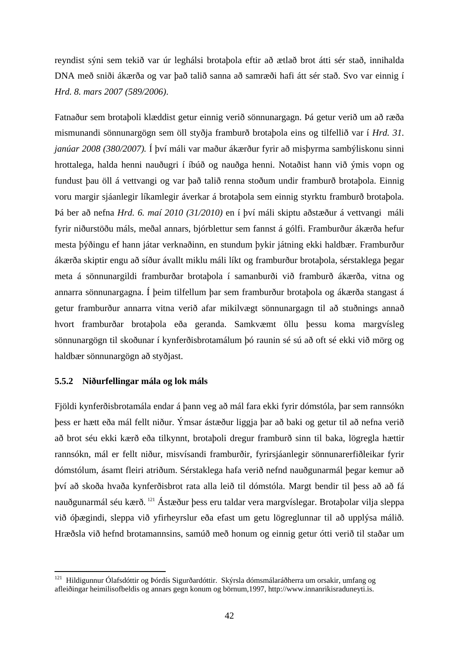reyndist sýni sem tekið var úr leghálsi brotaþola eftir að ætlað brot átti sér stað, innihalda DNA með sniði ákærða og var það talið sanna að samræði hafi átt sér stað. Svo var einnig í *Hrd. 8. mars 2007 (589/2006)*.

Fatnaður sem brotaþoli klæddist getur einnig verið sönnunargagn. Þá getur verið um að ræða mismunandi sönnunargögn sem öll styðja framburð brotaþola eins og tilfellið var í *Hrd. 31. janúar 2008 (380/2007).* Í því máli var maður ákærður fyrir að misþyrma sambýliskonu sinni hrottalega, halda henni nauðugri í íbúð og nauðga henni. Notaðist hann við ýmis vopn og fundust þau öll á vettvangi og var það talið renna stoðum undir framburð brotaþola. Einnig voru margir sjáanlegir líkamlegir áverkar á brotaþola sem einnig styrktu framburð brotaþola. Þá ber að nefna *Hrd. 6. maí 2010 (31/2010)* en í því máli skiptu aðstæður á vettvangi máli fyrir niðurstöðu máls, meðal annars, bjórblettur sem fannst á gólfi. Framburður ákærða hefur mesta þýðingu ef hann játar verknaðinn, en stundum þykir játning ekki haldbær. Framburður ákærða skiptir engu að síður ávallt miklu máli líkt og framburður brotaþola, sérstaklega þegar meta á sönnunargildi framburðar brotaþola í samanburði við framburð ákærða, vitna og annarra sönnunargagna. Í þeim tilfellum þar sem framburður brotaþola og ákærða stangast á getur framburður annarra vitna verið afar mikilvægt sönnunargagn til að stuðnings annað hvort framburðar brotaþola eða geranda. Samkvæmt öllu þessu koma margvísleg sönnunargögn til skoðunar í kynferðisbrotamálum þó raunin sé sú að oft sé ekki við mörg og haldbær sönnunargögn að styðjast.

## **5.5.2 Niðurfellingar mála og lok máls**

1

Fjöldi kynferðisbrotamála endar á þann veg að mál fara ekki fyrir dómstóla, þar sem rannsókn þess er hætt eða mál fellt niður. Ýmsar ástæður liggja þar að baki og getur til að nefna verið að brot séu ekki kærð eða tilkynnt, brotaþoli dregur framburð sinn til baka, lögregla hættir rannsókn, mál er fellt niður, misvísandi framburðir, fyrirsjáanlegir sönnunarerfiðleikar fyrir dómstólum, ásamt fleiri atriðum. Sérstaklega hafa verið nefnd nauðgunarmál þegar kemur að því að skoða hvaða kynferðisbrot rata alla leið til dómstóla. Margt bendir til þess að að fá nauðgunarmál séu kærð. <sup>121</sup> Ástæður þess eru taldar vera margvíslegar. Brotaþolar vilja sleppa við óþægindi, sleppa við yfirheyrslur eða efast um getu lögreglunnar til að upplýsa málið. Hræðsla við hefnd brotamannsins, samúð með honum og einnig getur ótti verið til staðar um

<sup>&</sup>lt;sup>121</sup> Hildigunnur Ólafsdóttir og Þórdís Sigurðardóttir. Skýrsla dómsmálaráðherra um orsakir, umfang og afleiðingar heimilisofbeldis og annars gegn konum og börnum,1997, http://www.innanrikisraduneyti.is.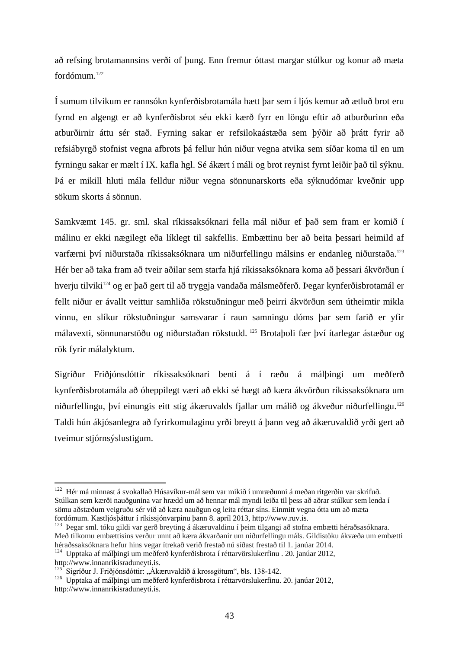að refsing brotamannsins verði of þung. Enn fremur óttast margar stúlkur og konur að mæta fordómum.<sup>122</sup>

Í sumum tilvikum er rannsókn kynferðisbrotamála hætt þar sem í ljós kemur að ætluð brot eru fyrnd en algengt er að kynferðisbrot séu ekki kærð fyrr en löngu eftir að atburðurinn eða atburðirnir áttu sér stað. Fyrning sakar er refsilokaástæða sem þýðir að þrátt fyrir að refsiábyrgð stofnist vegna afbrots þá fellur hún niður vegna atvika sem síðar koma til en um fyrningu sakar er mælt í IX. kafla hgl. Sé ákært í máli og brot reynist fyrnt leiðir það til sýknu. Þá er mikill hluti mála felldur niður vegna sönnunarskorts eða sýknudómar kveðnir upp sökum skorts á sönnun.

Samkvæmt 145. gr. sml. skal ríkissaksóknari fella mál niður ef það sem fram er komið í málinu er ekki nægilegt eða líklegt til sakfellis. Embættinu ber að beita þessari heimild af varfærni því niðurstaða ríkissaksóknara um niðurfellingu málsins er endanleg niðurstaða.<sup>123</sup> Hér ber að taka fram að tveir aðilar sem starfa hjá ríkissaksóknara koma að þessari ákvörðun í hverju tilviki<sup>124</sup> og er það gert til að tryggja vandaða málsmeðferð. Þegar kynferðisbrotamál er fellt niður er ávallt veittur samhliða rökstuðningur með þeirri ákvörðun sem útheimtir mikla vinnu, en slíkur rökstuðningur samsvarar í raun samningu dóms þar sem farið er yfir málavexti, sönnunarstöðu og niðurstaðan rökstudd. <sup>125</sup> Brotaþoli fær því ítarlegar ástæður og rök fyrir málalyktum.

Sigríður Friðjónsdóttir ríkissaksóknari benti á í ræðu á málþingi um meðferð kynferðisbrotamála að óheppilegt væri að ekki sé hægt að kæra ákvörðun ríkissaksóknara um niðurfellingu, því einungis eitt stig ákæruvalds fjallar um málið og ákveður niðurfellingu.<sup>126</sup> Taldi hún ákjósanlegra að fyrirkomulaginu yrði breytt á þann veg að ákæruvaldið yrði gert að tveimur stjórnsýslustigum.

<sup>122</sup> Hér má minnast á svokallað Húsavíkur-mál sem var mikið í umræðunni á meðan ritgerðin var skrifuð. Stúlkan sem kærði nauðgunina var hrædd um að hennar mál myndi leiða til þess að aðrar stúlkur sem lenda í sömu aðstæðum veigruðu sér við að kæra nauðgun og leita réttar síns. Einmitt vegna ótta um að mæta fordómum. Kastljósþáttur í ríkissjónvarpinu þann 8. apríl 2013, http://www.ruv.is.

<sup>123</sup> Þegar sml. tóku gildi var gerð breyting á ákæruvaldinu í þeim tilgangi að stofna embætti héraðsasóknara. Með tilkomu embættisins verður unnt að kæra ákvarðanir um niðurfellingu máls. Gildistöku ákvæða um embætti héraðssaksóknara hefur hins vegar ítrekað verið frestað nú síðast frestað til 1. janúar 2014.

 $124$  Upptaka af málþingi um meðferð kynferðisbrota í réttarvörslukerfinu . 20. janúar 2012, http://www.innanrikisraduneyti.is.

 $125$  Sigríður J. Friðjónsdóttir: "Ákæruvaldið á krossgötum", bls. 138-142.

<sup>&</sup>lt;sup>126</sup> Upptaka af málþingi um meðferð kynferðisbrota í réttarvörslukerfinu. 20. janúar 2012, http://www.innanrikisraduneyti.is.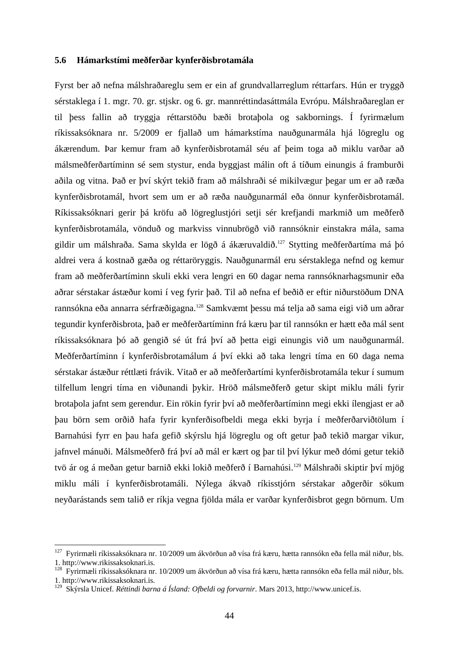### **5.6 Hámarkstími meðferðar kynferðisbrotamála**

Fyrst ber að nefna málshraðareglu sem er ein af grundvallarreglum réttarfars. Hún er tryggð sérstaklega í 1. mgr. 70. gr. stjskr. og 6. gr. mannréttindasáttmála Evrópu. Málshraðareglan er til þess fallin að tryggja réttarstöðu bæði brotaþola og sakbornings. Í fyrirmælum ríkissaksóknara nr. 5/2009 er fjallað um hámarkstíma nauðgunarmála hjá lögreglu og ákærendum. Þar kemur fram að kynferðisbrotamál séu af þeim toga að miklu varðar að málsmeðferðartíminn sé sem stystur, enda byggjast málin oft á tíðum einungis á framburði aðila og vitna. Það er því skýrt tekið fram að málshraði sé mikilvægur þegar um er að ræða kynferðisbrotamál, hvort sem um er að ræða nauðgunarmál eða önnur kynferðisbrotamál. Ríkissaksóknari gerir þá kröfu að lögreglustjóri setji sér krefjandi markmið um meðferð kynferðisbrotamála, vönduð og markviss vinnubrögð við rannsóknir einstakra mála, sama gildir um málshraða. Sama skylda er lögð á ákæruvaldið.<sup>127</sup> Stytting meðferðartíma má þó aldrei vera á kostnað gæða og réttaröryggis. Nauðgunarmál eru sérstaklega nefnd og kemur fram að meðferðartíminn skuli ekki vera lengri en 60 dagar nema rannsóknarhagsmunir eða aðrar sérstakar ástæður komi í veg fyrir það. Til að nefna ef beðið er eftir niðurstöðum DNA rannsókna eða annarra sérfræðigagna.<sup>128</sup> Samkvæmt þessu má telja að sama eigi við um aðrar tegundir kynferðisbrota, það er meðferðartíminn frá kæru þar til rannsókn er hætt eða mál sent ríkissaksóknara þó að gengið sé út frá því að þetta eigi einungis við um nauðgunarmál. Meðferðartíminn í kynferðisbrotamálum á því ekki að taka lengri tíma en 60 daga nema sérstakar ástæður réttlæti frávik. Vitað er að meðferðartími kynferðisbrotamála tekur í sumum tilfellum lengri tíma en viðunandi þykir. Hröð málsmeðferð getur skipt miklu máli fyrir brotaþola jafnt sem gerendur. Ein rökin fyrir því að meðferðartíminn megi ekki ílengjast er að þau börn sem orðið hafa fyrir kynferðisofbeldi mega ekki byrja í meðferðarviðtölum í Barnahúsi fyrr en þau hafa gefið skýrslu hjá lögreglu og oft getur það tekið margar vikur, jafnvel mánuði. Málsmeðferð frá því að mál er kært og þar til því lýkur með dómi getur tekið tvö ár og á meðan getur barnið ekki lokið meðferð í Barnahúsi.<sup>129</sup> Málshraði skiptir því mjög miklu máli í kynferðisbrotamáli. Nýlega ákvað ríkisstjórn sérstakar aðgerðir sökum neyðarástands sem talið er ríkja vegna fjölda mála er varðar kynferðisbrot gegn börnum. Um

<sup>&</sup>lt;sup>127</sup> Fyrirmæli ríkissaksóknara nr. 10/2009 um ákvörðun að vísa frá kæru, hætta rannsókn eða fella mál niður, bls. 1. http://www.rikissaksoknari.is.

<sup>128</sup> Fyrirmæli ríkissaksóknara nr. 10/2009 um ákvörðun að vísa frá kæru, hætta rannsókn eða fella mál niður, bls. 1. http://www.rikissaksoknari.is.

<sup>129</sup> Skýrsla Unicef. *Réttindi barna á Ísland: Ofbeldi og forvarnir*. Mars 2013, http://www.unicef.is.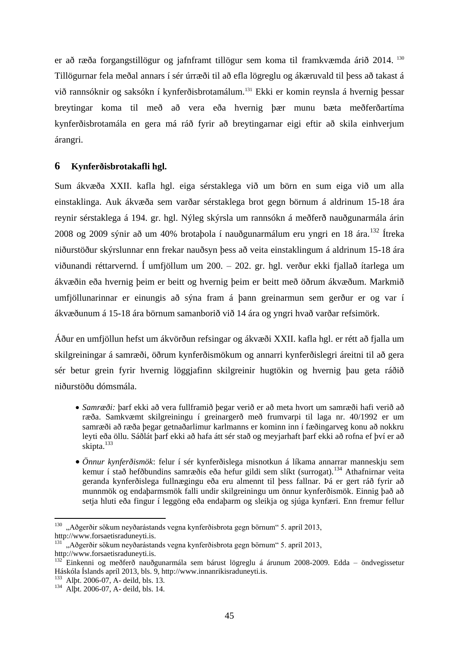er að ræða forgangstillögur og jafnframt tillögur sem koma til framkvæmda árið 2014. <sup>130</sup> Tillögurnar fela meðal annars í sér úrræði til að efla lögreglu og ákæruvald til þess að takast á við rannsóknir og saksókn í kynferðisbrotamálum.<sup>131</sup> Ekki er komin reynsla á hvernig þessar breytingar koma til með að vera eða hvernig þær munu bæta meðferðartíma kynferðisbrotamála en gera má ráð fyrir að breytingarnar eigi eftir að skila einhverjum árangri.

### **6 Kynferðisbrotakafli hgl.**

Sum ákvæða XXII. kafla hgl. eiga sérstaklega við um börn en sum eiga við um alla einstaklinga. Auk ákvæða sem varðar sérstaklega brot gegn börnum á aldrinum 15-18 ára reynir sérstaklega á 194. gr. hgl. Nýleg skýrsla um rannsókn á meðferð nauðgunarmála árin 2008 og 2009 sýnir að um 40% brotaþola í nauðgunarmálum eru yngri en 18 ára.<sup>132</sup> Ítreka niðurstöður skýrslunnar enn frekar nauðsyn þess að veita einstaklingum á aldrinum 15-18 ára viðunandi réttarvernd. Í umfjöllum um 200. – 202. gr. hgl. verður ekki fjallað ítarlega um ákvæðin eða hvernig þeim er beitt og hvernig þeim er beitt með öðrum ákvæðum. Markmið umfjöllunarinnar er einungis að sýna fram á þann greinarmun sem gerður er og var í ákvæðunum á 15-18 ára börnum samanborið við 14 ára og yngri hvað varðar refsimörk.

Áður en umfjöllun hefst um ákvörðun refsingar og ákvæði XXII. kafla hgl. er rétt að fjalla um skilgreiningar á samræði, öðrum kynferðismökum og annarri kynferðislegri áreitni til að gera sér betur grein fyrir hvernig löggjafinn skilgreinir hugtökin og hvernig þau geta ráðið niðurstöðu dómsmála.

- *Samræði:* þarf ekki að vera fullframið þegar verið er að meta hvort um samræði hafi verið að ræða. Samkvæmt skilgreiningu í greinargerð með frumvarpi til laga nr. 40/1992 er um samræði að ræða þegar getnaðarlimur karlmanns er kominn inn í fæðingarveg konu að nokkru leyti eða öllu. Sáðlát þarf ekki að hafa átt sér stað og meyjarhaft þarf ekki að rofna ef því er að skipta.<sup>133</sup>
- *Önnur kynferðismök*: felur í sér kynferðislega misnotkun á líkama annarrar manneskju sem kemur í stað hefðbundins samræðis eða hefur gildi sem slíkt (surrogat).<sup>134</sup> Athafnirnar veita geranda kynferðislega fullnægingu eða eru almennt til þess fallnar. Þá er gert ráð fyrir að munnmök og endaþarmsmök falli undir skilgreiningu um önnur kynferðismök. Einnig það að setja hluti eða fingur í leggöng eða endaþarm og sleikja og sjúga kynfæri. Enn fremur fellur

 $130$ , Aðgerðir sökum neyðarástands vegna kynferðisbrota gegn börnum" 5. apríl 2013, [http://www.forsaetisraduneyti.is.](http://www.forsaetisraduneyti.is/frettir/nr/7546)

<sup>131</sup> "Aðgerðir sökum neyðarástands vegna kynferðisbrota gegn börnum" 5. apríl 2013, [http://www.forsaetisraduneyti.is.](http://www.forsaetisraduneyti.is/frettir/nr/7546)

<sup>132</sup> Einkenni og meðferð nauðgunarmála sem bárust lögreglu á árunum 2008-2009. Edda – öndvegissetur Háskóla Íslands apríl 2013, bls. 9[, http://www.innanrikisraduneyti.is.](http://www.innanrikisraduneyti.is/)

<sup>133</sup> Alþt. 2006-07, A- deild, bls. 13.

<sup>134</sup> Alþt. 2006-07, A- deild, bls. 14.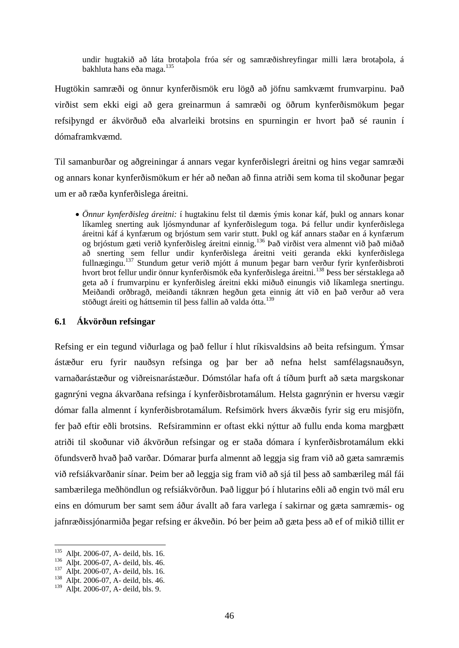undir hugtakið að láta brotaþola fróa sér og samræðishreyfingar milli læra brotaþola, á bakhluta hans eða maga.<sup>135</sup>

Hugtökin samræði og önnur kynferðismök eru lögð að jöfnu samkvæmt frumvarpinu. Það virðist sem ekki eigi að gera greinarmun á samræði og öðrum kynferðismökum þegar refsiþyngd er ákvörðuð eða alvarleiki brotsins en spurningin er hvort það sé raunin í dómaframkvæmd.

Til samanburðar og aðgreiningar á annars vegar kynferðislegri áreitni og hins vegar samræði og annars konar kynferðismökum er hér að neðan að finna atriði sem koma til skoðunar þegar um er að ræða kynferðislega áreitni.

 *Önnur kynferðisleg áreitni:* í hugtakinu felst til dæmis ýmis konar káf, þukl og annars konar líkamleg snerting auk ljósmyndunar af kynferðislegum toga. Þá fellur undir kynferðislega áreitni káf á kynfærum og brjóstum sem varir stutt. Þukl og káf annars staðar en á kynfærum og brjóstum gæti verið kynferðisleg áreitni einnig.<sup>136</sup> Það virðist vera almennt við það miðað að snerting sem fellur undir kynferðislega áreitni veiti geranda ekki kynferðislega fullnægingu.<sup>137</sup> Stundum getur verið mjótt á munum þegar barn verður fyrir kynferðisbroti hvort brot fellur undir önnur kynferðismök eða kynferðislega áreitni.<sup>138</sup> Þess ber sérstaklega að geta að í frumvarpinu er kynferðisleg áreitni ekki miðuð einungis við líkamlega snertingu. Meiðandi orðbragð, meiðandi táknræn hegðun geta einnig átt við en það verður að vera stöðugt áreiti og háttsemin til þess fallin að valda ótta.<sup>139</sup>

## **6.1 Ákvörðun refsingar**

Refsing er ein tegund viðurlaga og það fellur í hlut ríkisvaldsins að beita refsingum. Ýmsar ástæður eru fyrir nauðsyn refsinga og þar ber að nefna helst samfélagsnauðsyn, varnaðarástæður og viðreisnarástæður. Dómstólar hafa oft á tíðum þurft að sæta margskonar gagnrýni vegna ákvarðana refsinga í kynferðisbrotamálum. Helsta gagnrýnin er hversu vægir dómar falla almennt í kynferðisbrotamálum. Refsimörk hvers ákvæðis fyrir sig eru misjöfn, fer það eftir eðli brotsins. Refsiramminn er oftast ekki nýttur að fullu enda koma margþætt atriði til skoðunar við ákvörðun refsingar og er staða dómara í kynferðisbrotamálum ekki öfundsverð hvað það varðar. Dómarar þurfa almennt að leggja sig fram við að gæta samræmis við refsiákvarðanir sínar. Þeim ber að leggja sig fram við að sjá til þess að sambærileg mál fái sambærilega meðhöndlun og refsiákvörðun. Það liggur þó í hlutarins eðli að engin tvö mál eru eins en dómurum ber samt sem áður ávallt að fara varlega í sakirnar og gæta samræmis- og jafnræðissjónarmiða þegar refsing er ákveðin. Þó ber þeim að gæta þess að ef of mikið tillit er

<sup>&</sup>lt;sup>135</sup> Alþt. 2006-07, A- deild, bls. 16.

<sup>136</sup> Alþt. 2006-07, A- deild, bls. 46.

<sup>&</sup>lt;sup>137</sup> Alþt. 2006-07, A- deild, bls. 16.

 $138$  Alpt. 2006-07, A- deild, bls. 46.

<sup>139</sup> Alþt. 2006-07, A- deild, bls. 9.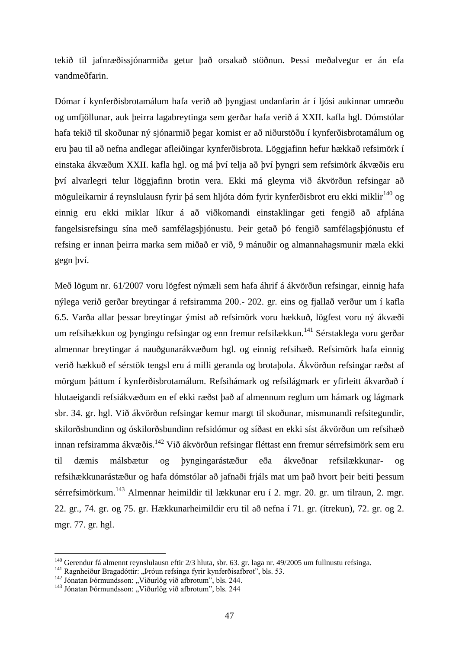tekið til jafnræðissjónarmiða getur það orsakað stöðnun. Þessi meðalvegur er án efa vandmeðfarin.

Dómar í kynferðisbrotamálum hafa verið að þyngjast undanfarin ár í ljósi aukinnar umræðu og umfjöllunar, auk þeirra lagabreytinga sem gerðar hafa verið á XXII. kafla hgl. Dómstólar hafa tekið til skoðunar ný sjónarmið þegar komist er að niðurstöðu í kynferðisbrotamálum og eru þau til að nefna andlegar afleiðingar kynferðisbrota. Löggjafinn hefur hækkað refsimörk í einstaka ákvæðum XXII. kafla hgl. og má því telja að því þyngri sem refsimörk ákvæðis eru því alvarlegri telur löggjafinn brotin vera. Ekki má gleyma við ákvörðun refsingar að möguleikarnir á reynslulausn fyrir þá sem hljóta dóm fyrir kynferðisbrot eru ekki miklir<sup>140</sup> og einnig eru ekki miklar líkur á að viðkomandi einstaklingar geti fengið að afplána fangelsisrefsingu sína með samfélagsþjónustu. Þeir getað þó fengið samfélagsþjónustu ef refsing er innan þeirra marka sem miðað er við, 9 mánuðir og almannahagsmunir mæla ekki gegn því.

Með lögum nr. 61/2007 voru lögfest nýmæli sem hafa áhrif á ákvörðun refsingar, einnig hafa nýlega verið gerðar breytingar á refsiramma 200.- 202. gr. eins og fjallað verður um í kafla 6.5. Varða allar þessar breytingar ýmist að refsimörk voru hækkuð, lögfest voru ný ákvæði um refsihækkun og þyngingu refsingar og enn fremur refsilækkun.<sup>141</sup> Sérstaklega voru gerðar almennar breytingar á nauðgunarákvæðum hgl. og einnig refsihæð. Refsimörk hafa einnig verið hækkuð ef sérstök tengsl eru á milli geranda og brotaþola. Ákvörðun refsingar ræðst af mörgum þáttum í kynferðisbrotamálum. Refsihámark og refsilágmark er yfirleitt ákvarðað í hlutaeigandi refsiákvæðum en ef ekki ræðst það af almennum reglum um hámark og lágmark sbr. 34. gr. hgl. Við ákvörðun refsingar kemur margt til skoðunar, mismunandi refsitegundir, skilorðsbundinn og óskilorðsbundinn refsidómur og síðast en ekki síst ákvörðun um refsihæð innan refsiramma ákvæðis.<sup>142</sup> Við ákvörðun refsingar fléttast enn fremur sérrefsimörk sem eru til dæmis málsbætur og þyngingarástæður eða ákveðnar refsilækkunar- og refsihækkunarástæður og hafa dómstólar að jafnaði frjáls mat um það hvort þeir beiti þessum sérrefsimörkum.<sup>143</sup> Almennar heimildir til lækkunar eru í 2. mgr. 20. gr. um tilraun, 2. mgr. 22. gr., 74. gr. og 75. gr. Hækkunarheimildir eru til að nefna í 71. gr. (ítrekun), 72. gr. og 2. mgr. 77. gr. hgl.

<sup>&</sup>lt;sup>140</sup> Gerendur fá almennt reynslulausn eftir 2/3 hluta, sbr. 63. gr. laga nr. 49/2005 um fullnustu refsinga.

<sup>&</sup>lt;sup>141</sup> Ragnheiður Bragadóttir: "Þróun refsinga fyrir kynferðisafbrot", bls. 53.

 $^{142}$  Jónatan Þórmundsson: "Viðurlög við afbrotum", bls. 244.

 $143$  Jónatan Þórmundsson: "Viðurlög við afbrotum", bls. 244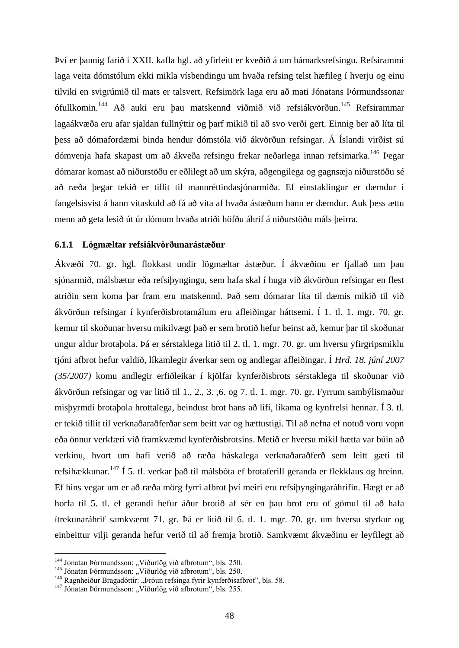Því er þannig farið í XXII. kafla hgl. að yfirleitt er kveðið á um hámarksrefsingu. Refsirammi laga veita dómstólum ekki mikla vísbendingu um hvaða refsing telst hæfileg í hverju og einu tilviki en svigrúmið til mats er talsvert. Refsimörk laga eru að mati Jónatans Þórmundssonar ófullkomin.<sup>144</sup> Að auki eru þau matskennd viðmið við refsiákvörðun.<sup>145</sup> Refsirammar lagaákvæða eru afar sjaldan fullnýttir og þarf mikið til að svo verði gert. Einnig ber að líta til þess að dómafordæmi binda hendur dómstóla við ákvörðun refsingar. Á Íslandi virðist sú dómvenja hafa skapast um að ákveða refsingu frekar neðarlega innan refsimarka.<sup>146</sup> Þegar dómarar komast að niðurstöðu er eðlilegt að um skýra, aðgengilega og gagnsæja niðurstöðu sé að ræða þegar tekið er tillit til mannréttindasjónarmiða. Ef einstaklingur er dæmdur í fangelsisvist á hann vitaskuld að fá að vita af hvaða ástæðum hann er dæmdur. Auk þess ættu menn að geta lesið út úr dómum hvaða atriði höfðu áhrif á niðurstöðu máls þeirra.

### **6.1.1 Lögmæltar refsiákvörðunarástæður**

Ákvæði 70. gr. hgl. flokkast undir lögmæltar ástæður. Í ákvæðinu er fjallað um þau sjónarmið, málsbætur eða refsiþyngingu, sem hafa skal í huga við ákvörðun refsingar en flest atriðin sem koma þar fram eru matskennd. Það sem dómarar líta til dæmis mikið til við ákvörðun refsingar í kynferðisbrotamálum eru afleiðingar háttsemi. Í 1. tl. 1. mgr. 70. gr. kemur til skoðunar hversu mikilvægt það er sem brotið hefur beinst að, kemur þar til skoðunar ungur aldur brotaþola. Þá er sérstaklega litið til 2. tl. 1. mgr. 70. gr. um hversu yfirgripsmiklu tjóni afbrot hefur valdið, líkamlegir áverkar sem og andlegar afleiðingar. Í *Hrd. 18. júní 2007 (35/2007)* komu andlegir erfiðleikar í kjölfar kynferðisbrots sérstaklega til skoðunar við ákvörðun refsingar og var litið til 1., 2., 3. ,6. og 7. tl. 1. mgr. 70. gr. Fyrrum sambýlismaður misþyrmdi brotaþola hrottalega, beindust brot hans að lífi, líkama og kynfrelsi hennar. Í 3. tl. er tekið tillit til verknaðaraðferðar sem beitt var og hættustigi. Til að nefna ef notuð voru vopn eða önnur verkfæri við framkvæmd kynferðisbrotsins. Metið er hversu mikil hætta var búin að verkinu, hvort um hafi verið að ræða háskalega verknaðaraðferð sem leitt gæti til refsihækkunar.<sup>147</sup> Í 5. tl. verkar það til málsbóta ef brotaferill geranda er flekklaus og hreinn. Ef hins vegar um er að ræða mörg fyrri afbrot því meiri eru refsiþyngingaráhrifin. Hægt er að horfa til 5. tl. ef gerandi hefur áður brotið af sér en þau brot eru of gömul til að hafa ítrekunaráhrif samkvæmt 71. gr. Þá er litið til 6. tl. 1. mgr. 70. gr. um hversu styrkur og einbeittur vilji geranda hefur verið til að fremja brotið. Samkvæmt ákvæðinu er leyfilegt að

<sup>&</sup>lt;sup>144</sup> Jónatan Þórmundsson: "Viðurlög við afbrotum", bls. 250.

<sup>&</sup>lt;sup>145</sup> Jónatan Þórmundsson: "Viðurlög við afbrotum", bls. 250.

<sup>&</sup>lt;sup>146</sup> Ragnheiður Bragadóttir: "Þróun refsinga fyrir kynferðisafbrot", bls. 58.

 $^{147}$  Jónatan Þórmundsson: "Viðurlög við afbrotum", bls. 255.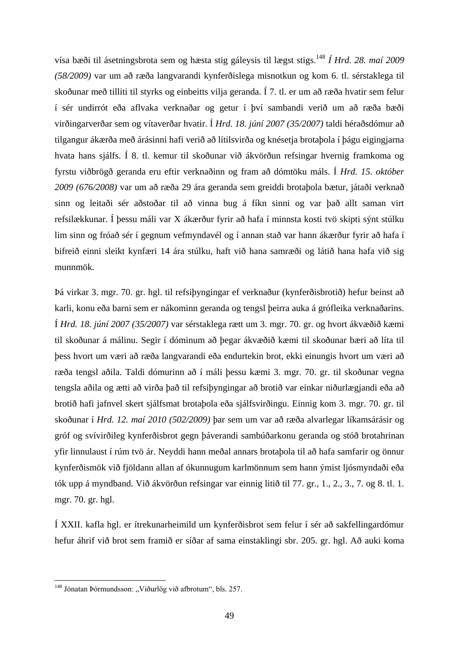vísa bæði til ásetningsbrota sem og hæsta stig gáleysis til lægst stigs.<sup>148</sup> *Í Hrd. 28. maí 2009 (58/2009)* var um að ræða langvarandi kynferðislega misnotkun og kom 6. tl. sérstaklega til skoðunar með tilliti til styrks og einbeitts vilja geranda. Í 7. tl. er um að ræða hvatir sem felur í sér undirrót eða aflvaka verknaðar og getur í því sambandi verið um að ræða bæði virðingarverðar sem og vítaverðar hvatir. Í *Hrd. 18. júní 2007 (35/2007)* taldi héraðsdómur að tilgangur ákærða með árásinni hafi verið að lítilsvirða og knésetja brotaþola í þágu eigingjarna hvata hans sjálfs. Í 8. tl. kemur til skoðunar við ákvörðun refsingar hvernig framkoma og fyrstu viðbrögð geranda eru eftir verknaðinn og fram að dómtöku máls. Í *Hrd. 15. október 2009 (676/2008)* var um að ræða 29 ára geranda sem greiddi brotaþola bætur, játaði verknað sinn og leitaði sér aðstoðar til að vinna bug á fíkn sinni og var það allt saman virt refsilækkunar. Í þessu máli var X ákærður fyrir að hafa í minnsta kosti tvö skipti sýnt stúlku lim sinn og fróað sér í gegnum vefmyndavél og í annan stað var hann ákærður fyrir að hafa í bifreið einni sleikt kynfæri 14 ára stúlku, haft við hana samræði og látið hana hafa við sig munnmök.

Þá virkar 3. mgr. 70. gr. hgl. til refsiþyngingar ef verknaður (kynferðisbrotið) hefur beinst að karli, konu eða barni sem er nákominn geranda og tengsl þeirra auka á grófleika verknaðarins. Í *Hrd. 18. júní 2007 (35/2007)* var sérstaklega rætt um 3. mgr. 70. gr. og hvort ákvæðið kæmi til skoðunar á málinu. Segir í dóminum að þegar ákvæðið kæmi til skoðunar bæri að líta til þess hvort um væri að ræða langvarandi eða endurtekin brot, ekki einungis hvort um væri að ræða tengsl aðila. Taldi dómurinn að í máli þessu kæmi 3. mgr. 70. gr. til skoðunar vegna tengsla aðila og ætti að virða það til refsiþyngingar að brotið var einkar niðurlægjandi eða að brotið hafi jafnvel skert sjálfsmat brotaþola eða sjálfsvirðingu. Einnig kom 3. mgr. 70. gr. til skoðunar í *Hrd. 12. maí 2010 (502/2009)* þar sem um var að ræða alvarlegar líkamsárásir og gróf og svívirðileg kynferðisbrot gegn þáverandi sambúðarkonu geranda og stóð brotahrinan yfir linnulaust í rúm tvö ár. Neyddi hann meðal annars brotaþola til að hafa samfarir og önnur kynferðismök við fjöldann allan af ókunnugum karlmönnum sem hann ýmist ljósmyndaði eða tók upp á myndband. Við ákvörðun refsingar var einnig litið til 77. gr., 1., 2., 3., 7. og 8. tl. 1. mgr. 70. gr. hgl.

Í XXII. kafla hgl. er ítrekunarheimild um kynferðisbrot sem felur í sér að sakfellingardómur hefur áhrif við brot sem framið er síðar af sama einstaklingi sbr. 205. gr. hgl. Að auki koma

<sup>&</sup>lt;sup>148</sup> Jónatan Þórmundsson: "Viðurlög við afbrotum", bls. 257.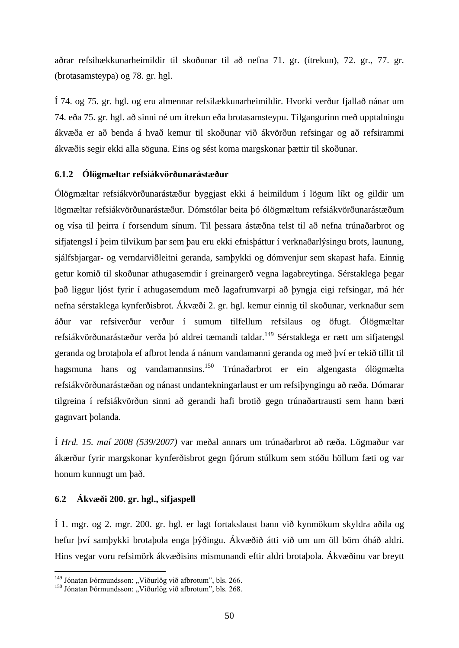aðrar refsihækkunarheimildir til skoðunar til að nefna 71. gr. (ítrekun), 72. gr., 77. gr. (brotasamsteypa) og 78. gr. hgl.

Í 74. og 75. gr. hgl. og eru almennar refsilækkunarheimildir. Hvorki verður fjallað nánar um 74. eða 75. gr. hgl. að sinni né um ítrekun eða brotasamsteypu. Tilgangurinn með upptalningu ákvæða er að benda á hvað kemur til skoðunar við ákvörðun refsingar og að refsirammi ákvæðis segir ekki alla söguna. Eins og sést koma margskonar þættir til skoðunar.

### **6.1.2 Ólögmæltar refsiákvörðunarástæður**

Ólögmæltar refsiákvörðunarástæður byggjast ekki á heimildum í lögum líkt og gildir um lögmæltar refsiákvörðunarástæður. Dómstólar beita þó ólögmæltum refsiákvörðunarástæðum og vísa til þeirra í forsendum sínum. Til þessara ástæðna telst til að nefna trúnaðarbrot og sifjatengsl í þeim tilvikum þar sem þau eru ekki efnisþáttur í verknaðarlýsingu brots, launung, sjálfsbjargar- og verndarviðleitni geranda, samþykki og dómvenjur sem skapast hafa. Einnig getur komið til skoðunar athugasemdir í greinargerð vegna lagabreytinga. Sérstaklega þegar það liggur ljóst fyrir í athugasemdum með lagafrumvarpi að þyngja eigi refsingar, má hér nefna sérstaklega kynferðisbrot. Ákvæði 2. gr. hgl. kemur einnig til skoðunar, verknaður sem áður var refsiverður verður í sumum tilfellum refsilaus og öfugt. Ólögmæltar refsiákvörðunarástæður verða þó aldrei tæmandi taldar.<sup>149</sup> Sérstaklega er rætt um sifjatengsl geranda og brotaþola ef afbrot lenda á nánum vandamanni geranda og með því er tekið tillit til hagsmuna hans og vandamannsins.<sup>150</sup> Trúnaðarbrot er ein algengasta ólögmælta refsiákvörðunarástæðan og nánast undantekningarlaust er um refsiþyngingu að ræða. Dómarar tilgreina í refsiákvörðun sinni að gerandi hafi brotið gegn trúnaðartrausti sem hann bæri gagnvart þolanda.

Í *Hrd. 15. maí 2008 (539/2007)* var meðal annars um trúnaðarbrot að ræða. Lögmaður var ákærður fyrir margskonar kynferðisbrot gegn fjórum stúlkum sem stóðu höllum fæti og var honum kunnugt um það.

### **6.2 Ákvæði 200. gr. hgl., sifjaspell**

1

Í 1. mgr. og 2. mgr. 200. gr. hgl. er lagt fortakslaust bann við kynmökum skyldra aðila og hefur því samþykki brotaþola enga þýðingu. Ákvæðið átti við um um öll börn óháð aldri. Hins vegar voru refsimörk ákvæðisins mismunandi eftir aldri brotaþola. Ákvæðinu var breytt

<sup>&</sup>lt;sup>149</sup> Jónatan Þórmundsson: "Viðurlög við afbrotum", bls. 266.

<sup>&</sup>lt;sup>150</sup> Jónatan Þórmundsson: "Viðurlög við afbrotum", bls. 268.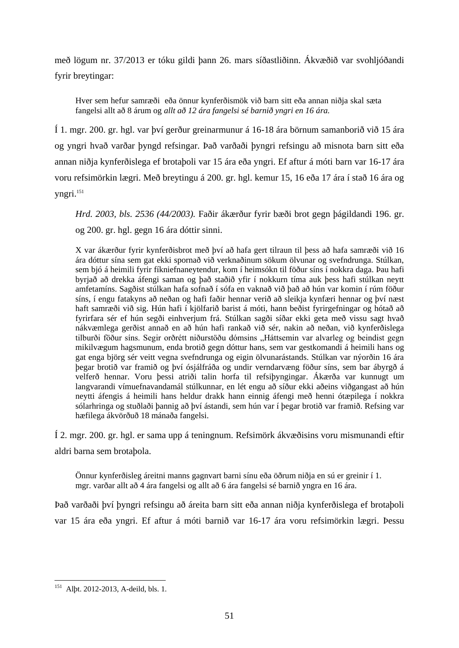með lögum nr. 37/2013 er tóku gildi þann 26. mars síðastliðinn. Ákvæðið var svohljóðandi fyrir breytingar:

Hver sem hefur samræði eða önnur kynferðismök við barn sitt eða annan niðja skal sæta fangelsi allt að 8 árum og *allt að 12 ára fangelsi sé barnið yngri en 16 ára.*

Í 1. mgr. 200. gr. hgl. var því gerður greinarmunur á 16-18 ára börnum samanborið við 15 ára og yngri hvað varðar þyngd refsingar. Það varðaði þyngri refsingu að misnota barn sitt eða annan niðja kynferðislega ef brotaþoli var 15 ára eða yngri. Ef aftur á móti barn var 16-17 ára voru refsimörkin lægri. Með breytingu á 200. gr. hgl. kemur 15, 16 eða 17 ára í stað 16 ára og yngri.<sup>151</sup>

*Hrd. 2003, bls. 2536 (44/2003).* Faðir ákærður fyrir bæði brot gegn þágildandi 196. gr. og 200. gr. hgl. gegn 16 ára dóttir sinni.

X var ákærður fyrir kynferðisbrot með því að hafa gert tilraun til þess að hafa samræði við 16 ára dóttur sína sem gat ekki spornað við verknaðinum sökum ölvunar og svefndrunga. Stúlkan, sem bjó á heimili fyrir fíkniefnaneytendur, kom í heimsókn til föður síns í nokkra daga. Þau hafi byrjað að drekka áfengi saman og það staðið yfir í nokkurn tíma auk þess hafi stúlkan neytt amfetamíns. Sagðist stúlkan hafa sofnað í sófa en vaknað við það að hún var komin í rúm föður síns, í engu fatakyns að neðan og hafi faðir hennar verið að sleikja kynfæri hennar og því næst haft samræði við sig. Hún hafi í kjölfarið barist á móti, hann beðist fyrirgefningar og hótað að fyrirfara sér ef hún segði einhverjum frá. Stúlkan sagði síðar ekki geta með vissu sagt hvað nákvæmlega gerðist annað en að hún hafi rankað við sér, nakin að neðan, við kynferðislega tilburði föður síns. Segir orðrétt niðurstöðu dómsins "Háttsemin var alvarleg og beindist gegn mikilvægum hagsmunum, enda brotið gegn dóttur hans, sem var gestkomandi á heimili hans og gat enga björg sér veitt vegna svefndrunga og eigin ölvunarástands. Stúlkan var nýorðin 16 ára þegar brotið var framið og því ósjálfráða og undir verndarvæng föður síns, sem bar ábyrgð á velferð hennar. Voru þessi atriði talin horfa til refsiþyngingar. Ákærða var kunnugt um langvarandi vímuefnavandamál stúlkunnar, en lét engu að síður ekki aðeins viðgangast að hún neytti áfengis á heimili hans heldur drakk hann einnig áfengi með henni ótæpilega í nokkra sólarhringa og stuðlaði þannig að því ástandi, sem hún var í þegar brotið var framið. Refsing var hæfilega ákvörðuð 18 mánaða fangelsi.

Í 2. mgr. 200. gr. hgl. er sama upp á teningnum. Refsimörk ákvæðisins voru mismunandi eftir aldri barna sem brotaþola.

Önnur kynferðisleg áreitni manns gagnvart barni sínu eða öðrum niðja en sú er greinir í 1. mgr. varðar allt að 4 ára fangelsi og allt að 6 ára fangelsi sé barnið yngra en 16 ára.

Það varðaði því þyngri refsingu að áreita barn sitt eða annan niðja kynferðislega ef brotaþoli var 15 ára eða yngri. Ef aftur á móti barnið var 16-17 ára voru refsimörkin lægri. Þessu

<sup>1</sup> <sup>151</sup> Alþt. 2012-2013, A-deild, bls. 1.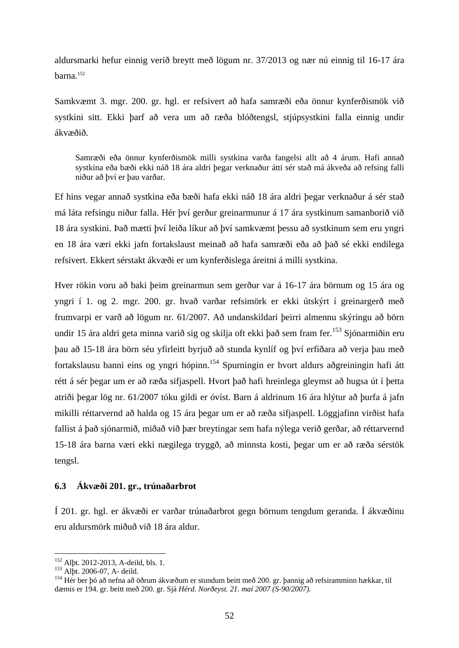aldursmarki hefur einnig verið breytt með lögum nr. 37/2013 og nær nú einnig til 16-17 ára barna.<sup>152</sup>

Samkvæmt 3. mgr. 200. gr. hgl. er refsivert að hafa samræði eða önnur kynferðismök við systkini sitt. Ekki þarf að vera um að ræða blóðtengsl, stjúpsystkini falla einnig undir ákvæðið.

Samræði eða önnur kynferðismök milli systkina varða fangelsi allt að 4 árum. Hafi annað systkina eða bæði ekki náð 18 ára aldri þegar verknaður átti sér stað má ákveða að refsing falli niður að því er þau varðar.

Ef hins vegar annað systkina eða bæði hafa ekki náð 18 ára aldri þegar verknaður á sér stað má láta refsingu niður falla. Hér því gerður greinarmunur á 17 ára systkinum samanborið við 18 ára systkini. Það mætti því leiða líkur að því samkvæmt þessu að systkinum sem eru yngri en 18 ára væri ekki jafn fortakslaust meinað að hafa samræði eða að það sé ekki endilega refsivert. Ekkert sérstakt ákvæði er um kynferðislega áreitni á milli systkina.

Hver rökin voru að baki þeim greinarmun sem gerður var á 16-17 ára börnum og 15 ára og yngri í 1. og 2. mgr. 200. gr. hvað varðar refsimörk er ekki útskýrt í greinargerð með frumvarpi er varð að lögum nr. 61/2007. Að undanskildari þeirri almennu skýringu að börn undir 15 ára aldri geta minna varið sig og skilja oft ekki það sem fram fer.<sup>153</sup> Sjónarmiðin eru þau að 15-18 ára börn séu yfirleitt byrjuð að stunda kynlíf og því erfiðara að verja þau með fortakslausu banni eins og yngri hópinn.<sup>154</sup> Spurningin er hvort aldurs aðgreiningin hafi átt rétt á sér þegar um er að ræða sifjaspell. Hvort það hafi hreinlega gleymst að hugsa út í þetta atriði þegar lög nr. 61/2007 tóku gildi er óvíst. Barn á aldrinum 16 ára hlýtur að þurfa á jafn mikilli réttarvernd að halda og 15 ára þegar um er að ræða sifjaspell. Löggjafinn virðist hafa fallist á það sjónarmið, miðað við þær breytingar sem hafa nýlega verið gerðar, að réttarvernd 15-18 ára barna væri ekki nægilega tryggð, að minnsta kosti, þegar um er að ræða sérstök tengsl.

# **6.3 Ákvæði 201. gr., trúnaðarbrot**

Í 201. gr. hgl. er ákvæði er varðar trúnaðarbrot gegn börnum tengdum geranda. Í ákvæðinu eru aldursmörk miðuð við 18 ára aldur.

<sup>&</sup>lt;sup>152</sup> Alþt. 2012-2013, A-deild, bls. 1.

 $^{153}$  Alþt. 2006-07, A- deild.

<sup>&</sup>lt;sup>154</sup> Hér ber bó að nefna að öðrum ákvæðum er stundum beitt með 200. gr. þannig að refsiramminn hækkar, til dæmis er 194. gr. beitt með 200. gr. Sjá *Hérd. Norðeyst. 21. maí 2007 (S-90/2007).*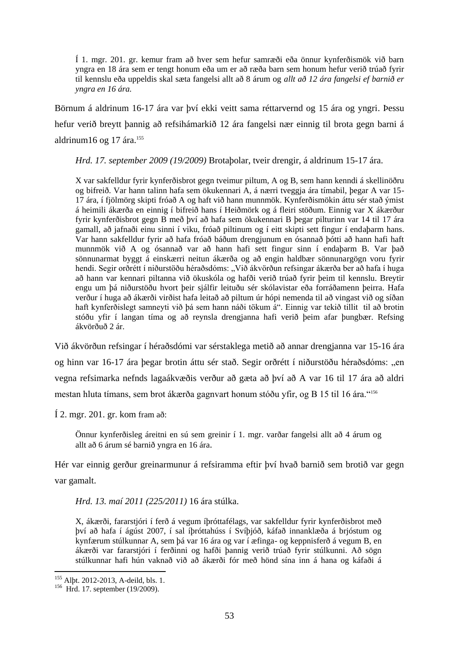Í 1. mgr. 201. gr. kemur fram að hver sem hefur samræði eða önnur kynferðismök við barn yngra en 18 ára sem er tengt honum eða um er að ræða barn sem honum hefur verið trúað fyrir til kennslu eða uppeldis skal sæta fangelsi allt að 8 árum og *allt að 12 ára fangelsi ef barnið er yngra en 16 ára.* 

Börnum á aldrinum 16-17 ára var því ekki veitt sama réttarvernd og 15 ára og yngri. Þessu hefur verið breytt þannig að refsihámarkið 12 ára fangelsi nær einnig til brota gegn barni á aldrinum16 og 17 ára.<sup>155</sup>

*Hrd. 17. september 2009 (19/2009)* Brotaþolar, tveir drengir, á aldrinum 15-17 ára.

X var sakfelldur fyrir kynferðisbrot gegn tveimur piltum, A og B, sem hann kenndi á skellinöðru og bifreið. Var hann talinn hafa sem ökukennari A, á nærri tveggja ára tímabil, þegar A var 15- 17 ára, í fjölmörg skipti fróað A og haft við hann munnmök. Kynferðismökin áttu sér stað ýmist á heimili ákærða en einnig í bifreið hans í Heiðmörk og á fleiri stöðum. Einnig var X ákærður fyrir kynferðisbrot gegn B með því að hafa sem ökukennari B þegar pilturinn var 14 til 17 ára gamall, að jafnaði einu sinni í viku, fróað piltinum og í eitt skipti sett fingur í endaþarm hans. Var hann sakfelldur fyrir að hafa fróað báðum drengjunum en ósannað þótti að hann hafi haft munnmök við A og ósannað var að hann hafi sett fingur sinn í endaþarm B. Var það sönnunarmat byggt á einskærri neitun ákærða og að engin haldbær sönnunargögn voru fyrir hendi. Segir orðrétt í niðurstöðu héraðsdóms: "Við ákvörðun refsingar ákærða ber að hafa í huga að hann var kennari piltanna við ökuskóla og hafði verið trúað fyrir þeim til kennslu. Breytir engu um þá niðurstöðu hvort þeir sjálfir leituðu sér skólavistar eða forráðamenn þeirra. Hafa verður í huga að ákærði virðist hafa leitað að piltum úr hópi nemenda til að vingast við og síðan haft kynferðislegt samneyti við þá sem hann náði tökum á". Einnig var tekið tillit til að brotin stóðu yfir í langan tíma og að reynsla drengjanna hafi verið þeim afar þungbær. Refsing ákvörðuð 2 ár.

Við ákvörðun refsingar í héraðsdómi var sérstaklega metið að annar drengjanna var 15-16 ára og hinn var 16-17 ára þegar brotin áttu sér stað. Segir orðrétt í niðurstöðu héraðsdóms: "en vegna refsimarka nefnds lagaákvæðis verður að gæta að því að A var 16 til 17 ára að aldri mestan hluta tímans, sem brot ákærða gagnvart honum stóðu yfir, og B 15 til 16 ára."<sup>156</sup>

Í 2. mgr. 201. gr. kom fram að:

Önnur kynferðisleg áreitni en sú sem greinir í 1. mgr. varðar fangelsi allt að 4 árum og allt að 6 árum sé barnið yngra en 16 ára.

Hér var einnig gerður greinarmunur á refsiramma eftir því hvað barnið sem brotið var gegn var gamalt.

*Hrd. 13. maí 2011 (225/2011)* 16 ára stúlka.

X, ákærði, fararstjóri í ferð á vegum íþróttafélags, var sakfelldur fyrir kynferðisbrot með því að hafa í ágúst 2007, í sal íþróttahúss í Svíþjóð, káfað innanklæða á brjóstum og kynfærum stúlkunnar A, sem þá var 16 ára og var í æfinga- og keppnisferð á vegum B, en ákærði var fararstjóri í ferðinni og hafði þannig verið trúað fyrir stúlkunni. Að sögn stúlkunnar hafi hún vaknað við að ákærði fór með hönd sína inn á hana og káfaði á

<sup>&</sup>lt;sup>155</sup> Alþt. 2012-2013, A-deild, bls. 1.

<sup>&</sup>lt;sup>156</sup> Hrd. 17. september (19/2009).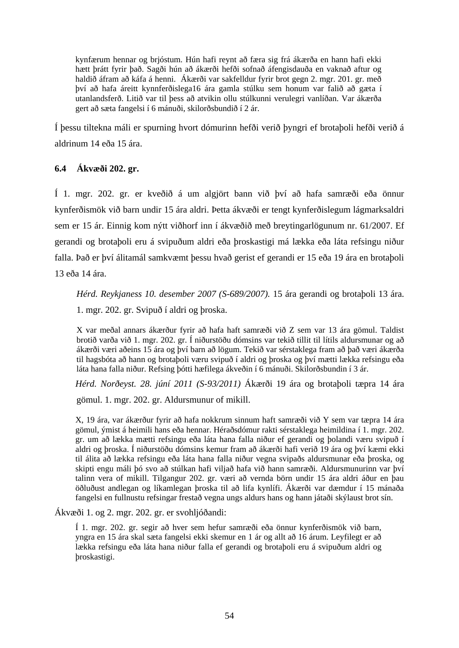kynfærum hennar og brjóstum. Hún hafi reynt að færa sig frá ákærða en hann hafi ekki hætt þrátt fyrir það. Sagði hún að ákærði hefði sofnað áfengisdauða en vaknað aftur og haldið áfram að káfa á henni. Ákærði var sakfelldur fyrir brot gegn 2. mgr. 201. gr. með því að hafa áreitt kynnferðislega16 ára gamla stúlku sem honum var falið að gæta í utanlandsferð. Litið var til þess að atvikin ollu stúlkunni verulegri vanlíðan. Var ákærða gert að sæta fangelsi í 6 mánuði, skilorðsbundið í 2 ár.

Í þessu tiltekna máli er spurning hvort dómurinn hefði verið þyngri ef brotaþoli hefði verið á aldrinum 14 eða 15 ára.

# **6.4 Ákvæði 202. gr.**

Í 1. mgr. 202. gr. er kveðið á um algjört bann við því að hafa samræði eða önnur kynferðismök við barn undir 15 ára aldri. Þetta ákvæði er tengt kynferðislegum lágmarksaldri sem er 15 ár. Einnig kom nýtt viðhorf inn í ákvæðið með breytingarlögunum nr. 61/2007. Ef gerandi og brotaþoli eru á svipuðum aldri eða þroskastigi má lækka eða láta refsingu niður falla. Það er því álitamál samkvæmt þessu hvað gerist ef gerandi er 15 eða 19 ára en brotaþoli 13 eða 14 ára.

*Hérd. Reykjaness 10. desember 2007 (S-689/2007).* 15 ára gerandi og brotaþoli 13 ára.

1. mgr. 202. gr. Svipuð í aldri og þroska.

X var meðal annars ákærður fyrir að hafa haft samræði við Z sem var 13 ára gömul. Taldist brotið varða við 1. mgr. 202. gr. Í niðurstöðu dómsins var tekið tillit til lítils aldursmunar og að ákærði væri aðeins 15 ára og því barn að lögum. Tekið var sérstaklega fram að það væri ákærða til hagsbóta að hann og brotaþoli væru svipuð í aldri og þroska og því mætti lækka refsingu eða láta hana falla niður. Refsing þótti hæfilega ákveðin í 6 mánuði. Skilorðsbundin í 3 ár.

*Hérd. Norðeyst. 28. júní 2011 (S-93/2011)* Ákærði 19 ára og brotaþoli tæpra 14 ára

gömul. 1. mgr. 202. gr. Aldursmunur of mikill.

X, 19 ára, var ákærður fyrir að hafa nokkrum sinnum haft samræði við Y sem var tæpra 14 ára gömul, ýmist á heimili hans eða hennar. Héraðsdómur rakti sérstaklega heimildina í 1. mgr. 202. gr. um að lækka mætti refsingu eða láta hana falla niður ef gerandi og þolandi væru svipuð í aldri og þroska. Í niðurstöðu dómsins kemur fram að ákærði hafi verið 19 ára og því kæmi ekki til álita að lækka refsingu eða láta hana falla niður vegna svipaðs aldursmunar eða þroska, og skipti engu máli þó svo að stúlkan hafi viljað hafa við hann samræði. Aldursmunurinn var því talinn vera of mikill. Tilgangur 202. gr. væri að vernda börn undir 15 ára aldri áður en þau öðluðust andlegan og líkamlegan þroska til að lifa kynlífi. Ákærði var dæmdur í 15 mánaða fangelsi en fullnustu refsingar frestað vegna ungs aldurs hans og hann játaði skýlaust brot sín.

Ákvæði 1. og 2. mgr. 202. gr. er svohljóðandi:

Í 1. mgr. 202. gr. segir að hver sem hefur samræði eða önnur kynferðismök við barn, yngra en 15 ára skal sæta fangelsi ekki skemur en 1 ár og allt að 16 árum. Leyfilegt er að lækka refsingu eða láta hana niður falla ef gerandi og brotaþoli eru á svipuðum aldri og þroskastigi.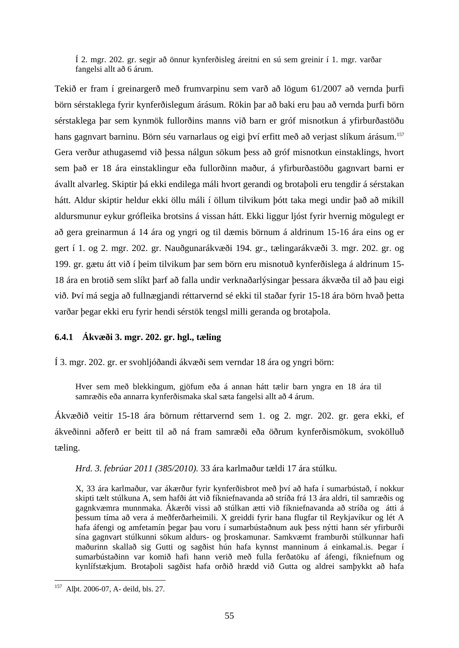Í 2. mgr. 202. gr. segir að önnur kynferðisleg áreitni en sú sem greinir í 1. mgr. varðar fangelsi allt að 6 árum.

Tekið er fram í greinargerð með frumvarpinu sem varð að lögum 61/2007 að vernda þurfi börn sérstaklega fyrir kynferðislegum árásum. Rökin þar að baki eru þau að vernda þurfi börn sérstaklega þar sem kynmök fullorðins manns við barn er gróf misnotkun á yfirburðastöðu hans gagnvart barninu. Börn séu varnarlaus og eigi því erfitt með að verjast slíkum árásum.<sup>157</sup> Gera verður athugasemd við þessa nálgun sökum þess að gróf misnotkun einstaklings, hvort sem það er 18 ára einstaklingur eða fullorðinn maður, á yfirburðastöðu gagnvart barni er ávallt alvarleg. Skiptir þá ekki endilega máli hvort gerandi og brotaþoli eru tengdir á sérstakan hátt. Aldur skiptir heldur ekki öllu máli í öllum tilvikum þótt taka megi undir það að mikill aldursmunur eykur grófleika brotsins á vissan hátt. Ekki liggur ljóst fyrir hvernig mögulegt er að gera greinarmun á 14 ára og yngri og til dæmis börnum á aldrinum 15-16 ára eins og er gert í 1. og 2. mgr. 202. gr. Nauðgunarákvæði 194. gr., tælingarákvæði 3. mgr. 202. gr. og 199. gr. gætu átt við í þeim tilvikum þar sem börn eru misnotuð kynferðislega á aldrinum 15- 18 ára en brotið sem slíkt þarf að falla undir verknaðarlýsingar þessara ákvæða til að þau eigi við. Því má segja að fullnægjandi réttarvernd sé ekki til staðar fyrir 15-18 ára börn hvað þetta varðar þegar ekki eru fyrir hendi sérstök tengsl milli geranda og brotaþola.

# **6.4.1 Ákvæði 3. mgr. 202. gr. hgl., tæling**

Í 3. mgr. 202. gr. er svohljóðandi ákvæði sem verndar 18 ára og yngri börn:

Hver sem með blekkingum, gjöfum eða á annan hátt tælir barn yngra en 18 ára til samræðis eða annarra kynferðismaka skal sæta fangelsi allt að 4 árum.

Ákvæðið veitir 15-18 ára börnum réttarvernd sem 1. og 2. mgr. 202. gr. gera ekki, ef ákveðinni aðferð er beitt til að ná fram samræði eða öðrum kynferðismökum, svokölluð tæling.

*Hrd. 3. febrúar 2011 (385/2010).* 33 ára karlmaður tældi 17 ára stúlku.

X, 33 ára karlmaður, var ákærður fyrir kynferðisbrot með því að hafa í sumarbústað, í nokkur skipti tælt stúlkuna A, sem hafði átt við fíkniefnavanda að stríða frá 13 ára aldri, til samræðis og gagnkvæmra munnmaka. Ákærði vissi að stúlkan ætti við fíkniefnavanda að stríða og átti á þessum tíma að vera á meðferðarheimili. X greiddi fyrir hana flugfar til Reykjavíkur og lét A hafa áfengi og amfetamín þegar þau voru í sumarbústaðnum auk þess nýtti hann sér yfirburði sína gagnvart stúlkunni sökum aldurs- og þroskamunar. Samkvæmt framburði stúlkunnar hafi maðurinn skallað sig Gutti og sagðist hún hafa kynnst manninum á einkamal.is. Þegar í sumarbústaðinn var komið hafi hann verið með fulla ferðatöku af áfengi, fíkniefnum og kynlífstækjum. Brotaþoli sagðist hafa orðið hrædd við Gutta og aldrei samþykkt að hafa

<sup>1</sup> <sup>157</sup> Alþt. 2006-07, A- deild, bls. 27.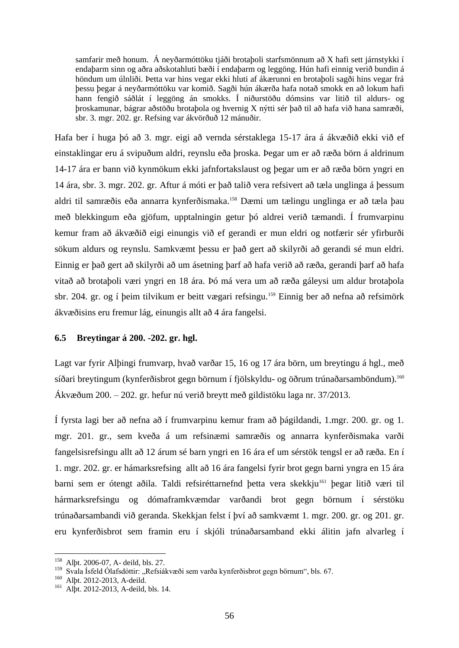samfarir með honum. Á neyðarmóttöku tjáði brotaþoli starfsmönnum að X hafi sett járnstykki í endaþarm sinn og aðra aðskotahluti bæði í endaþarm og leggöng. Hún hafi einnig verið bundin á höndum um úlnliði. Þetta var hins vegar ekki hluti af ákærunni en brotaþoli sagði hins vegar frá þessu þegar á neyðarmóttöku var komið. Sagði hún ákærða hafa notað smokk en að lokum hafi hann fengið sáðlát í leggöng án smokks. Í niðurstöðu dómsins var litið til aldurs- og þroskamunar, bágrar aðstöðu brotaþola og hvernig X nýtti sér það til að hafa við hana samræði, sbr. 3. mgr. 202. gr. Refsing var ákvörðuð 12 mánuðir.

Hafa ber í huga þó að 3. mgr. eigi að vernda sérstaklega 15-17 ára á ákvæðið ekki við ef einstaklingar eru á svipuðum aldri, reynslu eða þroska. Þegar um er að ræða börn á aldrinum 14-17 ára er bann við kynmökum ekki jafnfortakslaust og þegar um er að ræða börn yngri en 14 ára, sbr. 3. mgr. 202. gr. Aftur á móti er það talið vera refsivert að tæla unglinga á þessum aldri til samræðis eða annarra kynferðismaka.<sup>158</sup> Dæmi um tælingu unglinga er að tæla þau með blekkingum eða gjöfum, upptalningin getur þó aldrei verið tæmandi. Í frumvarpinu kemur fram að ákvæðið eigi einungis við ef gerandi er mun eldri og notfærir sér yfirburði sökum aldurs og reynslu. Samkvæmt þessu er það gert að skilyrði að gerandi sé mun eldri. Einnig er það gert að skilyrði að um ásetning þarf að hafa verið að ræða, gerandi þarf að hafa vitað að brotaþoli væri yngri en 18 ára. Þó má vera um að ræða gáleysi um aldur brotaþola sbr. 204. gr. og í þeim tilvikum er beitt vægari refsingu.<sup>159</sup> Einnig ber að nefna að refsimörk ákvæðisins eru fremur lág, einungis allt að 4 ára fangelsi.

## **6.5 Breytingar á 200. -202. gr. hgl.**

Lagt var fyrir Alþingi frumvarp, hvað varðar 15, 16 og 17 ára börn, um breytingu á hgl., með síðari breytingum (kynferðisbrot gegn börnum í fjölskyldu- og öðrum trúnaðarsamböndum).<sup>160</sup> Ákvæðum 200. – 202. gr. hefur nú verið breytt með gildistöku laga nr. 37/2013.

Í fyrsta lagi ber að nefna að í frumvarpinu kemur fram að þágildandi, 1.mgr. 200. gr. og 1. mgr. 201. gr., sem kveða á um refsinæmi samræðis og annarra kynferðismaka varði fangelsisrefsingu allt að 12 árum sé barn yngri en 16 ára ef um sérstök tengsl er að ræða. En í 1. mgr. 202. gr. er hámarksrefsing allt að 16 ára fangelsi fyrir brot gegn barni yngra en 15 ára barni sem er ótengt aðila. Taldi refsiréttarnefnd þetta vera skekkju<sup>161</sup> þegar litið væri til hármarksrefsingu og dómaframkvæmdar varðandi brot gegn börnum í sérstöku trúnaðarsambandi við geranda. Skekkjan felst í því að samkvæmt 1. mgr. 200. gr. og 201. gr. eru kynferðisbrot sem framin eru í skjóli trúnaðarsamband ekki álitin jafn alvarleg í

<sup>158</sup> Alþt. 2006-07, A- deild, bls. 27.

<sup>&</sup>lt;sup>159</sup> Svala Ísfeld Ólafsdóttir: "Refsiákvæði sem varða kynferðisbrot gegn börnum", bls. 67.

<sup>160</sup> Alþt. 2012-2013, A-deild.

<sup>161</sup> Alþt. 2012-2013, A-deild, bls. 14.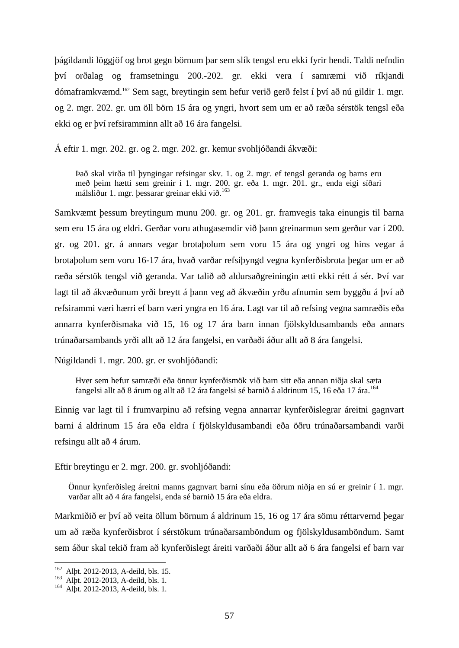þágildandi löggjöf og brot gegn börnum þar sem slík tengsl eru ekki fyrir hendi. Taldi nefndin því orðalag og framsetningu 200.-202. gr. ekki vera í samræmi við ríkjandi dómaframkvæmd.<sup>162</sup> Sem sagt, breytingin sem hefur verið gerð felst í því að nú gildir 1. mgr. og 2. mgr. 202. gr. um öll börn 15 ára og yngri, hvort sem um er að ræða sérstök tengsl eða ekki og er því refsiramminn allt að 16 ára fangelsi.

Á eftir 1. mgr. 202. gr. og 2. mgr. 202. gr. kemur svohljóðandi ákvæði:

Það skal virða til þyngingar refsingar skv. 1. og 2. mgr. ef tengsl geranda og barns eru með þeim hætti sem greinir í 1. mgr. 200. gr. eða 1. mgr. 201. gr., enda eigi síðari málsliður 1. mgr. þessarar greinar ekki við.<sup>163</sup>

Samkvæmt þessum breytingum munu 200. gr. og 201. gr. framvegis taka einungis til barna sem eru 15 ára og eldri. Gerðar voru athugasemdir við þann greinarmun sem gerður var í 200. gr. og 201. gr. á annars vegar brotaþolum sem voru 15 ára og yngri og hins vegar á brotaþolum sem voru 16-17 ára, hvað varðar refsiþyngd vegna kynferðisbrota þegar um er að ræða sérstök tengsl við geranda. Var talið að aldursaðgreiningin ætti ekki rétt á sér. Því var lagt til að ákvæðunum yrði breytt á þann veg að ákvæðin yrðu afnumin sem byggðu á því að refsirammi væri hærri ef barn væri yngra en 16 ára. Lagt var til að refsing vegna samræðis eða annarra kynferðismaka við 15, 16 og 17 ára barn innan fjölskyldusambands eða annars trúnaðarsambands yrði allt að 12 ára fangelsi, en varðaði áður allt að 8 ára fangelsi.

Núgildandi 1. mgr. 200. gr. er svohljóðandi:

Hver sem hefur samræði eða önnur kynferðismök við barn sitt eða annan niðja skal sæta fangelsi allt að 8 árum og allt að 12 ára fangelsi sé barnið á aldrinum 15, 16 eða 17 ára.<sup>164</sup>

Einnig var lagt til í frumvarpinu að refsing vegna annarrar kynferðislegrar áreitni gagnvart barni á aldrinum 15 ára eða eldra í fjölskyldusambandi eða öðru trúnaðarsambandi varði refsingu allt að 4 árum.

Eftir breytingu er 2. mgr. 200. gr. svohljóðandi:

Önnur kynferðisleg áreitni manns gagnvart barni sínu eða öðrum niðja en sú er greinir í 1. mgr. varðar allt að 4 ára fangelsi, enda sé barnið 15 ára eða eldra.

Markmiðið er því að veita öllum börnum á aldrinum 15, 16 og 17 ára sömu réttarvernd þegar um að ræða kynferðisbrot í sérstökum trúnaðarsamböndum og fjölskyldusamböndum. Samt sem áður skal tekið fram að kynferðislegt áreiti varðaði áður allt að 6 ára fangelsi ef barn var

<sup>&</sup>lt;sup>162</sup> Alþt. 2012-2013, A-deild, bls. 15.

<sup>163</sup> Alþt. 2012-2013, A-deild, bls. 1.

<sup>164</sup> Alþt. 2012-2013, A-deild, bls. 1.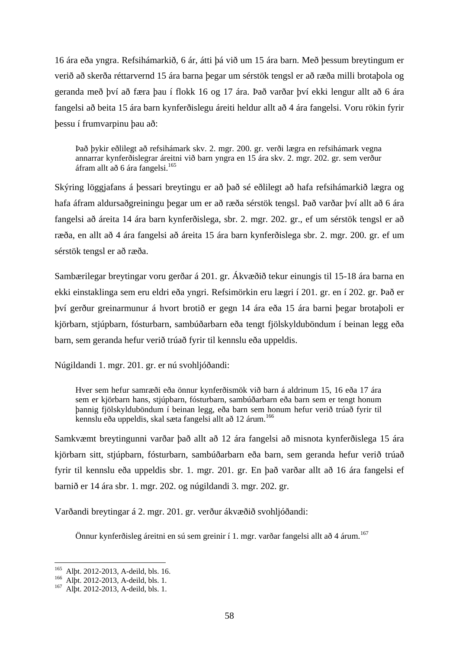16 ára eða yngra. Refsihámarkið, 6 ár, átti þá við um 15 ára barn. Með þessum breytingum er verið að skerða réttarvernd 15 ára barna þegar um sérstök tengsl er að ræða milli brotaþola og geranda með því að færa þau í flokk 16 og 17 ára. Það varðar því ekki lengur allt að 6 ára fangelsi að beita 15 ára barn kynferðislegu áreiti heldur allt að 4 ára fangelsi. Voru rökin fyrir þessu í frumvarpinu þau að:

Það þykir eðlilegt að refsihámark skv. 2. mgr. 200. gr. verði lægra en refsihámark vegna annarrar kynferðislegrar áreitni við barn yngra en 15 ára skv. 2. mgr. 202. gr. sem verður áfram allt að 6 ára fangelsi.<sup>165</sup>

Skýring löggjafans á þessari breytingu er að það sé eðlilegt að hafa refsihámarkið lægra og hafa áfram aldursaðgreiningu þegar um er að ræða sérstök tengsl. Það varðar því allt að 6 ára fangelsi að áreita 14 ára barn kynferðislega, sbr. 2. mgr. 202. gr., ef um sérstök tengsl er að ræða, en allt að 4 ára fangelsi að áreita 15 ára barn kynferðislega sbr. 2. mgr. 200. gr. ef um sérstök tengsl er að ræða.

Sambærilegar breytingar voru gerðar á 201. gr. Ákvæðið tekur einungis til 15-18 ára barna en ekki einstaklinga sem eru eldri eða yngri. Refsimörkin eru lægri í 201. gr. en í 202. gr. Það er því gerður greinarmunur á hvort brotið er gegn 14 ára eða 15 ára barni þegar brotaþoli er kjörbarn, stjúpbarn, fósturbarn, sambúðarbarn eða tengt fjölskylduböndum í beinan legg eða barn, sem geranda hefur verið trúað fyrir til kennslu eða uppeldis.

Núgildandi 1. mgr. 201. gr. er nú svohljóðandi:

Hver sem hefur samræði eða önnur kynferðismök við barn á aldrinum 15, 16 eða 17 ára sem er kjörbarn hans, stjúpbarn, fósturbarn, sambúðarbarn eða barn sem er tengt honum þannig fjölskylduböndum í beinan legg, eða barn sem honum hefur verið trúað fyrir til kennslu eða uppeldis, skal sæta fangelsi allt að 12 árum.<sup>166</sup>

Samkvæmt breytingunni varðar það allt að 12 ára fangelsi að misnota kynferðislega 15 ára kjörbarn sitt, stjúpbarn, fósturbarn, sambúðarbarn eða barn, sem geranda hefur verið trúað fyrir til kennslu eða uppeldis sbr. 1. mgr. 201. gr. En það varðar allt að 16 ára fangelsi ef barnið er 14 ára sbr. 1. mgr. 202. og núgildandi 3. mgr. 202. gr.

Varðandi breytingar á 2. mgr. 201. gr. verður ákvæðið svohljóðandi:

Önnur kynferðisleg áreitni en sú sem greinir í 1. mgr. varðar fangelsi allt að 4 árum.<sup>167</sup>

<sup>165</sup> Alþt. 2012-2013, A-deild, bls. 16.

<sup>166</sup> Alþt. 2012-2013, A-deild, bls. 1.

<sup>167</sup> Alþt. 2012-2013, A-deild, bls. 1.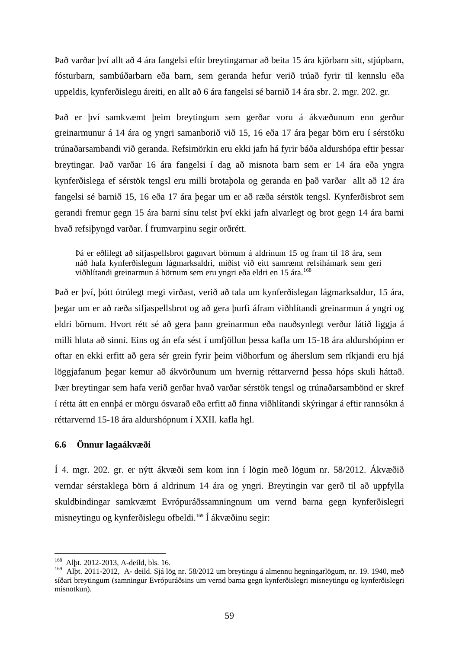Það varðar því allt að 4 ára fangelsi eftir breytingarnar að beita 15 ára kjörbarn sitt, stjúpbarn, fósturbarn, sambúðarbarn eða barn, sem geranda hefur verið trúað fyrir til kennslu eða uppeldis, kynferðislegu áreiti, en allt að 6 ára fangelsi sé barnið 14 ára sbr. 2. mgr. 202. gr.

Það er því samkvæmt þeim breytingum sem gerðar voru á ákvæðunum enn gerður greinarmunur á 14 ára og yngri samanborið við 15, 16 eða 17 ára þegar börn eru í sérstöku trúnaðarsambandi við geranda. Refsimörkin eru ekki jafn há fyrir báða aldurshópa eftir þessar breytingar. Það varðar 16 ára fangelsi í dag að misnota barn sem er 14 ára eða yngra kynferðislega ef sérstök tengsl eru milli brotaþola og geranda en það varðar allt að 12 ára fangelsi sé barnið 15, 16 eða 17 ára þegar um er að ræða sérstök tengsl. Kynferðisbrot sem gerandi fremur gegn 15 ára barni sínu telst því ekki jafn alvarlegt og brot gegn 14 ára barni hvað refsiþyngd varðar. Í frumvarpinu segir orðrétt.

Þá er eðlilegt að sifjaspellsbrot gagnvart börnum á aldrinum 15 og fram til 18 ára, sem náð hafa kynferðislegum lágmarksaldri, miðist við eitt samræmt refsihámark sem geri viðhlítandi greinarmun á börnum sem eru yngri eða eldri en 15 ára.<sup>168</sup>

Það er því, þótt ótrúlegt megi virðast, verið að tala um kynferðislegan lágmarksaldur, 15 ára, þegar um er að ræða sifjaspellsbrot og að gera þurfi áfram viðhlítandi greinarmun á yngri og eldri börnum. Hvort rétt sé að gera þann greinarmun eða nauðsynlegt verður látið liggja á milli hluta að sinni. Eins og án efa sést í umfjöllun þessa kafla um 15-18 ára aldurshópinn er oftar en ekki erfitt að gera sér grein fyrir þeim viðhorfum og áherslum sem ríkjandi eru hjá löggjafanum þegar kemur að ákvörðunum um hvernig réttarvernd þessa hóps skuli háttað. Þær breytingar sem hafa verið gerðar hvað varðar sérstök tengsl og trúnaðarsambönd er skref í rétta átt en ennþá er mörgu ósvarað eða erfitt að finna viðhlítandi skýringar á eftir rannsókn á réttarvernd 15-18 ára aldurshópnum í XXII. kafla hgl.

## **6.6 Önnur lagaákvæði**

Í 4. mgr. 202. gr. er nýtt ákvæði sem kom inn í lögin með lögum nr. 58/2012. Ákvæðið verndar sérstaklega börn á aldrinum 14 ára og yngri. Breytingin var gerð til að uppfylla skuldbindingar samkvæmt Evrópuráðssamningnum um vernd barna gegn kynferðislegri misneytingu og kynferðislegu ofbeldi.<sup>169</sup> Í ákvæðinu segir:

<sup>168</sup> Alþt. 2012-2013, A-deild, bls. 16.

<sup>169</sup> Alþt. 2011-2012, A- deild. Sjá lög nr. 58/2012 um breytingu á almennu hegningarlögum, nr. 19. 1940, með síðari breytingum (samningur Evrópuráðsins um vernd barna gegn kynferðislegri misneytingu og kynferðislegri misnotkun).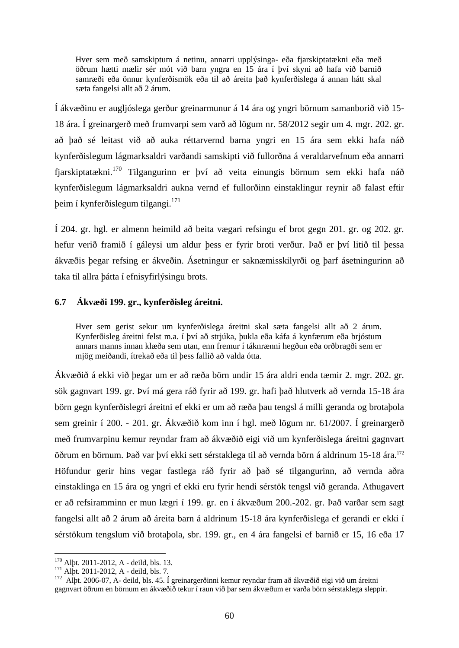Hver sem með samskiptum á netinu, annarri upplýsinga- eða fjarskiptatækni eða með öðrum hætti mælir sér mót við barn yngra en 15 ára í því skyni að hafa við barnið samræði eða önnur kynferðismök eða til að áreita það kynferðislega á annan hátt skal sæta fangelsi allt að 2 árum.

Í ákvæðinu er augljóslega gerður greinarmunur á 14 ára og yngri börnum samanborið við 15- 18 ára. Í greinargerð með frumvarpi sem varð að lögum nr. 58/2012 segir um 4. mgr. 202. gr. að það sé leitast við að auka réttarvernd barna yngri en 15 ára sem ekki hafa náð kynferðislegum lágmarksaldri varðandi samskipti við fullorðna á veraldarvefnum eða annarri fiarskiptatækni.<sup>170</sup> Tilgangurinn er því að veita einungis börnum sem ekki hafa náð kynferðislegum lágmarksaldri aukna vernd ef fullorðinn einstaklingur reynir að falast eftir þeim í kynferðislegum tilgangi.<sup>171</sup>

Í 204. gr. hgl. er almenn heimild að beita vægari refsingu ef brot gegn 201. gr. og 202. gr. hefur verið framið í gáleysi um aldur þess er fyrir broti verður. Það er því litið til þessa ákvæðis þegar refsing er ákveðin. Ásetningur er saknæmisskilyrði og þarf ásetningurinn að taka til allra þátta í efnisyfirlýsingu brots.

# **6.7 Ákvæði 199. gr., kynferðisleg áreitni.**

Hver sem gerist sekur um kynferðislega áreitni skal sæta fangelsi allt að 2 árum. Kynferðisleg áreitni felst m.a. í því að strjúka, þukla eða káfa á kynfærum eða brjóstum annars manns innan klæða sem utan, enn fremur í táknrænni hegðun eða orðbragði sem er mjög meiðandi, ítrekað eða til þess fallið að valda ótta.

Ákvæðið á ekki við þegar um er að ræða börn undir 15 ára aldri enda tæmir 2. mgr. 202. gr. sök gagnvart 199. gr. Því má gera ráð fyrir að 199. gr. hafi það hlutverk að vernda 15-18 ára börn gegn kynferðislegri áreitni ef ekki er um að ræða þau tengsl á milli geranda og brotaþola sem greinir í 200. - 201. gr. Ákvæðið kom inn í hgl. með lögum nr. 61/2007. Í greinargerð með frumvarpinu kemur reyndar fram að ákvæðið eigi við um kynferðislega áreitni gagnvart öðrum en börnum. Það var því ekki sett sérstaklega til að vernda börn á aldrinum 15-18 ára.<sup>172</sup> Höfundur gerir hins vegar fastlega ráð fyrir að það sé tilgangurinn, að vernda aðra einstaklinga en 15 ára og yngri ef ekki eru fyrir hendi sérstök tengsl við geranda. Athugavert er að refsiramminn er mun lægri í 199. gr. en í ákvæðum 200.-202. gr. Það varðar sem sagt fangelsi allt að 2 árum að áreita barn á aldrinum 15-18 ára kynferðislega ef gerandi er ekki í sérstökum tengslum við brotaþola, sbr. 199. gr., en 4 ára fangelsi ef barnið er 15, 16 eða 17

<sup>&</sup>lt;sup>170</sup> Alþt. 2011-2012, A - deild, bls. 13.

 $^{171}$  Alpt. 2011-2012, A - deild, bls. 7.

<sup>172</sup> Alþt. 2006-07, A- deild, bls. 45. Í greinargerðinni kemur reyndar fram að ákvæðið eigi við um áreitni gagnvart öðrum en börnum en ákvæðið tekur í raun við þar sem ákvæðum er varða börn sérstaklega sleppir.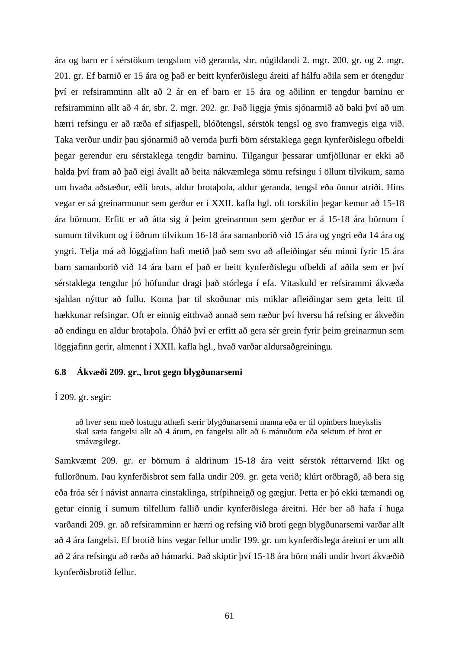ára og barn er í sérstökum tengslum við geranda, sbr. núgildandi 2. mgr. 200. gr. og 2. mgr. 201. gr. Ef barnið er 15 ára og það er beitt kynferðislegu áreiti af hálfu aðila sem er ótengdur því er refsiramminn allt að 2 ár en ef barn er 15 ára og aðilinn er tengdur barninu er refsiramminn allt að 4 ár, sbr. 2. mgr. 202. gr. Það liggja ýmis sjónarmið að baki því að um hærri refsingu er að ræða ef sifjaspell, blóðtengsl, sérstök tengsl og svo framvegis eiga við. Taka verður undir þau sjónarmið að vernda þurfi börn sérstaklega gegn kynferðislegu ofbeldi þegar gerendur eru sérstaklega tengdir barninu. Tilgangur þessarar umfjöllunar er ekki að halda því fram að það eigi ávallt að beita nákvæmlega sömu refsingu í öllum tilvikum, sama um hvaða aðstæður, eðli brots, aldur brotaþola, aldur geranda, tengsl eða önnur atriði. Hins vegar er sá greinarmunur sem gerður er í XXII. kafla hgl. oft torskilin þegar kemur að 15-18 ára börnum. Erfitt er að átta sig á þeim greinarmun sem gerður er á 15-18 ára börnum í sumum tilvikum og í öðrum tilvikum 16-18 ára samanborið við 15 ára og yngri eða 14 ára og yngri. Telja má að löggjafinn hafi metið það sem svo að afleiðingar séu minni fyrir 15 ára barn samanborið við 14 ára barn ef það er beitt kynferðislegu ofbeldi af aðila sem er því sérstaklega tengdur þó höfundur dragi það stórlega í efa. Vitaskuld er refsirammi ákvæða sjaldan nýttur að fullu. Koma þar til skoðunar mis miklar afleiðingar sem geta leitt til hækkunar refsingar. Oft er einnig eitthvað annað sem ræður því hversu há refsing er ákveðin að endingu en aldur brotaþola. Óháð því er erfitt að gera sér grein fyrir þeim greinarmun sem löggjafinn gerir, almennt í XXII. kafla hgl., hvað varðar aldursaðgreiningu.

### **6.8 Ákvæði 209. gr., brot gegn blygðunarsemi**

Í 209. gr. segir:

að hver sem með lostugu athæfi særir blygðunarsemi manna eða er til opinbers hneykslis skal sæta fangelsi allt að 4 árum, en fangelsi allt að 6 mánuðum eða sektum ef brot er smávægilegt.

Samkvæmt 209. gr. er börnum á aldrinum 15-18 ára veitt sérstök réttarvernd líkt og fullorðnum. Þau kynferðisbrot sem falla undir 209. gr. geta verið; klúrt orðbragð, að bera sig eða fróa sér í návist annarra einstaklinga, strípihneigð og gægjur. Þetta er þó ekki tæmandi og getur einnig í sumum tilfellum fallið undir kynferðislega áreitni. Hér ber að hafa í huga varðandi 209. gr. að refsiramminn er hærri og refsing við broti gegn blygðunarsemi varðar allt að 4 ára fangelsi. Ef brotið hins vegar fellur undir 199. gr. um kynferðislega áreitni er um allt að 2 ára refsingu að ræða að hámarki. Það skiptir því 15-18 ára börn máli undir hvort ákvæðið kynferðisbrotið fellur.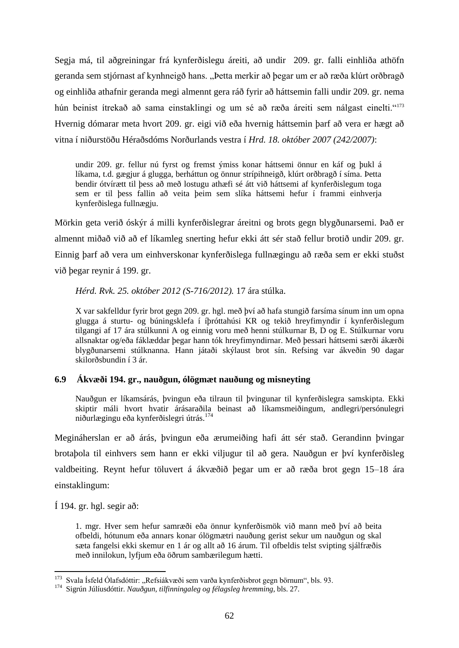Segja má, til aðgreiningar frá kynferðislegu áreiti, að undir 209. gr. falli einhliða athöfn geranda sem stjórnast af kynhneigð hans. "Þetta merkir að þegar um er að ræða klúrt orðbragð og einhliða athafnir geranda megi almennt gera ráð fyrir að háttsemin falli undir 209. gr. nema hún beinist ítrekað að sama einstaklingi og um sé að ræða áreiti sem nálgast einelti."<sup>173</sup> Hvernig dómarar meta hvort 209. gr. eigi við eða hvernig háttsemin þarf að vera er hægt að vitna í niðurstöðu Héraðsdóms Norðurlands vestra í *Hrd. 18. október 2007 (242/2007)*:

undir 209. gr. fellur nú fyrst og fremst ýmiss konar háttsemi önnur en káf og þukl á líkama, t.d. gægjur á glugga, berháttun og önnur strípihneigð, klúrt orðbragð í síma. Þetta bendir ótvírætt til þess að með lostugu athæfi sé átt við háttsemi af kynferðislegum toga sem er til þess fallin að veita þeim sem slíka háttsemi hefur í frammi einhverja kynferðislega fullnægju.

Mörkin geta verið óskýr á milli kynferðislegrar áreitni og brots gegn blygðunarsemi. Það er almennt miðað við að ef líkamleg snerting hefur ekki átt sér stað fellur brotið undir 209. gr. Einnig þarf að vera um einhverskonar kynferðislega fullnægingu að ræða sem er ekki stuðst við þegar reynir á 199. gr.

*Hérd. Rvk. 25. október 2012 (S-716/2012).* 17 ára stúlka.

X var sakfelldur fyrir brot gegn 209. gr. hgl. með því að hafa stungið farsíma sínum inn um opna glugga á sturtu- og búningsklefa í íþróttahúsi KR og tekið hreyfimyndir í kynferðislegum tilgangi af 17 ára stúlkunni A og einnig voru með henni stúlkurnar B, D og E. Stúlkurnar voru allsnaktar og/eða fáklæddar þegar hann tók hreyfimyndirnar. Með þessari háttsemi særði ákærði blygðunarsemi stúlknanna. Hann játaði skýlaust brot sín. Refsing var ákveðin 90 dagar skilorðsbundin í 3 ár.

# **6.9 Ákvæði 194. gr., nauðgun, ólögmæt nauðung og misneyting**

Nauðgun er líkamsárás, þvingun eða tilraun til þvingunar til kynferðislegra samskipta. Ekki skiptir máli hvort hvatir árásaraðila beinast að líkamsmeiðingum, andlegri/persónulegri niðurlægingu eða kynferðislegri útrás.<sup>174</sup>

Megináherslan er að árás, þvingun eða ærumeiðing hafi átt sér stað. Gerandinn þvingar brotaþola til einhvers sem hann er ekki viljugur til að gera. Nauðgun er því kynferðisleg valdbeiting. Reynt hefur töluvert á ákvæðið þegar um er að ræða brot gegn 15–18 ára einstaklingum:

Í 194. gr. hgl. segir að:

1. mgr. Hver sem hefur samræði eða önnur kynferðismök við mann með því að beita ofbeldi, hótunum eða annars konar ólögmætri nauðung gerist sekur um nauðgun og skal sæta fangelsi ekki skemur en 1 ár og allt að 16 árum. Til ofbeldis telst svipting sjálfræðis með innilokun, lyfjum eða öðrum sambærilegum hætti.

<sup>1</sup> <sup>173</sup> Svala Ísfeld Ólafsdóttir: "Refsiákvæði sem varða kynferðisbrot gegn börnum", bls. 93.

<sup>174</sup> Sigrún Júlíusdóttir. *Nauðgun, tilfinningaleg og félagsleg hremming*, bls. 27.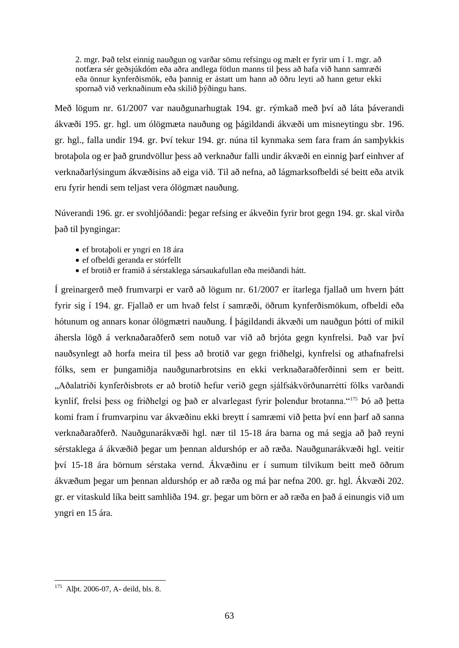2. mgr. Það telst einnig nauðgun og varðar sömu refsingu og mælt er fyrir um í 1. mgr. að notfæra sér geðsjúkdóm eða aðra andlega fötlun manns til þess að hafa við hann samræði eða önnur kynferðismök, eða þannig er ástatt um hann að öðru leyti að hann getur ekki spornað við verknaðinum eða skilið þýðingu hans.

Með lögum nr. 61/2007 var nauðgunarhugtak 194. gr. rýmkað með því að láta þáverandi ákvæði 195. gr. hgl. um ólögmæta nauðung og þágildandi ákvæði um misneytingu sbr. 196. gr. hgl., falla undir 194. gr. Því tekur 194. gr. núna til kynmaka sem fara fram án samþykkis brotaþola og er það grundvöllur þess að verknaður falli undir ákvæði en einnig þarf einhver af verknaðarlýsingum ákvæðisins að eiga við. Til að nefna, að lágmarksofbeldi sé beitt eða atvik eru fyrir hendi sem teljast vera ólögmæt nauðung.

Núverandi 196. gr. er svohljóðandi: þegar refsing er ákveðin fyrir brot gegn 194. gr. skal virða það til þyngingar:

- ef brotaþoli er yngri en 18 ára
- ef ofbeldi geranda er stórfellt
- ef brotið er framið á sérstaklega sársaukafullan eða meiðandi hátt.

Í greinargerð með frumvarpi er varð að lögum nr. 61/2007 er ítarlega fjallað um hvern þátt fyrir sig í 194. gr. Fjallað er um hvað felst í samræði, öðrum kynferðismökum, ofbeldi eða hótunum og annars konar ólögmætri nauðung. Í þágildandi ákvæði um nauðgun þótti of mikil áhersla lögð á verknaðaraðferð sem notuð var við að brjóta gegn kynfrelsi. Það var því nauðsynlegt að horfa meira til þess að brotið var gegn friðhelgi, kynfrelsi og athafnafrelsi fólks, sem er þungamiðja nauðgunarbrotsins en ekki verknaðaraðferðinni sem er beitt. "Aðalatriði kynferðisbrots er að brotið hefur verið gegn sjálfsákvörðunarrétti fólks varðandi kynlíf, frelsi þess og friðhelgi og það er alvarlegast fyrir þolendur brotanna."<sup>175</sup> Þó að þetta komi fram í frumvarpinu var ákvæðinu ekki breytt í samræmi við þetta því enn þarf að sanna verknaðaraðferð. Nauðgunarákvæði hgl. nær til 15-18 ára barna og má segja að það reyni sérstaklega á ákvæðið þegar um þennan aldurshóp er að ræða. Nauðgunarákvæði hgl. veitir því 15-18 ára börnum sérstaka vernd. Ákvæðinu er í sumum tilvikum beitt með öðrum ákvæðum þegar um þennan aldurshóp er að ræða og má þar nefna 200. gr. hgl. Ákvæði 202. gr. er vitaskuld líka beitt samhliða 194. gr. þegar um börn er að ræða en það á einungis við um yngri en 15 ára.

<sup>1</sup> <sup>175</sup> Alþt. 2006-07, A- deild, bls. 8.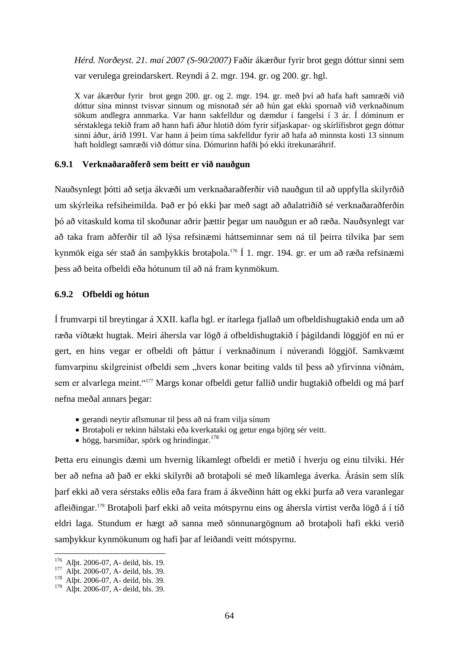*Hérd. Norðeyst. 21. maí 2007 (S-90/2007)* Faðir ákærður fyrir brot gegn dóttur sinni sem var verulega greindarskert. Reyndi á 2. mgr. 194. gr. og 200. gr. hgl.

X var ákærður fyrir brot gegn 200. gr. og 2. mgr. 194. gr. með því að hafa haft samræði við dóttur sína minnst tvisvar sinnum og misnotað sér að hún gat ekki spornað við verknaðinum sökum andlegra annmarka. Var hann sakfelldur og dæmdur í fangelsi í 3 ár. Í dóminum er sérstaklega tekið fram að hann hafi áður hlotið dóm fyrir sifjaskapar- og skírlífisbrot gegn dóttur sinni áður, árið 1991. Var hann á þeim tíma sakfelldur fyrir að hafa að minnsta kosti 13 sinnum haft holdlegt samræði við dóttur sína. Dómurinn hafði þó ekki ítrekunaráhrif.

# **6.9.1 Verknaðaraðferð sem beitt er við nauðgun**

Nauðsynlegt þótti að setja ákvæði um verknaðaraðferðir við nauðgun til að uppfylla skilyrðið um skýrleika refsiheimilda. Það er þó ekki þar með sagt að aðalatriðið sé verknaðaraðferðin þó að vitaskuld koma til skoðunar aðrir þættir þegar um nauðgun er að ræða. Nauðsynlegt var að taka fram aðferðir til að lýsa refsinæmi háttseminnar sem ná til þeirra tilvika þar sem kynmök eiga sér stað án samþykkis brotaþola.<sup>176</sup> Í 1. mgr. 194. gr. er um að ræða refsinæmi þess að beita ofbeldi eða hótunum til að ná fram kynmökum.

## **6.9.2 Ofbeldi og hótun**

Í frumvarpi til breytingar á XXII. kafla hgl. er ítarlega fjallað um ofbeldishugtakið enda um að ræða víðtækt hugtak. Meiri áhersla var lögð á ofbeldishugtakið í þágildandi löggjöf en nú er gert, en hins vegar er ofbeldi oft þáttur í verknaðinum í núverandi löggjöf. Samkvæmt fumvarpinu skilgreinist ofbeldi sem "hvers konar beiting valds til þess að yfirvinna viðnám, sem er alvarlega meint."<sup>177</sup> Margs konar ofbeldi getur fallið undir hugtakið ofbeldi og má þarf nefna meðal annars þegar:

- gerandi neytir aflsmunar til þess að ná fram vilja sínum
- Brotaþoli er tekinn hálstaki eða kverkataki og getur enga björg sér veitt.
- $\bullet$  högg, barsmíðar, spörk og hrindingar.<sup>178</sup>

Þetta eru einungis dæmi um hvernig líkamlegt ofbeldi er metið í hverju og einu tilviki. Hér ber að nefna að það er ekki skilyrði að brotaþoli sé með líkamlega áverka. Árásin sem slík þarf ekki að vera sérstaks eðlis eða fara fram á ákveðinn hátt og ekki þurfa að vera varanlegar afleiðingar.<sup>179</sup> Brotaþoli þarf ekki að veita mótspyrnu eins og áhersla virtist verða lögð á í tíð eldri laga. Stundum er hægt að sanna með sönnunargögnum að brotaþoli hafi ekki verið samþykkur kynmökunum og hafi þar af leiðandi veitt mótspyrnu.

<sup>176</sup> Alþt. 2006-07, A- deild, bls. 19.

<sup>&</sup>lt;sup>177</sup> Alpt. 2006-07, A- deild, bls. 39.

<sup>178</sup> Alþt. 2006-07, A- deild, bls. 39.

<sup>179</sup> Alþt. 2006-07, A- deild, bls. 39.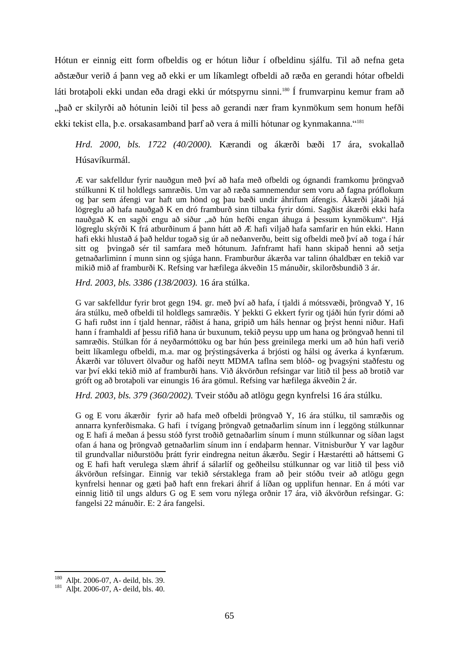Hótun er einnig eitt form ofbeldis og er hótun liður í ofbeldinu sjálfu. Til að nefna geta aðstæður verið á þann veg að ekki er um líkamlegt ofbeldi að ræða en gerandi hótar ofbeldi láti brotaþoli ekki undan eða dragi ekki úr mótspyrnu sinni.<sup>180</sup> Í frumvarpinu kemur fram að "það er skilyrði að hótunin leiði til þess að gerandi nær fram kynmökum sem honum hefði ekki tekist ella, þ.e. orsakasamband þarf að vera á milli hótunar og kynmakanna."<sup>181</sup>

*Hrd. 2000, bls. 1722 (40/2000).* Kærandi og ákærði bæði 17 ára, svokallað Húsavíkurmál.

Æ var sakfelldur fyrir nauðgun með því að hafa með ofbeldi og ógnandi framkomu þröngvað stúlkunni K til holdlegs samræðis. Um var að ræða samnemendur sem voru að fagna próflokum og þar sem áfengi var haft um hönd og þau bæði undir áhrifum áfengis. Ákærði játaði hjá lögreglu að hafa nauðgað K en dró framburð sinn tilbaka fyrir dómi. Sagðist ákærði ekki hafa nauðgað K en sagði engu að síður "að hún hefði engan áhuga á þessum kynmökum". Hjá lögreglu skýrði K frá atburðinum á þann hátt að Æ hafi viljað hafa samfarir en hún ekki. Hann hafi ekki hlustað á það heldur togað sig úr að neðanverðu, beitt sig ofbeldi með því að toga í hár sitt og þvingað sér til samfara með hótunum. Jafnframt hafi hann skipað henni að setja getnaðarliminn í munn sinn og sjúga hann. Framburður ákærða var talinn óhaldbær en tekið var mikið mið af framburði K. Refsing var hæfilega ákveðin 15 mánuðir, skilorðsbundið 3 ár.

*Hrd. 2003, bls. 3386 (138/2003).* 16 ára stúlka.

G var sakfelldur fyrir brot gegn 194. gr. með því að hafa, í tjaldi á mótssvæði, þröngvað Y, 16 ára stúlku, með ofbeldi til holdlegs samræðis. Y þekkti G ekkert fyrir og tjáði hún fyrir dómi að G hafi ruðst inn í tjald hennar, ráðist á hana, gripið um háls hennar og þrýst henni niður. Hafi hann í framhaldi af þessu rifið hana úr buxunum, tekið peysu upp um hana og þröngvað henni til samræðis. Stúlkan fór á neyðarmóttöku og bar hún þess greinilega merki um að hún hafi verið beitt líkamlegu ofbeldi, m.a. mar og þrýstingsáverka á brjósti og hálsi og áverka á kynfærum. Ákærði var töluvert ölvaður og hafði neytt MDMA taflna sem blóð- og þvagsýni staðfestu og var því ekki tekið mið af framburði hans. Við ákvörðun refsingar var litið til þess að brotið var gróft og að brotaþoli var einungis 16 ára gömul. Refsing var hæfilega ákveðin 2 ár.

*Hrd. 2003, bls. 379 (360/2002).* Tveir stóðu að atlögu gegn kynfrelsi 16 ára stúlku.

G og E voru ákærðir fyrir að hafa með ofbeldi þröngvað Y, 16 ára stúlku, til samræðis og annarra kynferðismaka. G hafi í tvígang þröngvað getnaðarlim sínum inn í leggöng stúlkunnar og E hafi á meðan á þessu stóð fyrst troðið getnaðarlim sínum í munn stúlkunnar og síðan lagst ofan á hana og þröngvað getnaðarlim sínum inn í endaþarm hennar. Vitnisburður Y var lagður til grundvallar niðurstöðu þrátt fyrir eindregna neitun ákærðu. Segir í Hæstarétti að háttsemi G og E hafi haft verulega slæm áhrif á sálarlíf og geðheilsu stúlkunnar og var litið til þess við ákvörðun refsingar. Einnig var tekið sérstaklega fram að þeir stóðu tveir að atlögu gegn kynfrelsi hennar og gæti það haft enn frekari áhrif á líðan og upplifun hennar. En á móti var einnig litið til ungs aldurs G og E sem voru nýlega orðnir 17 ára, við ákvörðun refsingar. G: fangelsi 22 mánuðir. E: 2 ára fangelsi.

<sup>180</sup> Alþt. 2006-07, A- deild, bls. 39.

<sup>181</sup> Alþt. 2006-07, A- deild, bls. 40.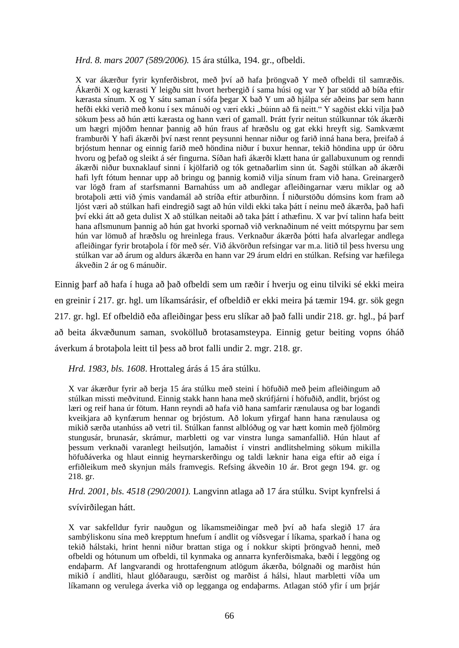### *Hrd. 8. mars 2007 (589/2006).* 15 ára stúlka, 194. gr., ofbeldi.

X var ákærður fyrir kynferðisbrot, með því að hafa þröngvað Y með ofbeldi til samræðis. Ákærði X og kærasti Y leigðu sitt hvort herbergið í sama húsi og var Y þar stödd að bíða eftir kærasta sínum. X og Y sátu saman í sófa þegar X bað Y um að hjálpa sér aðeins þar sem hann hefði ekki verið með konu í sex mánuði og væri ekki "búinn að fá neitt." Y sagðist ekki vilja það sökum þess að hún ætti kærasta og hann væri of gamall. Þrátt fyrir neitun stúlkunnar tók ákærði um hægri mjöðm hennar þannig að hún fraus af hræðslu og gat ekki hreyft sig. Samkvæmt framburði Y hafi ákærði því næst rennt peysunni hennar niður og farið inná hana bera, þreifað á brjóstum hennar og einnig farið með höndina niður í buxur hennar, tekið höndina upp úr öðru hvoru og þefað og sleikt á sér fingurna. Síðan hafi ákærði klætt hana úr gallabuxunum og renndi ákærði niður buxnaklauf sinni í kjölfarið og tók getnaðarlim sinn út. Sagði stúlkan að ákærði hafi lyft fótum hennar upp að bringu og þannig komið vilja sínum fram við hana. Greinargerð var lögð fram af starfsmanni Barnahúss um að andlegar afleiðingarnar væru miklar og að brotaþoli ætti við ýmis vandamál að stríða eftir atburðinn. Í niðurstöðu dómsins kom fram að ljóst væri að stúlkan hafi eindregið sagt að hún vildi ekki taka þátt í neinu með ákærða, það hafi því ekki átt að geta dulist X að stúlkan neitaði að taka þátt í athæfinu. X var því talinn hafa beitt hana aflsmunum þannig að hún gat hvorki spornað við verknaðinum né veitt mótspyrnu þar sem hún var lömuð af hræðslu og hreinlega fraus. Verknaður ákærða þótti hafa alvarlegar andlega afleiðingar fyrir brotaþola í för með sér. Við ákvörðun refsingar var m.a. litið til þess hversu ung stúlkan var að árum og aldurs ákærða en hann var 29 árum eldri en stúlkan. Refsing var hæfilega ákveðin 2 ár og 6 mánuðir.

Einnig þarf að hafa í huga að það ofbeldi sem um ræðir í hverju og einu tilviki sé ekki meira en greinir í 217. gr. hgl. um líkamsárásir, ef ofbeldið er ekki meira þá tæmir 194. gr. sök gegn 217. gr. hgl. Ef ofbeldið eða afleiðingar þess eru slíkar að það falli undir 218. gr. hgl., þá þarf að beita ákvæðunum saman, svokölluð brotasamsteypa. Einnig getur beiting vopns óháð áverkum á brotaþola leitt til þess að brot falli undir 2. mgr. 218. gr.

*Hrd. 1983, bls. 1608*. Hrottaleg árás á 15 ára stúlku.

X var ákærður fyrir að berja 15 ára stúlku með steini í höfuðið með þeim afleiðingum að stúlkan missti meðvitund. Einnig stakk hann hana með skrúfjárni í höfuðið, andlit, brjóst og læri og reif hana úr fötum. Hann reyndi að hafa við hana samfarir rænulausa og bar logandi kveikjara að kynfærum hennar og brjóstum. Að lokum yfirgaf hann hana rænulausa og mikið særða utanhúss að vetri til. Stúlkan fannst alblóðug og var hætt komin með fjölmörg stungusár, brunasár, skrámur, marbletti og var vinstra lunga samanfallið. Hún hlaut af þessum verknaði varanlegt heilsutjón, lamaðist í vinstri andlitshelming sökum mikilla höfuðáverka og hlaut einnig heyrnarskerðingu og taldi læknir hana eiga eftir að eiga í erfiðleikum með skynjun máls framvegis. Refsing ákveðin 10 ár. Brot gegn 194. gr. og 218. gr.

*Hrd. 2001, bls. 4518 (290/2001).* Langvinn atlaga að 17 ára stúlku. Svipt kynfrelsi á svívirðilegan hátt.

X var sakfelldur fyrir nauðgun og líkamsmeiðingar með því að hafa slegið 17 ára sambýliskonu sína með krepptum hnefum í andlit og víðsvegar í líkama, sparkað í hana og tekið hálstaki, hrint henni niður brattan stiga og í nokkur skipti þröngvað henni, með ofbeldi og hótunum um ofbeldi, til kynmaka og annarra kynferðismaka, bæði í leggöng og endaþarm. Af langvarandi og hrottafengnum atlögum ákærða, bólgnaði og marðist hún mikið í andliti, hlaut glóðaraugu, særðist og marðist á hálsi, hlaut marbletti víða um líkamann og verulega áverka við op legganga og endaþarms. Atlagan stóð yfir í um þrjár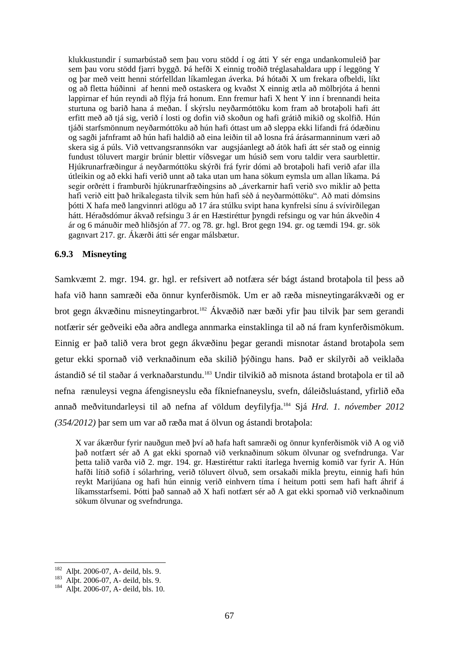klukkustundir í sumarbústað sem þau voru stödd í og átti Y sér enga undankomuleið þar sem þau voru stödd fjarri byggð. Þá hefði X einnig troðið tréglasahaldara upp í leggöng Y og þar með veitt henni stórfelldan líkamlegan áverka. Þá hótaði X um frekara ofbeldi, líkt og að fletta húðinni af henni með ostaskera og kvaðst X einnig ætla að mölbrjóta á henni lappirnar ef hún reyndi að flýja frá honum. Enn fremur hafi X hent Y inn í brennandi heita sturtuna og barið hana á meðan. Í skýrslu neyðarmóttöku kom fram að brotaþoli hafi átt erfitt með að tjá sig, verið í losti og dofin við skoðun og hafi grátið mikið og skolfið. Hún tjáði starfsmönnum neyðarmóttöku að hún hafi óttast um að sleppa ekki lifandi frá ódæðinu og sagði jafnframt að hún hafi haldið að eina leiðin til að losna frá árásarmanninum væri að skera sig á púls. Við vettvangsrannsókn var augsjáanlegt að átök hafi átt sér stað og einnig fundust töluvert margir brúnir blettir víðsvegar um húsið sem voru taldir vera saurblettir. Hjúkrunarfræðingur á neyðarmóttöku skýrði frá fyrir dómi að brotaþoli hafi verið afar illa útleikin og að ekki hafi verið unnt að taka utan um hana sökum eymsla um allan líkama. Þá segir orðrétt í framburði hjúkrunarfræðingsins að "áverkarnir hafi verið svo miklir að þetta hafi verið eitt það hrikalegasta tilvik sem hún hafi séð á neyðarmóttöku". Að mati dómsins þótti X hafa með langvinnri atlögu að 17 ára stúlku svipt hana kynfrelsi sínu á svívirðilegan hátt. Héraðsdómur ákvað refsingu 3 ár en Hæstiréttur þyngdi refsingu og var hún ákveðin 4 ár og 6 mánuðir með hliðsjón af 77. og 78. gr. hgl. Brot gegn 194. gr. og tæmdi 194. gr. sök gagnvart 217. gr. Ákærði átti sér engar málsbætur.

## **6.9.3 Misneyting**

Samkvæmt 2. mgr. 194. gr. hgl. er refsivert að notfæra sér bágt ástand brotaþola til þess að hafa við hann samræði eða önnur kynferðismök. Um er að ræða misneytingarákvæði og er brot gegn ákvæðinu misneytingarbrot.<sup>182</sup> Ákvæðið nær bæði yfir þau tilvik þar sem gerandi notfærir sér geðveiki eða aðra andlega annmarka einstaklinga til að ná fram kynferðismökum. Einnig er það talið vera brot gegn ákvæðinu þegar gerandi misnotar ástand brotaþola sem getur ekki spornað við verknaðinum eða skilið þýðingu hans. Það er skilyrði að veiklaða ástandið sé til staðar á verknaðarstundu.<sup>183</sup> Undir tilvikið að misnota ástand brotabola er til að nefna rænuleysi vegna áfengisneyslu eða fíkniefnaneyslu, svefn, dáleiðsluástand, yfirlið eða annað meðvitundarleysi til að nefna af völdum deyfilyfja.<sup>184</sup> Sjá *Hrd. 1. nóvember 2012 (354/2012)* þar sem um var að ræða mat á ölvun og ástandi brotaþola:

X var ákærður fyrir nauðgun með því að hafa haft samræði og önnur kynferðismök við A og við það notfært sér að A gat ekki spornað við verknaðinum sökum ölvunar og svefndrunga. Var þetta talið varða við 2. mgr. 194. gr. Hæstiréttur rakti ítarlega hvernig komið var fyrir A. Hún hafði lítið sofið í sólarhring, verið töluvert ölvuð, sem orsakaði mikla þreytu, einnig hafi hún reykt Marijúana og hafi hún einnig verið einhvern tíma í heitum potti sem hafi haft áhrif á líkamsstarfsemi. Þótti það sannað að X hafi notfært sér að A gat ekki spornað við verknaðinum sökum ölvunar og svefndrunga.

<sup>182</sup> <sup>182</sup> Alþt. 2006-07, A- deild, bls. 9.

<sup>183</sup> Alþt. 2006-07, A- deild, bls. 9.

<sup>184</sup> Alþt. 2006-07, A- deild, bls. 10.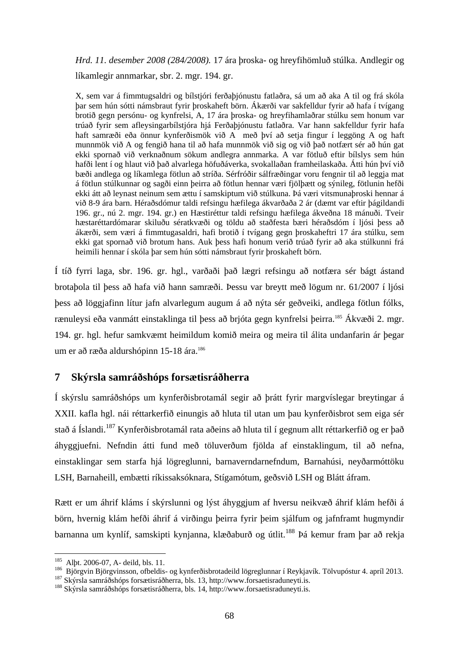*Hrd. 11. desember 2008 (284/2008).* 17 ára þroska- og hreyfihömluð stúlka. Andlegir og líkamlegir annmarkar, sbr. 2. mgr. 194. gr.

X, sem var á fimmtugsaldri og bílstjóri ferðaþjónustu fatlaðra, sá um að aka A til og frá skóla þar sem hún sótti námsbraut fyrir þroskaheft börn. Ákærði var sakfelldur fyrir að hafa í tvígang brotið gegn persónu- og kynfrelsi, A, 17 ára þroska- og hreyfihamlaðrar stúlku sem honum var trúað fyrir sem afleysingarbílstjóra hjá Ferðaþjónustu fatlaðra. Var hann sakfelldur fyrir hafa haft samræði eða önnur kynferðismök við A með því að setja fingur í leggöng A og haft munnmök við A og fengið hana til að hafa munnmök við sig og við það notfært sér að hún gat ekki spornað við verknaðnum sökum andlegra annmarka. A var fötluð eftir bílslys sem hún hafði lent í og hlaut við það alvarlega höfuðáverka, svokallaðan framheilaskaða. Átti hún því við bæði andlega og líkamlega fötlun að stríða. Sérfróðir sálfræðingar voru fengnir til að leggja mat á fötlun stúlkunnar og sagði einn þeirra að fötlun hennar væri fjölþætt og sýnileg, fötlunin hefði ekki átt að leynast neinum sem ættu í samskiptum við stúlkuna. Þá væri vitsmunaþroski hennar á við 8-9 ára barn. Héraðsdómur taldi refsingu hæfilega ákvarðaða 2 ár (dæmt var eftir þágildandi 196. gr., nú 2. mgr. 194. gr.) en Hæstiréttur taldi refsingu hæfilega ákveðna 18 mánuði. Tveir hæstaréttardómarar skiluðu sératkvæði og töldu að staðfesta bæri héraðsdóm í ljósi þess að ákærði, sem væri á fimmtugasaldri, hafi brotið í tvígang gegn þroskaheftri 17 ára stúlku, sem ekki gat spornað við brotum hans. Auk þess hafi honum verið trúað fyrir að aka stúlkunni frá heimili hennar í skóla þar sem hún sótti námsbraut fyrir þroskaheft börn.

Í tíð fyrri laga, sbr. 196. gr. hgl., varðaði það lægri refsingu að notfæra sér bágt ástand brotaþola til þess að hafa við hann samræði. Þessu var breytt með lögum nr. 61/2007 í ljósi þess að löggjafinn lítur jafn alvarlegum augum á að nýta sér geðveiki, andlega fötlun fólks, rænuleysi eða vanmátt einstaklinga til þess að brjóta gegn kynfrelsi þeirra.<sup>185</sup> Ákvæði 2. mgr. 194. gr. hgl. hefur samkvæmt heimildum komið meira og meira til álita undanfarin ár þegar um er að ræða aldurshópinn 15-18 ára.<sup>186</sup>

## **7 Skýrsla samráðshóps forsætisráðherra**

Í skýrslu samráðshóps um kynferðisbrotamál segir að þrátt fyrir margvíslegar breytingar á XXII. kafla hgl. nái réttarkerfið einungis að hluta til utan um þau kynferðisbrot sem eiga sér stað á Íslandi.<sup>187</sup> Kynferðisbrotamál rata aðeins að hluta til í gegnum allt réttarkerfið og er það áhyggjuefni. Nefndin átti fund með töluverðum fjölda af einstaklingum, til að nefna, einstaklingar sem starfa hjá lögreglunni, barnaverndarnefndum, Barnahúsi, neyðarmóttöku LSH, Barnaheill, embætti ríkissaksóknara, Stígamótum, geðsvið LSH og Blátt áfram.

Rætt er um áhrif kláms í skýrslunni og lýst áhyggjum af hversu neikvæð áhrif klám hefði á börn, hvernig klám hefði áhrif á virðingu þeirra fyrir þeim sjálfum og jafnframt hugmyndir barnanna um kynlíf, samskipti kynjanna, klæðaburð og útlit.<sup>188</sup> Þá kemur fram þar að rekja

<u>.</u>

<sup>&</sup>lt;sup>185</sup> Alþt. 2006-07, A- deild, bls. 11.

<sup>186</sup> Björgvin Björgvinsson, ofbeldis- og kynferðisbrotadeild lögreglunnar í Reykjavík. Tölvupóstur 4. apríl 2013.

<sup>187</sup> Skýrsla samráðshóps forsætisráðherra, bls. 13, http://www.forsaetisraduneyti.is.

<sup>188</sup> Skýrsla samráðshóps forsætisráðherra, bls. 14, http://www.forsaetisraduneyti.is.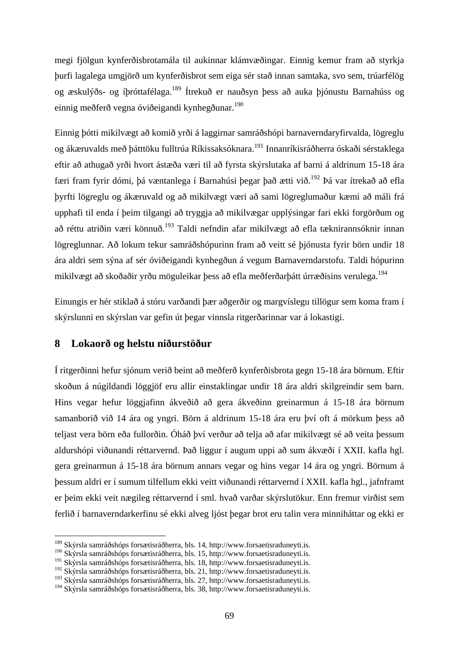megi fjölgun kynferðisbrotamála til aukinnar klámvæðingar. Einnig kemur fram að styrkja þurfi lagalega umgjörð um kynferðisbrot sem eiga sér stað innan samtaka, svo sem, trúarfélög og æskulýðs- og íþróttafélaga.<sup>189</sup> Ítrekuð er nauðsyn þess að auka þjónustu Barnahúss og einnig meðferð vegna óviðeigandi kynhegðunar.<sup>190</sup>

Einnig þótti mikilvægt að komið yrði á laggirnar samráðshópi barnaverndaryfirvalda, lögreglu og ákæruvalds með þátttöku fulltrúa Ríkissaksóknara.<sup>191</sup> Innanríkisráðherra óskaði sérstaklega eftir að athugað yrði hvort ástæða væri til að fyrsta skýrslutaka af barni á aldrinum 15-18 ára færi fram fyrir dómi, þá væntanlega í Barnahúsi þegar það ætti við.<sup>192</sup> Þá var ítrekað að efla þyrfti lögreglu og ákæruvald og að mikilvægt væri að sami lögreglumaður kæmi að máli frá upphafi til enda í þeim tilgangi að tryggja að mikilvægar upplýsingar fari ekki forgörðum og að réttu atriðin væri könnuð.<sup>193</sup> Taldi nefndin afar mikilvægt að efla tæknirannsóknir innan lögreglunnar. Að lokum tekur samráðshópurinn fram að veitt sé þjónusta fyrir börn undir 18 ára aldri sem sýna af sér óviðeigandi kynhegðun á vegum Barnaverndarstofu. Taldi hópurinn mikilvægt að skoðaðir yrðu möguleikar þess að efla meðferðarþátt úrræðisins verulega.<sup>194</sup>

Einungis er hér stiklað á stóru varðandi þær aðgerðir og margvíslegu tillögur sem koma fram í skýrslunni en skýrslan var gefin út þegar vinnsla ritgerðarinnar var á lokastigi.

### **8 Lokaorð og helstu niðurstöður**

1

Í ritgerðinni hefur sjónum verið beint að meðferð kynferðisbrota gegn 15-18 ára börnum. Eftir skoðun á núgildandi löggjöf eru allir einstaklingar undir 18 ára aldri skilgreindir sem barn. Hins vegar hefur löggjafinn ákveðið að gera ákveðinn greinarmun á 15-18 ára börnum samanborið við 14 ára og yngri. Börn á aldrinum 15-18 ára eru því oft á mörkum þess að teljast vera börn eða fullorðin. Óháð því verður að telja að afar mikilvægt sé að veita þessum aldurshópi viðunandi réttarvernd. Það liggur í augum uppi að sum ákvæði í XXII. kafla hgl. gera greinarmun á 15-18 ára börnum annars vegar og hins vegar 14 ára og yngri. Börnum á þessum aldri er í sumum tilfellum ekki veitt viðunandi réttarvernd í XXII. kafla hgl., jafnframt er þeim ekki veit nægileg réttarvernd í sml. hvað varðar skýrslutökur. Enn fremur virðist sem ferlið í barnaverndarkerfinu sé ekki alveg ljóst þegar brot eru talin vera minniháttar og ekki er

<sup>&</sup>lt;sup>189</sup> Skýrsla samráðshóps forsætisráðherra, bls. 14, http://www.forsaetisraduneyti.is.

<sup>190</sup> Skýrsla samráðshóps forsætisráðherra, bls. 15, http://www.forsaetisraduneyti.is.

<sup>191</sup> Skýrsla samráðshóps forsætisráðherra, bls. 18, http://www.forsaetisraduneyti.is.

<sup>192</sup> Skýrsla samráðshóps forsætisráðherra, bls. 21, http://www.forsaetisraduneyti.is.

<sup>193</sup> Skýrsla samráðshóps forsætisráðherra, bls. 27, http://www.forsaetisraduneyti.is.

<sup>194</sup> Skýrsla samráðshóps forsætisráðherra, bls. 38, http://www.forsaetisraduneyti.is.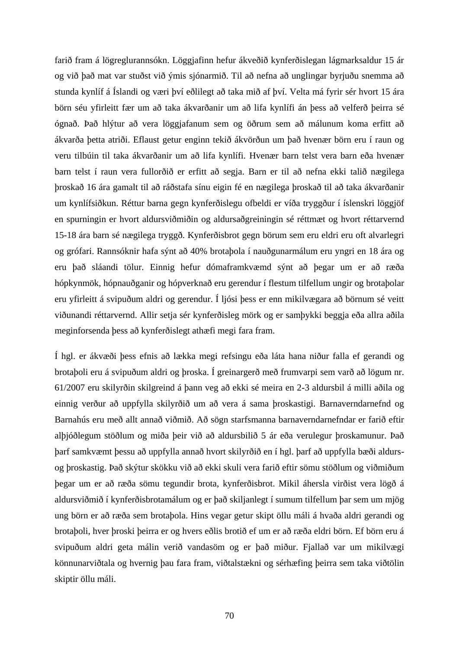farið fram á lögreglurannsókn. Löggjafinn hefur ákveðið kynferðislegan lágmarksaldur 15 ár og við það mat var stuðst við ýmis sjónarmið. Til að nefna að unglingar byrjuðu snemma að stunda kynlíf á Íslandi og væri því eðlilegt að taka mið af því. Velta má fyrir sér hvort 15 ára börn séu yfirleitt fær um að taka ákvarðanir um að lifa kynlífi án þess að velferð þeirra sé ógnað. Það hlýtur að vera löggjafanum sem og öðrum sem að málunum koma erfitt að ákvarða þetta atriði. Eflaust getur enginn tekið ákvörðun um það hvenær börn eru í raun og veru tilbúin til taka ákvarðanir um að lifa kynlífi. Hvenær barn telst vera barn eða hvenær barn telst í raun vera fullorðið er erfitt að segja. Barn er til að nefna ekki talið nægilega þroskað 16 ára gamalt til að ráðstafa sínu eigin fé en nægilega þroskað til að taka ákvarðanir um kynlífsiðkun. Réttur barna gegn kynferðislegu ofbeldi er víða tryggður í íslenskri löggjöf en spurningin er hvort aldursviðmiðin og aldursaðgreiningin sé réttmæt og hvort réttarvernd 15-18 ára barn sé nægilega tryggð. Kynferðisbrot gegn börum sem eru eldri eru oft alvarlegri og grófari. Rannsóknir hafa sýnt að 40% brotaþola í nauðgunarmálum eru yngri en 18 ára og eru það sláandi tölur. Einnig hefur dómaframkvæmd sýnt að þegar um er að ræða hópkynmök, hópnauðganir og hópverknað eru gerendur í flestum tilfellum ungir og brotaþolar eru yfirleitt á svipuðum aldri og gerendur. Í ljósi þess er enn mikilvægara að börnum sé veitt viðunandi réttarvernd. Allir setja sér kynferðisleg mörk og er samþykki beggja eða allra aðila meginforsenda þess að kynferðislegt athæfi megi fara fram.

Í hgl. er ákvæði þess efnis að lækka megi refsingu eða láta hana niður falla ef gerandi og brotaþoli eru á svipuðum aldri og þroska. Í greinargerð með frumvarpi sem varð að lögum nr. 61/2007 eru skilyrðin skilgreind á þann veg að ekki sé meira en 2-3 aldursbil á milli aðila og einnig verður að uppfylla skilyrðið um að vera á sama þroskastigi. Barnaverndarnefnd og Barnahús eru með allt annað viðmið. Að sögn starfsmanna barnaverndarnefndar er farið eftir alþjóðlegum stöðlum og miða þeir við að aldursbilið 5 ár eða verulegur þroskamunur. Það þarf samkvæmt þessu að uppfylla annað hvort skilyrðið en í hgl. þarf að uppfylla bæði aldursog þroskastig. Það skýtur skökku við að ekki skuli vera farið eftir sömu stöðlum og viðmiðum þegar um er að ræða sömu tegundir brota, kynferðisbrot. Mikil áhersla virðist vera lögð á aldursviðmið í kynferðisbrotamálum og er það skiljanlegt í sumum tilfellum þar sem um mjög ung börn er að ræða sem brotaþola. Hins vegar getur skipt öllu máli á hvaða aldri gerandi og brotaþoli, hver þroski þeirra er og hvers eðlis brotið ef um er að ræða eldri börn. Ef börn eru á svipuðum aldri geta málin verið vandasöm og er það miður. Fjallað var um mikilvægi könnunarviðtala og hvernig þau fara fram, viðtalstækni og sérhæfing þeirra sem taka viðtölin skiptir öllu máli.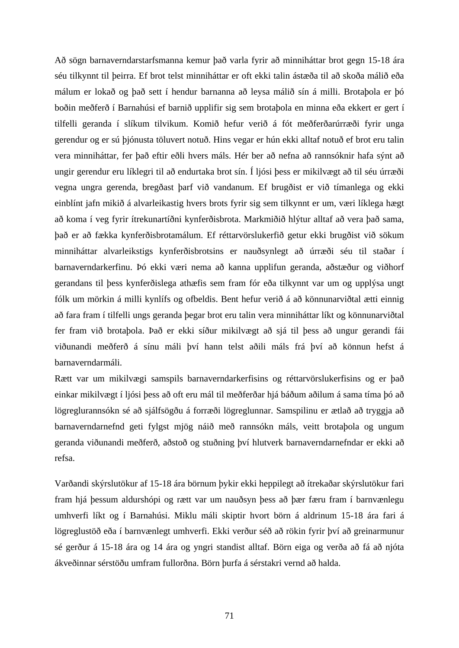Að sögn barnaverndarstarfsmanna kemur það varla fyrir að minniháttar brot gegn 15-18 ára séu tilkynnt til þeirra. Ef brot telst minniháttar er oft ekki talin ástæða til að skoða málið eða málum er lokað og það sett í hendur barnanna að leysa málið sín á milli. Brotaþola er þó boðin meðferð í Barnahúsi ef barnið upplifir sig sem brotaþola en minna eða ekkert er gert í tilfelli geranda í slíkum tilvikum. Komið hefur verið á fót meðferðarúrræði fyrir unga gerendur og er sú þjónusta töluvert notuð. Hins vegar er hún ekki alltaf notuð ef brot eru talin vera minniháttar, fer það eftir eðli hvers máls. Hér ber að nefna að rannsóknir hafa sýnt að ungir gerendur eru líklegri til að endurtaka brot sín. Í ljósi þess er mikilvægt að til séu úrræði vegna ungra gerenda, bregðast þarf við vandanum. Ef brugðist er við tímanlega og ekki einblínt jafn mikið á alvarleikastig hvers brots fyrir sig sem tilkynnt er um, væri líklega hægt að koma í veg fyrir ítrekunartíðni kynferðisbrota. Markmiðið hlýtur alltaf að vera það sama, það er að fækka kynferðisbrotamálum. Ef réttarvörslukerfið getur ekki brugðist við sökum minniháttar alvarleikstigs kynferðisbrotsins er nauðsynlegt að úrræði séu til staðar í barnaverndarkerfinu. Þó ekki væri nema að kanna upplifun geranda, aðstæður og viðhorf gerandans til þess kynferðislega athæfis sem fram fór eða tilkynnt var um og upplýsa ungt fólk um mörkin á milli kynlífs og ofbeldis. Bent hefur verið á að könnunarviðtal ætti einnig að fara fram í tilfelli ungs geranda þegar brot eru talin vera minniháttar líkt og könnunarviðtal fer fram við brotaþola. Það er ekki síður mikilvægt að sjá til þess að ungur gerandi fái viðunandi meðferð á sínu máli því hann telst aðili máls frá því að könnun hefst á barnaverndarmáli.

Rætt var um mikilvægi samspils barnaverndarkerfisins og réttarvörslukerfisins og er það einkar mikilvægt í ljósi þess að oft eru mál til meðferðar hjá báðum aðilum á sama tíma þó að lögreglurannsókn sé að sjálfsögðu á forræði lögreglunnar. Samspilinu er ætlað að tryggja að barnaverndarnefnd geti fylgst mjög náið með rannsókn máls, veitt brotaþola og ungum geranda viðunandi meðferð, aðstoð og stuðning því hlutverk barnaverndarnefndar er ekki að refsa.

Varðandi skýrslutökur af 15-18 ára börnum þykir ekki heppilegt að ítrekaðar skýrslutökur fari fram hjá þessum aldurshópi og rætt var um nauðsyn þess að þær færu fram í barnvænlegu umhverfi líkt og í Barnahúsi. Miklu máli skiptir hvort börn á aldrinum 15-18 ára fari á lögreglustöð eða í barnvænlegt umhverfi. Ekki verður séð að rökin fyrir því að greinarmunur sé gerður á 15-18 ára og 14 ára og yngri standist alltaf. Börn eiga og verða að fá að njóta ákveðinnar sérstöðu umfram fullorðna. Börn þurfa á sérstakri vernd að halda.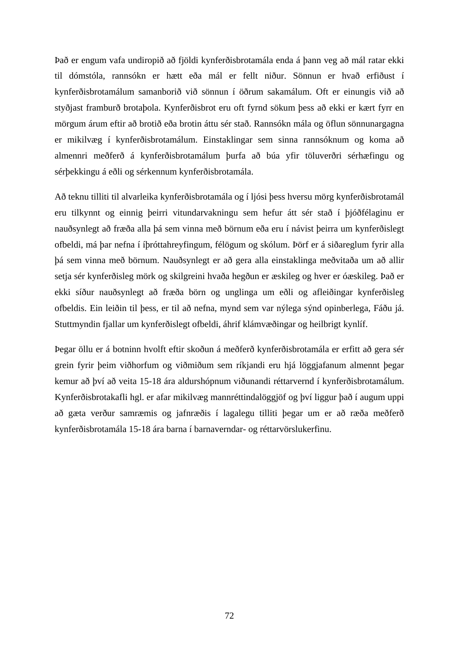Það er engum vafa undiropið að fjöldi kynferðisbrotamála enda á þann veg að mál ratar ekki til dómstóla, rannsókn er hætt eða mál er fellt niður. Sönnun er hvað erfiðust í kynferðisbrotamálum samanborið við sönnun í öðrum sakamálum. Oft er einungis við að styðjast framburð brotaþola. Kynferðisbrot eru oft fyrnd sökum þess að ekki er kært fyrr en mörgum árum eftir að brotið eða brotin áttu sér stað. Rannsókn mála og öflun sönnunargagna er mikilvæg í kynferðisbrotamálum. Einstaklingar sem sinna rannsóknum og koma að almennri meðferð á kynferðisbrotamálum þurfa að búa yfir töluverðri sérhæfingu og sérþekkingu á eðli og sérkennum kynferðisbrotamála.

Að teknu tilliti til alvarleika kynferðisbrotamála og í ljósi þess hversu mörg kynferðisbrotamál eru tilkynnt og einnig þeirri vitundarvakningu sem hefur átt sér stað í þjóðfélaginu er nauðsynlegt að fræða alla þá sem vinna með börnum eða eru í návist þeirra um kynferðislegt ofbeldi, má þar nefna í íþróttahreyfingum, félögum og skólum. Þörf er á siðareglum fyrir alla þá sem vinna með börnum. Nauðsynlegt er að gera alla einstaklinga meðvitaða um að allir setja sér kynferðisleg mörk og skilgreini hvaða hegðun er æskileg og hver er óæskileg. Það er ekki síður nauðsynlegt að fræða börn og unglinga um eðli og afleiðingar kynferðisleg ofbeldis. Ein leiðin til þess, er til að nefna, mynd sem var nýlega sýnd opinberlega, Fáðu já. Stuttmyndin fjallar um kynferðislegt ofbeldi, áhrif klámvæðingar og heilbrigt kynlíf.

Þegar öllu er á botninn hvolft eftir skoðun á meðferð kynferðisbrotamála er erfitt að gera sér grein fyrir þeim viðhorfum og viðmiðum sem ríkjandi eru hjá löggjafanum almennt þegar kemur að því að veita 15-18 ára aldurshópnum viðunandi réttarvernd í kynferðisbrotamálum. Kynferðisbrotakafli hgl. er afar mikilvæg mannréttindalöggjöf og því liggur það í augum uppi að gæta verður samræmis og jafnræðis í lagalegu tilliti þegar um er að ræða meðferð kynferðisbrotamála 15-18 ára barna í barnaverndar- og réttarvörslukerfinu.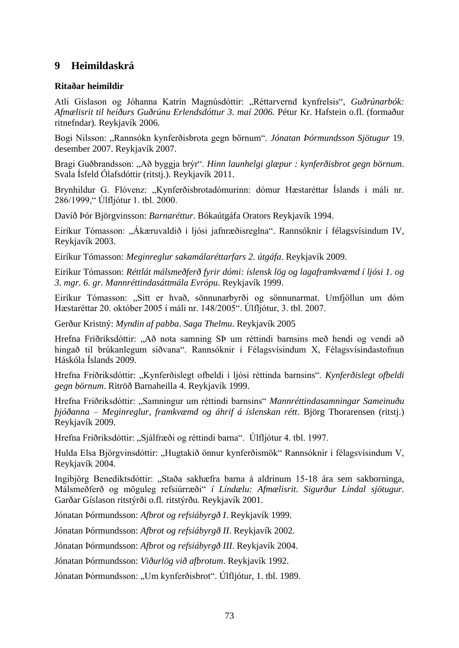## **9 Heimildaskrá**

### **Ritaðar heimildir**

Atli Gíslason og Jóhanna Katrín Magnúsdóttir: "Réttarvernd kynfrelsis", *Guðrúnarbók: Afmælisrit til heiðurs Guðrúnu Erlendsdóttur 3. maí 2006.* Pétur Kr. Hafstein o.fl. (formaður ritnefndar)*.* Reykjavík 2006.

Bogi Nilsson: "Rannsókn kynferðisbrota gegn börnum". *Jónatan Þórmundsson Sjötugur* 19. desember 2007. Reykjavík 2007.

Bragi Guðbrandsson: "Að byggja brýr". *Hinn launhelgi glæpur : kynferðisbrot gegn börnum*. Svala Ísfeld Ólafsdóttir (ritstj.). Reykjavík 2011.

Brynhildur G. Flóvenz: "Kynferðisbrotadómurinn: dómur Hæstaréttar Íslands í máli nr. 286/1999," Úlfljótur 1. tbl. 2000.

Davíð Þór Björgvinsson: *Barnaréttur*. Bókaútgáfa Orators Reykjavík 1994.

Eiríkur Tómasson: "Ákæruvaldið í ljósi jafnræðisreglna". Rannsóknir í félagsvísindum IV, Reykjavík 2003.

Eiríkur Tómasson: *Meginreglur sakamálaréttarfars 2. útgáfa*. Reykjavík 2009.

Eiríkur Tómasson: *Réttlát málsmeðferð fyrir dómi: íslensk lög og lagaframkvæmd í ljósi 1. og 3. mgr. 6. gr. Mannréttindasáttmála Evrópu*. Reykjavík 1999.

Eiríkur Tómasson: "Sitt er hvað, sönnunarbyrði og sönnunarmat. Umfjöllun um dóm Hæstaréttar 20. október 2005 í máli nr. 148/2005". Úlfljótur, 3. tbl. 2007.

Gerður Kristný: *Myndin af pabba*. *Saga Thelmu*. Reykjavík 2005

Hrefna Friðriksdóttir: "Að nota samning SÞ um réttindi barnsins með hendi og vendi að hingað til brúkanlegum siðvana". Rannsóknir í Félagsvísindum X, Félagsvísindastofnun Háskóla Íslands 2009.

Hrefna Friðriksdóttir: "Kynferðislegt ofbeldi í ljósi réttinda barnsins". *Kynferðislegt ofbeldi gegn börnum*. Ritröð Barnaheilla 4. Reykjavík 1999.

Hrefna Friðriksdóttir: "Samningur um réttindi barnsins" *Mannréttindasamningar Sameinuðu þjóðanna – Meginreglur, framkvæmd og áhrif á íslenskan rétt*. Björg Thorarensen (ritstj.) Reykjavík 2009.

Hrefna Friðriksdóttir: "Sjálfræði og réttindi barna". Úlfljótur 4. tbl. 1997.

Hulda Elsa Björgvinsdóttir: "Hugtakið önnur kynferðismök" Rannsóknir í félagsvísindum V, Reykjavík 2004.

Ingibjörg Benediktsdóttir: "Staða sakhæfra barna á aldrinum 15-18 ára sem sakborninga, Málsmeðferð og möguleg refsiúrræði" *í Líndælu: Afmælisrit. Sigurður Líndal sjötugur.* Garðar Gíslason ritstýrði o.fl. ritstýrðu. Reykjavík 2001.

Jónatan Þórmundsson: *Afbrot og refsiábyrgð I*. Reykjavík 1999.

Jónatan Þórmundsson: *Afbrot og refsiábyrgð II*. Reykjavík 2002.

Jónatan Þórmundsson: *Afbrot og refsiábyrgð III*. Reykjavík 2004.

Jónatan Þórmundsson: *Viðurlög við afbrotum*. Reykjavík 1992.

Jónatan Þórmundsson: "Um kynferðisbrot". Úlfljótur, 1. tbl. 1989.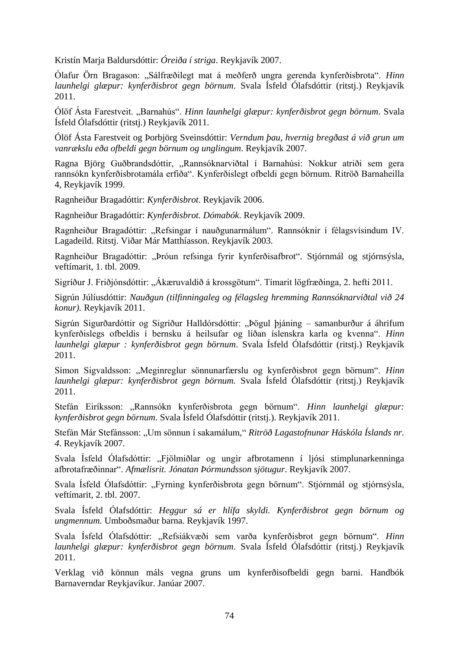Kristín Marja Baldursdóttir: *Óreiða í striga*. Reykjavík 2007.

Ólafur Örn Bragason: "Sálfræðilegt mat á meðferð ungra gerenda kynferðisbrota". *Hinn launhelgi glæpur: kynferðisbrot gegn börnum*. Svala Ísfeld Ólafsdóttir (ritstj.) Reykjavík 2011.

Ólöf Ásta Farestveit. "Barnahús". *Hinn launhelgi glæpur: kynferðisbrot gegn börnum*. Svala Ísfeld Ólafsdóttir (ritstj.) Reykjavík 2011.

Ólöf Ásta Farestveit og Þorbjörg Sveinsdóttir: *Verndum þau, hvernig bregðast á við grun um vanrækslu eða ofbeldi gegn börnum og unglingum*. Reykjavík 2007.

Ragna Björg Guðbrandsdóttir, "Rannsóknarviðtal í Barnahúsi: Nokkur atriði sem gera rannsókn kynferðisbrotamála erfiða". Kynferðislegt ofbeldi gegn börnum. Ritröð Barnaheilla 4, Reykjavík 1999.

Ragnheiður Bragadóttir: *Kynferðisbrot*. Reykjavík 2006.

Ragnheiður Bragadóttir: *Kynferðisbrot. Dómabók*. Reykjavík 2009.

Ragnheiður Bragadóttir: "Refsingar í nauðgunarmálum". Rannsóknir í félagsvísindum IV. Lagadeild. Ritstj. Viðar Már Matthíasson. Reykjavík 2003.

Ragnheiður Bragadóttir: "Þróun refsinga fyrir kynferðisafbrot". Stjórnmál og stjórnsýsla, veftímarit, 1. tbl. 2009.

Sigríður J. Friðjónsdóttir: "Ákæruvaldið á krossgötum". Tímarit lögfræðinga, 2. hefti 2011.

Sigrún Júlíusdóttir: *Nauðgun (tilfinningaleg og félagsleg hremming Rannsóknarviðtal við 24 konur).* Reykjavík 2011.

Sigrún Sigurðardóttir og Sigríður Halldórsdóttir: "Þögul þjáning – samanburður á áhrifum kynferðislegs ofbeldis í bernsku á heilsufar og líðan íslenskra karla og kvenna". *Hinn launhelgi glæpur : kynferðisbrot gegn börnum*. Svala Ísfeld Ólafsdóttir (ritstj.) Reykjavík 2011.

Símon Sigvaldsson: "Meginreglur sönnunarfærslu og kynferðisbrot gegn börnum". *Hinn launhelgi glæpur: kynferðisbrot gegn börnum.* Svala Ísfeld Ólafsdóttir (ritstj.) Reykjavík 2011.

Stefán Eiríksson: "Rannsókn kynferðisbrota gegn börnum". *Hinn launhelgi glæpur: kynferðisbrot gegn börnum*. Svala Ísfeld Ólafsdóttir (ritstj.). Reykjavík 2011.

Stefán Már Stefánsson: "Um sönnun í sakamálum," *Ritröð Lagastofnunar Háskóla Íslands nr. 4*. Reykjavík 2007.

Svala Ísfeld Ólafsdóttir: "Fjölmiðlar og ungir afbrotamenn í ljósi stimplunarkenninga afbrotafræðinnar". *Afmælisrit. Jónatan Þórmundsson sjötugur*. Reykjavík 2007.

Svala Ísfeld Ólafsdóttir: "Fyrning kynferðisbrota gegn börnum". Stjórnmál og stjórnsýsla, veftímarit, 2. tbl. 2007.

Svala Ísfeld Ólafsdóttir: *Heggur sá er hlífa skyldi. Kynferðisbrot gegn börnum og ungmennum.* Umboðsmaður barna. Reykjavík 1997.

Svala Ísfeld Ólafsdóttir: "Refsiákvæði sem varða kynferðisbrot gegn börnum". *Hinn launhelgi glæpur: kynferðisbrot gegn börnum*. Svala Ísfeld Ólafsdóttir (ritstj.) Reykjavík 2011.

Verklag við könnun máls vegna gruns um kynferðisofbeldi gegn barni. Handbók Barnaverndar Reykjavíkur. Janúar 2007.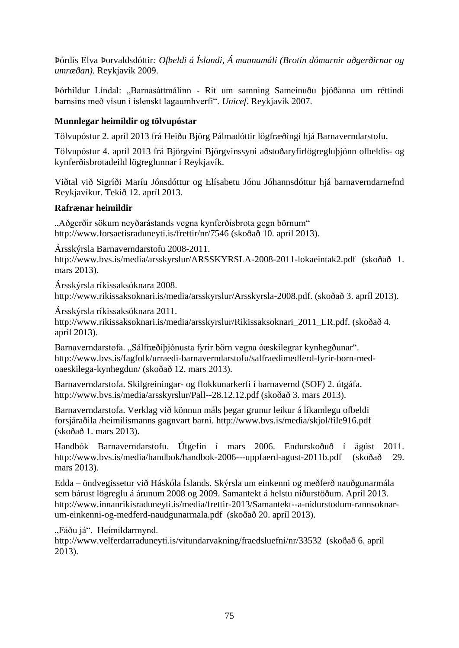Þórdís Elva Þorvaldsdóttir*: Ofbeldi á Íslandi, Á mannamáli (Brotin dómarnir aðgerðirnar og umræðan).* Reykjavík 2009.

Þórhildur Líndal: "Barnasáttmálinn - Rit um samning Sameinuðu þjóðanna um réttindi barnsins með vísun í íslenskt lagaumhverfi". *Unicef*. Reykjavík 2007.

## **Munnlegar heimildir og tölvupóstar**

Tölvupóstur 2. apríl 2013 frá Heiðu Björg Pálmadóttir lögfræðingi hjá Barnaverndarstofu.

Tölvupóstur 4. apríl 2013 frá Björgvini Björgvinssyni aðstoðaryfirlögregluþjónn ofbeldis- og kynferðisbrotadeild lögreglunnar í Reykjavík.

Viðtal við Sigríði Maríu Jónsdóttur og Elísabetu Jónu Jóhannsdóttur hjá barnaverndarnefnd Reykjavíkur. Tekið 12. apríl 2013.

#### **Rafrænar heimildir**

"Aðgerðir sökum neyðarástands vegna kynferðisbrota gegn börnum" <http://www.forsaetisraduneyti.is/frettir/nr/7546> (skoðað 10. apríl 2013).

Ársskýrsla Barnaverndarstofu 2008-2011.

<http://www.bvs.is/media/arsskyrslur/ARSSKYRSLA-2008-2011-lokaeintak2.pdf> (skoðað 1. mars 2013).

Ársskýrsla ríkissaksóknara 2008. [http://www.rikissaksoknari.is/media/arsskyrslur/Arsskyrsla-2008.pdf.](http://www.rikissaksoknari.is/media/arsskyrslur/Arsskyrsla-2008.pdf) (skoðað 3. apríl 2013).

#### Ársskýrsla ríkissaksóknara 2011.

[http://www.rikissaksoknari.is/media/arsskyrslur/Rikissaksoknari\\_2011\\_LR.pdf.](http://www.rikissaksoknari.is/media/arsskyrslur/Rikissaksoknari_2011_LR.pdf) (skoðað 4. apríl 2013).

Barnaverndarstofa. "Sálfræðiþjónusta fyrir börn vegna óæskilegrar kynhegðunar". [http://www.bvs.is/fagfolk/urraedi-barnaverndarstofu/salfraedimedferd-fyrir-born-med](http://www.bvs.is/fagfolk/urraedi-barnaverndarstofu/salfraedimedferd-fyrir-born-med-oaeskilega-kynhegdun/)[oaeskilega-kynhegdun/](http://www.bvs.is/fagfolk/urraedi-barnaverndarstofu/salfraedimedferd-fyrir-born-med-oaeskilega-kynhegdun/) (skoðað 12. mars 2013).

Barnaverndarstofa. Skilgreiningar- og flokkunarkerfi í barnavernd (SOF) 2. útgáfa. <http://www.bvs.is/media/arsskyrslur/Pall--28.12.12.pdf> (skoðað 3. mars 2013).

Barnaverndarstofa. Verklag við könnun máls þegar grunur leikur á líkamlegu ofbeldi forsjáraðila /heimilismanns gagnvart barni.<http://www.bvs.is/media/skjol/file916.pdf> (skoðað 1. mars 2013).

Handbók Barnaverndarstofu. Útgefin í mars 2006. Endurskoðuð í ágúst 2011. <http://www.bvs.is/media/handbok/handbok-2006---uppfaerd-agust-2011b.pdf> (skoðað 29. mars 2013).

Edda – öndvegissetur við Háskóla Íslands. Skýrsla um einkenni og meðferð nauðgunarmála sem bárust lögreglu á árunum 2008 og 2009. Samantekt á helstu niðurstöðum. Apríl 2013. [http://www.innanrikisraduneyti.is/media/frettir-2013/Samantekt--a-nidurstodum-rannsoknar](http://www.innanrikisraduneyti.is/media/frettir-2013/Samantekt--a-nidurstodum-rannsoknar-um-einkenni-og-medferd-naudgunarmala.pdf)[um-einkenni-og-medferd-naudgunarmala.pdf](http://www.innanrikisraduneyti.is/media/frettir-2013/Samantekt--a-nidurstodum-rannsoknar-um-einkenni-og-medferd-naudgunarmala.pdf) (skoðað 20. apríl 2013).

"Fáðu já". Heimildarmynd.

<http://www.velferdarraduneyti.is/vitundarvakning/fraedsluefni/nr/33532>(skoðað 6. apríl 2013).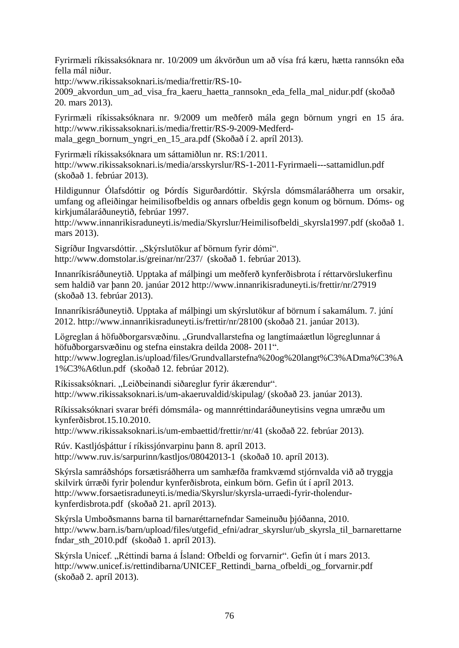Fyrirmæli ríkissaksóknara nr. 10/2009 um ákvörðun um að vísa frá kæru, hætta rannsókn eða fella mál niður.

[http://www.rikissaksoknari.is/media/frettir/RS-10-](http://www.rikissaksoknari.is/media/frettir/RS-10-2009_akvordun_um_ad_visa_fra_kaeru_haetta_rannsokn_eda_fella_mal_nidur.pdf)

2009 akvordun um ad visa fra kaeru haetta rannsokn eda fella mal nidur.pdf (skoðað 20. mars 2013).

Fyrirmæli ríkissaksóknara nr. 9/2009 um meðferð mála gegn börnum yngri en 15 ára. [http://www.rikissaksoknari.is/media/frettir/RS-9-2009-Medferd](http://www.rikissaksoknari.is/media/frettir/RS-9-2009-Medferd-mala_gegn_bornum_yngri_en_15_ara.pdf)mala gegn bornum yngri en 15 ara.pdf (Skoðað í 2. apríl 2013).

Fyrirmæli ríkissaksóknara um sáttamiðlun nr. RS:1/2011. <http://www.rikissaksoknari.is/media/arsskyrslur/RS-1-2011-Fyrirmaeli---sattamidlun.pdf> (skoðað 1. febrúar 2013).

Hildigunnur Ólafsdóttir og Þórdís Sigurðardóttir. Skýrsla dómsmálaráðherra um orsakir, umfang og afleiðingar heimilisofbeldis og annars ofbeldis gegn konum og börnum. Dóms- og kirkjumálaráðuneytið, febrúar 1997.

[http://www.innanrikisraduneyti.is/media/Skyrslur/Heimilisofbeldi\\_skyrsla1997.pdf](http://www.innanrikisraduneyti.is/media/Skyrslur/Heimilisofbeldi_skyrsla1997.pdf) (skoðað 1. mars 2013).

Sigríður Ingvarsdóttir. "Skýrslutökur af börnum fyrir dómi". <http://www.domstolar.is/greinar/nr/237/>(skoðað 1. febrúar 2013).

Innanríkisráðuneytið. Upptaka af málþingi um meðferð kynferðisbrota í réttarvörslukerfinu sem haldið var þann 20. janúar 2012<http://www.innanrikisraduneyti.is/frettir/nr/27919> (skoðað 13. febrúar 2013).

Innanríkisráðuneytið. Upptaka af málþingi um skýrslutökur af börnum í sakamálum. 7. júní 2012.<http://www.innanrikisraduneyti.is/frettir/nr/28100> (skoðað 21. janúar 2013).

Lögreglan á höfuðborgarsvæðinu. "Grundvallarstefna og langtímaáætlun lögreglunnar á höfuðborgarsvæðinu og stefna einstakra deilda 2008- 2011".

[http://www.logreglan.is/upload/files/Grundvallarstefna%20og%20langt%C3%ADma%C3%A](http://www.logreglan.is/upload/files/Grundvallarstefna%20og%20langt%C3%ADma%C3%A1%C3%A6tlun.pdf) [1%C3%A6tlun.pdf](http://www.logreglan.is/upload/files/Grundvallarstefna%20og%20langt%C3%ADma%C3%A1%C3%A6tlun.pdf) (skoðað 12. febrúar 2012).

Ríkissaksóknari. "Leiðbeinandi siðareglur fyrir ákærendur". <http://www.rikissaksoknari.is/um-akaeruvaldid/skipulag/> (skoðað 23. janúar 2013).

Ríkissaksóknari svarar bréfi dómsmála- og mannréttindaráðuneytisins vegna umræðu um kynferðisbrot.15.10.2010.

<http://www.rikissaksoknari.is/um-embaettid/frettir/nr/41> (skoðað 22. febrúar 2013).

Rúv. Kastljósþáttur í ríkissjónvarpinu þann 8. apríl 2013. <http://www.ruv.is/sarpurinn/kastljos/08042013-1>(skoðað 10. apríl 2013).

Skýrsla samráðshóps forsætisráðherra um samhæfða framkvæmd stjórnvalda við að tryggja skilvirk úrræði fyrir þolendur kynferðisbrota, einkum börn. Gefin út í apríl 2013. [http://www.forsaetisraduneyti.is/media/Skyrslur/skyrsla-urraedi-fyrir-tholendur](http://www.forsaetisraduneyti.is/media/Skyrslur/skyrsla-urraedi-fyrir-tholendur-kynferdisbrota.pdf)[kynferdisbrota.pdf](http://www.forsaetisraduneyti.is/media/Skyrslur/skyrsla-urraedi-fyrir-tholendur-kynferdisbrota.pdf) (skoðað 21. apríl 2013).

Skýrsla Umboðsmanns barna til barnaréttarnefndar Sameinuðu þjóðanna, 2010. [http://www.barn.is/barn/upload/files/utgefid\\_efni/adrar\\_skyrslur/ub\\_skyrsla\\_til\\_barnarettarne](http://www.barn.is/barn/upload/files/utgefid_efni/adrar_skyrslur/ub_skyrsla_til_barnarettarnefndar_sth_2010.pdf) [fndar\\_sth\\_2010.pdf](http://www.barn.is/barn/upload/files/utgefid_efni/adrar_skyrslur/ub_skyrsla_til_barnarettarnefndar_sth_2010.pdf) (skoðað 1. apríl 2013).

Skýrsla Unicef. "Réttindi barna á Ísland: Ofbeldi og forvarnir". Gefin út í mars 2013. http://www.unicef.is/rettindibarna/UNICEF\_Rettindi\_barna\_ofbeldi\_og\_forvarnir.pdf (skoðað 2. apríl 2013).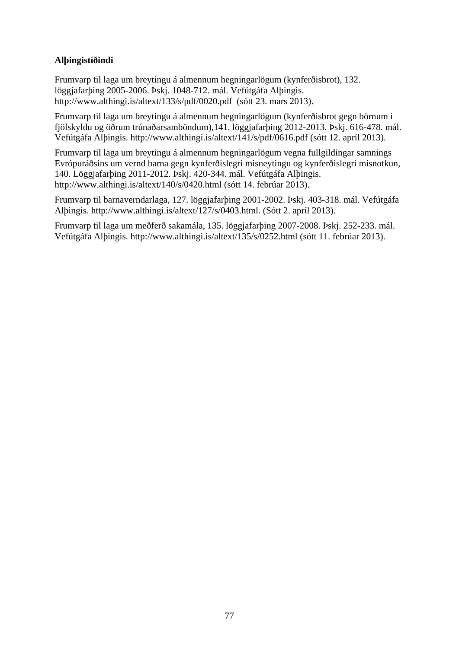## **Alþingistíðindi**

Frumvarp til laga um breytingu á almennum hegningarlögum (kynferðisbrot), 132. löggjafarþing 2005-2006. Þskj. 1048-712. mál. Vefútgáfa Alþingis. <http://www.althingi.is/altext/133/s/pdf/0020.pdf>(sótt 23. mars 2013).

Frumvarp til laga um breytingu á almennum hegningarlögum (kynferðisbrot gegn börnum í fjölskyldu og öðrum trúnaðarsamböndum),141. löggjafarþing 2012-2013. Þskj. 616-478. mál. Vefútgáfa Alþingis.<http://www.althingi.is/altext/141/s/pdf/0616.pdf> (sótt 12. apríl 2013).

Frumvarp til laga um breytingu á almennum hegningarlögum vegna fullgildingar samnings Evrópuráðsins um vernd barna gegn kynferðislegri misneytingu og kynferðislegri misnotkun, 140. Löggjafarþing 2011-2012. Þskj. 420-344. mál. Vefútgáfa Alþingis. <http://www.althingi.is/altext/140/s/0420.html> (sótt 14. febrúar 2013).

Frumvarp til barnaverndarlaga, 127. löggjafarþing 2001-2002. Þskj. 403-318. mál. Vefútgáfa Alþingis. [http://www.althingi.is/altext/127/s/0403.html.](http://www.althingi.is/altext/127/s/0403.html) (Sótt 2. apríl 2013).

Frumvarp til laga um meðferð sakamála, 135. löggjafarþing 2007-2008. Þskj. 252-233. mál. Vefútgáfa Alþingis.<http://www.althingi.is/altext/135/s/0252.html> (sótt 11. febrúar 2013).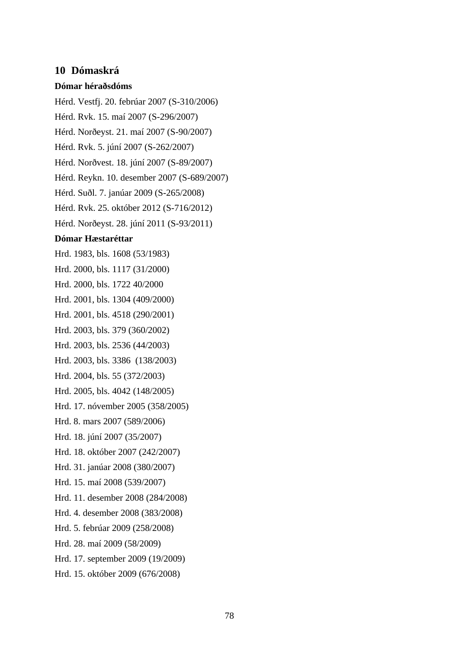## **10 Dómaskrá**

#### **Dómar héraðsdóms**

Hérd. Vestfj. 20. febrúar 2007 (S-310/2006) Hérd. Rvk. 15. maí 2007 (S-296/2007) Hérd. Norðeyst. 21. maí 2007 (S-90/2007) Hérd. Rvk. 5. júní 2007 (S-262/2007) Hérd. Norðvest. 18. júní 2007 (S-89/2007) Hérd. Reykn. 10. desember 2007 (S-689/2007) Hérd. Suðl. 7. janúar 2009 (S-265/2008) Hérd. Rvk. 25. október 2012 (S-716/2012) Hérd. Norðeyst. 28. júní 2011 (S-93/2011) **Dómar Hæstaréttar** Hrd. 1983, bls. 1608 (53/1983) Hrd. 2000, bls. 1117 (31/2000) Hrd. 2000, bls. 1722 40/2000 Hrd. 2001, bls. 1304 (409/2000) Hrd. 2001, bls. 4518 (290/2001) Hrd. 2003, bls. 379 (360/2002) Hrd. 2003, bls. 2536 (44/2003) Hrd. 2003, bls. 3386 (138/2003) Hrd. 2004, bls. 55 (372/2003) Hrd. 2005, bls. 4042 (148/2005) Hrd. 17. nóvember 2005 (358/2005) Hrd. 8. mars 2007 (589/2006) Hrd. 18. júní 2007 (35/2007) Hrd. 18. október 2007 (242/2007) Hrd. 31. janúar 2008 (380/2007) Hrd. 15. maí 2008 (539/2007) Hrd. 11. desember 2008 (284/2008) Hrd. 4. desember 2008 (383/2008)

Hrd. 5. febrúar 2009 (258/2008)

Hrd. 28. maí 2009 (58/2009)

Hrd. 17. september 2009 (19/2009)

Hrd. 15. október 2009 (676/2008)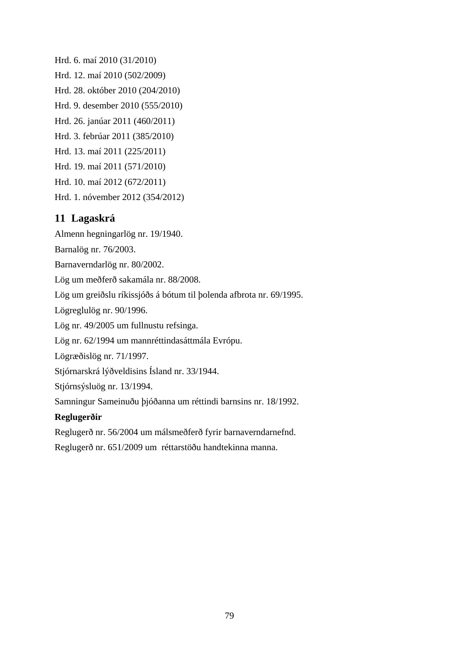Hrd. 6. maí 2010 (31/2010) Hrd. 12. maí 2010 (502/2009) Hrd. 28. október 2010 (204/2010) Hrd. 9. desember 2010 (555/2010) Hrd. 26. janúar 2011 (460/2011) Hrd. 3. febrúar 2011 (385/2010) Hrd. 13. maí 2011 (225/2011) Hrd. 19. maí 2011 (571/2010) Hrd. 10. maí 2012 (672/2011) Hrd. 1. nóvember 2012 (354/2012)

# **11 Lagaskrá**

Almenn hegningarlög nr. 19/1940.

Barnalög nr. 76/2003.

Barnaverndarlög nr. 80/2002.

Lög um meðferð sakamála nr. 88/2008.

Lög um greiðslu ríkissjóðs á bótum til þolenda afbrota nr. 69/1995.

Lögreglulög nr. 90/1996.

Lög nr. 49/2005 um fullnustu refsinga.

Lög nr. 62/1994 um mannréttindasáttmála Evrópu.

Lögræðislög nr. 71/1997.

Stjórnarskrá lýðveldisins Ísland nr. 33/1944.

Stjórnsýsluög nr. 13/1994.

Samningur Sameinuðu þjóðanna um réttindi barnsins nr. 18/1992.

## **Reglugerðir**

Reglugerð nr. 56/2004 um málsmeðferð fyrir barnaverndarnefnd.

Reglugerð nr. 651/2009 um réttarstöðu handtekinna manna.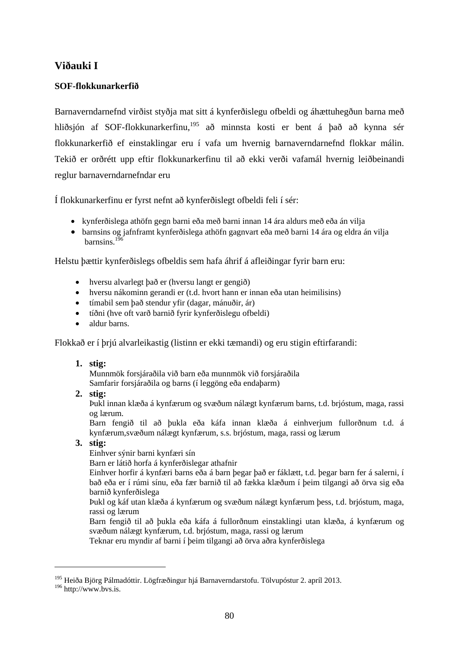# **Viðauki I**

## **SOF-flokkunarkerfið**

Barnaverndarnefnd virðist styðja mat sitt á kynferðislegu ofbeldi og áhættuhegðun barna með hliðsjón af SOF-flokkunarkerfinu,<sup>195</sup> að minnsta kosti er bent á það að kynna sér flokkunarkerfið ef einstaklingar eru í vafa um hvernig barnaverndarnefnd flokkar málin. Tekið er orðrétt upp eftir flokkunarkerfinu til að ekki verði vafamál hvernig leiðbeinandi reglur barnaverndarnefndar eru

Í flokkunarkerfinu er fyrst nefnt að kynferðislegt ofbeldi feli í sér:

- kynferðislega athöfn gegn barni eða með barni innan 14 ára aldurs með eða án vilja
- barnsins og jafnframt kynferðislega athöfn gagnvart eða með barni 14 ára og eldra án vilja barnsins $196$

Helstu þættir kynferðislegs ofbeldis sem hafa áhrif á afleiðingar fyrir barn eru:

- hversu alvarlegt það er (hversu langt er gengið)
- hversu nákominn gerandi er (t.d. hvort hann er innan eða utan heimilisins)
- tímabil sem það stendur yfir (dagar, mánuðir, ár)
- tíðni (hve oft varð barnið fyrir kynferðislegu ofbeldi)
- aldur barns.

Flokkað er í þrjú alvarleikastig (listinn er ekki tæmandi) og eru stigin eftirfarandi:

## **1. stig:**

Munnmök forsjáraðila við barn eða munnmök við forsjáraðila Samfarir forsjáraðila og barns (í leggöng eða endaþarm)

## **2. stig:**

Þukl innan klæða á kynfærum og svæðum nálægt kynfærum barns, t.d. brjóstum, maga, rassi og lærum.

Barn fengið til að þukla eða káfa innan klæða á einhverjum fullorðnum t.d. á kynfærum,svæðum nálægt kynfærum, s.s. brjóstum, maga, rassi og lærum

## **3. stig:**

Einhver sýnir barni kynfæri sín

Barn er látið horfa á kynferðislegar athafnir

Einhver horfir á kynfæri barns eða á barn þegar það er fáklætt, t.d. þegar barn fer á salerni, í bað eða er í rúmi sínu, eða fær barnið til að fækka klæðum í þeim tilgangi að örva sig eða barnið kynferðislega

Þukl og káf utan klæða á kynfærum og svæðum nálægt kynfærum þess, t.d. brjóstum, maga, rassi og lærum

Barn fengið til að þukla eða káfa á fullorðnum einstaklingi utan klæða, á kynfærum og svæðum nálægt kynfærum, t.d. brjóstum, maga, rassi og lærum

Teknar eru myndir af barni í þeim tilgangi að örva aðra kynferðislega

1

<sup>&</sup>lt;sup>195</sup> Heiða Björg Pálmadóttir. Lögfræðingur hjá Barnaverndarstofu. Tölvupóstur 2. apríl 2013.

 $196$  http://www.bvs.is.